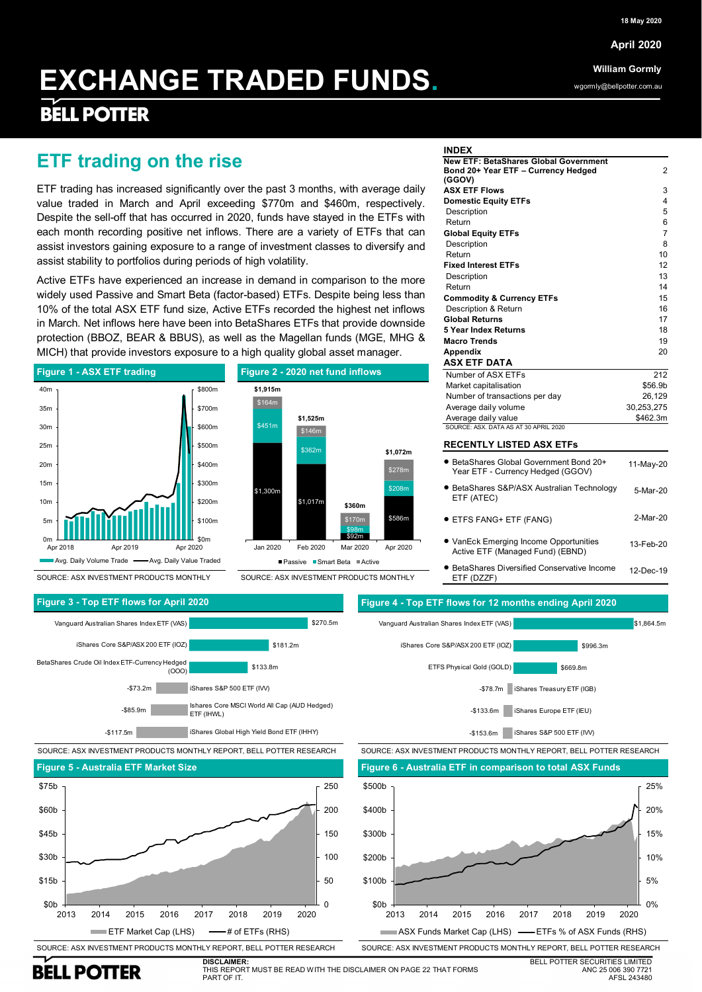**EXCHANGE TRADED FUNDS.** 1 **April 2020**

**William Gormly**

wgormly@bellpotter.com.au

# **EXCHANGE TRADED FUNDS.**

## **BELL POTTER**

### **ETF trading on the rise**

ETF trading has increased significantly over the past 3 months, with average daily value traded in March and April exceeding \$770m and \$460m, respectively. Despite the sell-off that has occurred in 2020, funds have stayed in the ETFs with each month recording positive net inflows. There are a variety of ETFs that can assist investors gaining exposure to a range of investment classes to diversify and assist stability to portfolios during periods of high volatility.

Active ETFs have experienced an increase in demand in comparison to the more widely used Passive and Smart Beta (factor-based) ETFs. Despite being less than 10% of the total ASX ETF fund size, Active ETFs recorded the highest net inflows in March. Net inflows here have been into BetaShares ETFs that provide downside protection (BBOZ, BEAR & BBUS), as well as the Magellan funds (MGE, MHG & MICH) that provide investors exposure to a high quality global asset manager.



SOURCE: ASX INVESTMENT PRODUCTS MONTHLY

 $$1,300$ \$1,017n \$92m \$586m \$451m \$362m \$98m  $cos$ \$164m \$146m \$170 \$278m **\$1,915m \$1,525m \$360m \$1,072m** Jan 2020 Feb 2020 Mar 2020 Apr 2020  $P$ assive  $R$ Sm

SOURCE: ASX INVESTMENT PRODUCTS MONTHLY

#### **INDEX**

| INDEX                                        |                     |
|----------------------------------------------|---------------------|
| <b>New ETF: BetaShares Global Government</b> |                     |
| Bond 20+ Year ETF - Currency Hedged          | 2                   |
| (GGOV)<br><b>ASX ETF Flows</b>               | 3                   |
|                                              | 4                   |
| <b>Domestic Equity ETFs</b>                  |                     |
| Description<br>Return                        | 5                   |
|                                              | 6<br>$\overline{7}$ |
| <b>Global Equity ETFs</b>                    |                     |
| Description                                  | 8                   |
| Return                                       | 10                  |
| <b>Fixed Interest ETFs</b>                   | 12                  |
| Description                                  | 13                  |
| Return                                       | 14                  |
| <b>Commodity &amp; Currency ETFs</b>         | 15                  |
| Description & Return                         | 16                  |
| <b>Global Returns</b>                        | 17                  |
| 5 Year Index Returns                         | 18                  |
| <b>Macro Trends</b>                          | 19                  |
| <b>Appendix</b>                              | 20                  |
| <b>ASX ETF DATA</b>                          |                     |
| Number of ASX ETFs                           | 212                 |
| Market capitalisation                        | \$56.9b             |
| Number of transactions per day               | 26,129              |
| Average daily volume                         | 30,253,275          |
| Average daily value                          | \$462.3m            |
| SOURCE: ASX. DATA AS AT 30 APRIL 2020        |                     |

### **RECENTLY LISTED ASX ETFs**

| • BetaShares Global Government Bond 20+<br>Year ETF - Currency Hedged (GGOV) | 11-May-20 |
|------------------------------------------------------------------------------|-----------|
| • BetaShares S&P/ASX Australian Technology<br>ETF (ATEC)                     | 5-Mar-20  |
| ● ETFS FANG+ ETF (FANG)                                                      | 2-Mar-20  |
|                                                                              |           |

 VanEck Emerging Income Opportunities Active ETF (Managed Fund) (EBND) 13-Feb-20

 BetaShares Diversified Conservative Income ETF (DZZF) 12-Dec-19





iShares S&P 500 ETF (IVV) -\$153.6m

SOURCE: ASX INVESTMENT PRODUCTS MONTHLY REPORT, BELL POTTER RESEARCH SOURCE: ASX INVESTMENT PRODUCTS MONTHLY REPORT, BELL POTTER RESEARCH





**BELL POTTER** 

**DISCLAIMER:** THIS REPORT MUST BE READ WITH THE DISCLAIMER ON PAGE 22 THAT FORMS PART OF IT.

BELL POTTER SECURITIES LIMITED ANC 25 006 390 7721 AFSL 243480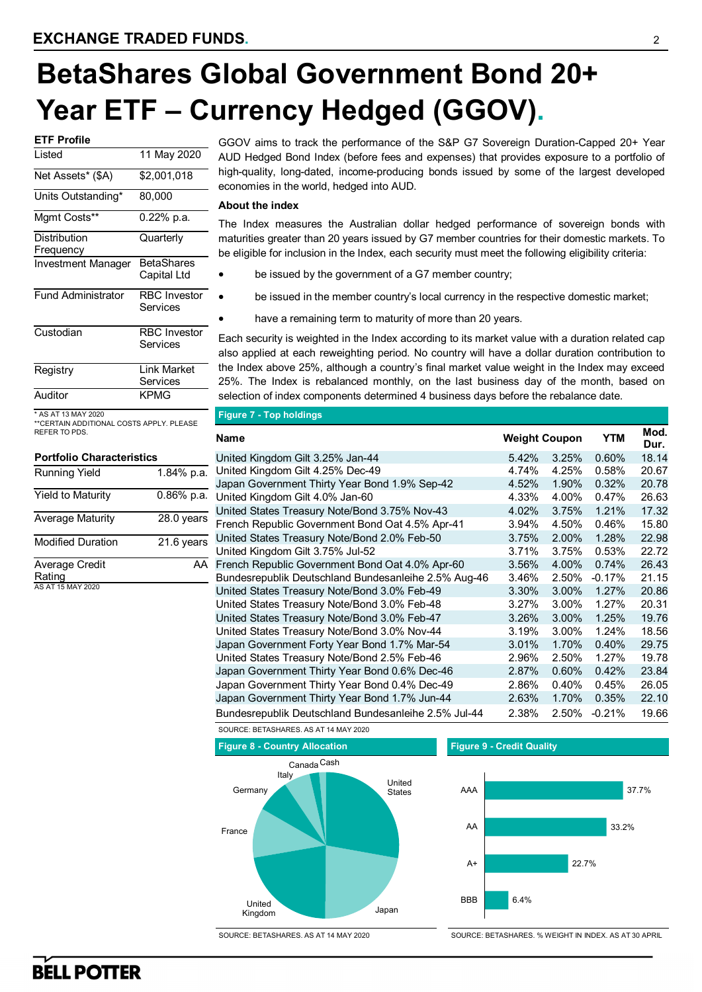# **BetaShares Global Government Bond 20+ Year ETF – Currency Hedged (GGOV).**

| 11 May 2020         |
|---------------------|
| \$2,001,018         |
| 80,000              |
| 0.22% p.a.          |
| Quarterly           |
|                     |
| <b>RetaShares</b>   |
| Capital Ltd         |
| <b>RBC</b> Investor |
| Services            |
| <b>RBC</b> Investor |
| Services            |
|                     |
| <b>Link Market</b>  |
| Services            |
| <b>KPMG</b>         |
|                     |

\* AS AT 13 MAY 2020 \*\*CERTAIN ADDITIONAL COSTS APPLY. PLEASE REFER TO PDS.

| <b>Portfolio Characteristics</b> |              |
|----------------------------------|--------------|
| <b>Running Yield</b>             | 1.84% p.a.   |
| <b>Yield to Maturity</b>         | $0.86%$ p.a. |
| <b>Average Maturity</b>          | 28.0 years   |
| <b>Modified Duration</b>         | 21.6 years   |
| Average Credit                   | ΔΔ           |
| Rating                           |              |
| AS AT 15 MAY 2020                |              |

GGOV aims to track the performance of the S&P G7 Sovereign Duration-Capped 20+ Year AUD Hedged Bond Index (before fees and expenses) that provides exposure to a portfolio of high-quality, long-dated, income-producing bonds issued by some of the largest developed economies in the world, hedged into AUD.

### **About the index**

The Index measures the Australian dollar hedged performance of sovereign bonds with maturities greater than 20 years issued by G7 member countries for their domestic markets. To be eligible for inclusion in the Index, each security must meet the following eligibility criteria:

- be issued by the government of a G7 member country;
- be issued in the member country's local currency in the respective domestic market;
- have a remaining term to maturity of more than 20 years.

Each security is weighted in the Index according to its market value with a duration related cap also applied at each reweighting period. No country will have a dollar duration contribution to the Index above 25%, although a country's final market value weight in the Index may exceed 25%. The Index is rebalanced monthly, on the last business day of the month, based on selection of index components determined 4 business days before the rebalance date.

|  | Figure 7 - Top holdings |  |
|--|-------------------------|--|
|  |                         |  |

| <b>Name</b>                                          | <b>Weight Coupon</b> |          | <b>YTM</b> | Mod.<br>Dur. |
|------------------------------------------------------|----------------------|----------|------------|--------------|
| United Kingdom Gilt 3.25% Jan-44                     | 5.42%                | 3.25%    | 0.60%      | 18.14        |
| United Kingdom Gilt 4.25% Dec-49                     | 4.74%                | 4.25%    | 0.58%      | 20.67        |
| Japan Government Thirty Year Bond 1.9% Sep-42        | 4.52%                | 1.90%    | 0.32%      | 20.78        |
| United Kingdom Gilt 4.0% Jan-60                      | 4.33%                | 4.00%    | 0.47%      | 26.63        |
| United States Treasury Note/Bond 3.75% Nov-43        | 4.02%                | 3.75%    | 1.21%      | 17.32        |
| French Republic Government Bond Oat 4.5% Apr-41      | 3.94%                | 4.50%    | 0.46%      | 15.80        |
| United States Treasury Note/Bond 2.0% Feb-50         | 3.75%                | 2.00%    | 1.28%      | 22.98        |
| United Kingdom Gilt 3.75% Jul-52                     | 3.71%                | 3.75%    | 0.53%      | 22.72        |
| French Republic Government Bond Oat 4.0% Apr-60      | 3.56%                | 4.00%    | 0.74%      | 26.43        |
| Bundesrepublik Deutschland Bundesanleihe 2.5% Aug-46 | 3.46%                | 2.50%    | $-0.17%$   | 21.15        |
| United States Treasury Note/Bond 3.0% Feb-49         | 3.30%                | 3.00%    | 1.27%      | 20.86        |
| United States Treasury Note/Bond 3.0% Feb-48         | 3.27%                | 3.00%    | 1.27%      | 20.31        |
| United States Treasury Note/Bond 3.0% Feb-47         | 3.26%                | 3.00%    | 1.25%      | 19.76        |
| United States Treasury Note/Bond 3.0% Nov-44         | 3.19%                | $3.00\%$ | 1.24%      | 18.56        |
| Japan Government Forty Year Bond 1.7% Mar-54         | 3.01%                | 1.70%    | 0.40%      | 29.75        |
| United States Treasury Note/Bond 2.5% Feb-46         | 2.96%                | 2.50%    | 1.27%      | 19.78        |
| Japan Government Thirty Year Bond 0.6% Dec-46        | 2.87%                | 0.60%    | 0.42%      | 23.84        |
| Japan Government Thirty Year Bond 0.4% Dec-49        | 2.86%                | 0.40%    | 0.45%      | 26.05        |
| Japan Government Thirty Year Bond 1.7% Jun-44        | 2.63%                | 1.70%    | 0.35%      | 22.10        |
| Bundesrepublik Deutschland Bundesanleihe 2.5% Jul-44 | 2.38%                | 2.50%    | $-0.21%$   | 19.66        |





SOURCE: BETASHARES. AS AT 14 MAY 2020

SOURCE: BETASHARES. % WEIGHT IN INDEX. AS AT 30 APRIL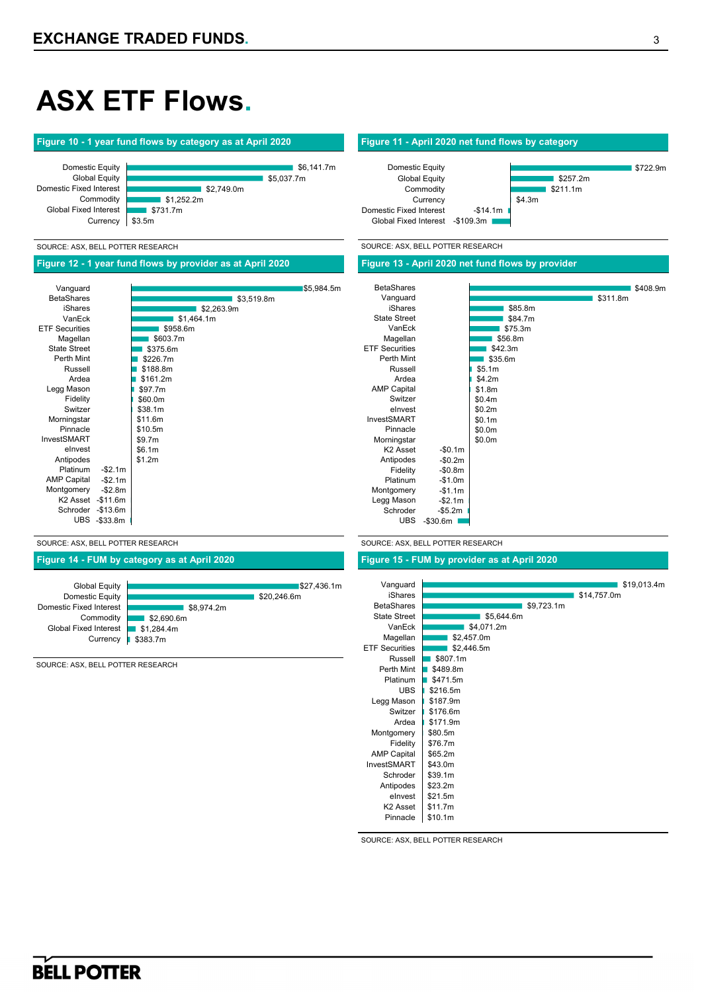# **ASX ETF Flows.**

### **Figure 10 - 1 year fund flows by category as at April 2020 Figure 11 - April 2020 net fund flows by category**



#### SOURCE: ASX, BELL POTTER RESEARCH SOURCE: ASX, BELL POTTER RESEARCH

### **Figure 12 - 1 year fund flows by provider as at April 2020 Figure 13 - April 2020 net fund flows by provider**

|                       |           |            |            | <b>BetaShares</b>     |
|-----------------------|-----------|------------|------------|-----------------------|
| Vanguard              |           |            | \$5,984.5m |                       |
| <b>BetaShares</b>     |           | \$3,519.8m |            | Vanguard              |
| iShares               |           | \$2,263.9m |            | iShares               |
| VanEck                |           | \$1,464.1m |            | <b>State Street</b>   |
| <b>ETF Securities</b> |           | \$958.6m   |            | VanEck                |
| Magellan              |           | \$603.7m   |            | Magellan              |
| <b>State Street</b>   |           | \$375.6m   |            | <b>ETF Securities</b> |
| Perth Mint            |           | \$226.7m   |            | Perth Mint            |
| Russell               |           | \$188.8m   |            | Russell               |
| Ardea                 |           | \$161.2m   |            | Ardea                 |
| Legg Mason            |           | \$97.7m    |            | <b>AMP Capital</b>    |
| Fidelity              |           | \$60.0m    |            | Switzer               |
| Switzer               |           | \$38.1m    |            | elnyest               |
| Morningstar           |           | \$11.6m    |            | InvestSMART           |
| Pinnacle              |           | \$10.5m    |            | Pinnacle              |
| InvestSMART           |           | \$9.7m     |            | Morningstar           |
| elnvest               |           | \$6.1m     |            | K <sub>2</sub> Asset  |
| Antipodes             |           | \$1.2m     |            | Antipodes             |
| Platinum              | $-$2.1m$  |            |            | Fidelity              |
| <b>AMP Capital</b>    | $-$2.1m$  |            |            | Platinum              |
| Montgomery            | $-$2.8m$  |            |            | Montgomery            |
| K <sub>2</sub> Asset  | $-$11.6m$ |            |            | Legg Mason            |
| Schroder              | $-$13.6m$ |            |            | Schroder              |
| <b>UBS</b>            | -\$33.8m  |            |            | <b>UBS</b>            |
|                       |           |            |            |                       |

### SOURCE: ASX, BELL POTTER RESEARCH SOURCE: ASX, BELL POTTER RESEARCH

UBS -\$30.6m

Global Fixed Interest - \$109.3m

Domestic Equity Global Equity Commodity **Currency** 

Domestic Fixed Interest

### **Figure 14 - FUM by category as at April 2020 Figure 15 - FUM by provider as at April 2020**

-\$0.1m -\$0.2m -\$0.8m -\$1.0m -\$1.1m -\$2.1m -\$5.2m

| Vanguard              |            |             | \$19,013.4m |
|-----------------------|------------|-------------|-------------|
| <b>iShares</b>        |            | \$14,757.0m |             |
| <b>BetaShares</b>     | \$9,723.1m |             |             |
| <b>State Street</b>   | \$5,644.6m |             |             |
| VanEck                | \$4,071.2m |             |             |
| Magellan              | \$2,457.0m |             |             |
| <b>ETF Securities</b> | \$2,446.5m |             |             |
| Russell               | \$807.1m   |             |             |
| Perth Mint            | \$489.8m   |             |             |
| Platinum              | \$471.5m   |             |             |
| <b>UBS</b>            | \$216.5m   |             |             |
| Legg Mason            | \$187.9m   |             |             |
| Switzer               | \$176.6m   |             |             |
| Ardea                 | \$171.9m   |             |             |
| Montgomery            | \$80.5m    |             |             |
| Fidelity              | \$76.7m    |             |             |
| <b>AMP Capital</b>    | \$65.2m    |             |             |
| <b>InvestSMART</b>    | \$43.0m    |             |             |
| Schroder              | \$39.1m    |             |             |
| Antipodes             | \$23.2m    |             |             |
| elnyest               | \$21.5m    |             |             |
| K <sub>2</sub> Asset  | \$11.7m    |             |             |
| Pinnacle              | \$10.1m    |             |             |

\$85.8m \$84.7m \$75.3m \$56.8m  $$42.3m$  $$35.6m$ \$5.1m \$4.2m \$1.8m \$0.4m \$0.2m \$0.1m \$0.0m \$0.0m

\$4.3m

-\$14.1m

SOURCE: ASX, BELL POTTER RESEARCH

#### Domestic Equity Domestic Fixed Interest

Global Equity

Commodity Global Fixed Interest **Currency** 

\$27,436.1m  $$20.246.6m$ \$8,974.2m \$2,690.6m **\$1,284.4m** \$383.7m

SOURCE: ASX, BELL POTTER RESEARCH

\$408.9m

\$722.9m

\$311.8m

 $$257.2m$ \$211.1m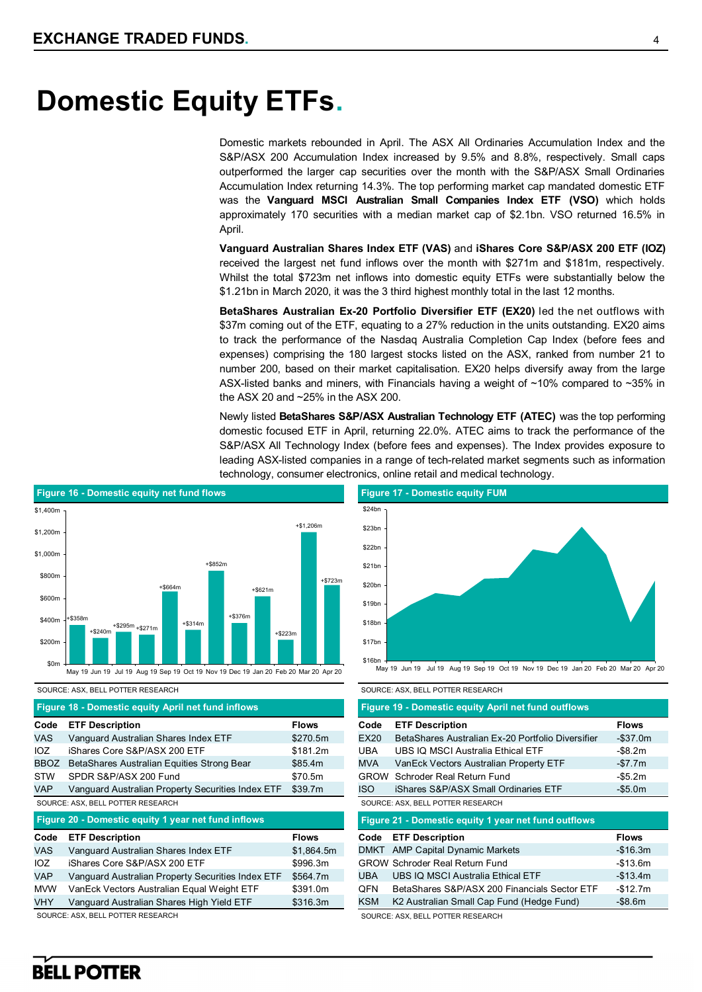## **Domestic Equity ETFs.**

Domestic markets rebounded in April. The ASX All Ordinaries Accumulation Index and the S&P/ASX 200 Accumulation Index increased by 9.5% and 8.8%, respectively. Small caps outperformed the larger cap securities over the month with the S&P/ASX Small Ordinaries Accumulation Index returning 14.3%. The top performing market cap mandated domestic ETF was the **Vanguard MSCI Australian Small Companies Index ETF (VSO)** which holds approximately 170 securities with a median market cap of \$2.1bn. VSO returned 16.5% in April.

**Vanguard Australian Shares Index ETF (VAS)** and **iShares Core S&P/ASX 200 ETF (IOZ)**  received the largest net fund inflows over the month with \$271m and \$181m, respectively. Whilst the total \$723m net inflows into domestic equity ETFs were substantially below the \$1.21bn in March 2020, it was the 3 third highest monthly total in the last 12 months.

**BetaShares Australian Ex-20 Portfolio Diversifier ETF (EX20)** led the net outflows with \$37m coming out of the ETF, equating to a 27% reduction in the units outstanding. EX20 aims to track the performance of the Nasdaq Australia Completion Cap Index (before fees and expenses) comprising the 180 largest stocks listed on the ASX, ranked from number 21 to number 200, based on their market capitalisation. EX20 helps diversify away from the large ASX-listed banks and miners, with Financials having a weight of ~10% compared to ~35% in the ASX 20 and ~25% in the ASX 200.

Newly listed **BetaShares S&P/ASX Australian Technology ETF (ATEC)** was the top performing domestic focused ETF in April, returning 22.0%. ATEC aims to track the performance of the S&P/ASX All Technology Index (before fees and expenses). The Index provides exposure to leading ASX-listed companies in a range of tech-related market segments such as information technology, consumer electronics, online retail and medical technology.



SOURCE: ASX, BELL POTTER RESEARCH SOURCE: ASX, BELL POTTER RESEARCH

|             | Figure 18 - Domestic equity April net fund inflows  |              |
|-------------|-----------------------------------------------------|--------------|
| Code        | <b>ETF Description</b>                              | <b>Flows</b> |
| <b>VAS</b>  | Vanguard Australian Shares Index ETF                | \$270.5m     |
| IOZ         | iShares Core S&P/ASX 200 ETF                        | \$181.2m     |
| <b>BBOZ</b> | BetaShares Australian Equities Strong Bear          | \$85.4m      |
| <b>STW</b>  | SPDR S&P/ASX 200 Fund                               | \$70.5m      |
| <b>VAP</b>  | Vanguard Australian Property Securities Index ETF   | \$39.7m      |
|             | SOURCE: ASX, BELL POTTER RESEARCH                   |              |
|             |                                                     |              |
|             | Figure 20 - Domestic equity 1 year net fund inflows |              |
| Code        | <b>ETF Description</b>                              | <b>Flows</b> |
| <b>VAS</b>  | Vanguard Australian Shares Index ETF                | \$1,864.5m   |
| 107         | iShares Core S&P/ASX 200 ETF                        | \$996.3m     |
| <b>VAP</b>  | Vanguard Australian Property Securities Index ETF   | \$564.7m     |
| <b>MVW</b>  | VanEck Vectors Australian Equal Weight ETF          | \$391.0m     |
| <b>VHY</b>  | Vanguard Australian Shares High Yield ETF           | \$316.3m     |



|             | Figure 19 - Domestic equity April net fund outflows  |              |
|-------------|------------------------------------------------------|--------------|
| Code        | <b>ETF Description</b>                               | <b>Flows</b> |
| EX20        | BetaShares Australian Ex-20 Portfolio Diversifier    | $-$ \$37.0m  |
| UBA         | UBS IO MSCI Australia Ethical ETF                    | -\$8.2m      |
| <b>MVA</b>  | VanEck Vectors Australian Property ETF               | -\$7.7m      |
| <b>GROW</b> | Schroder Real Return Fund                            | -\$5.2m      |
| <b>ISO</b>  | iShares S&P/ASX Small Ordinaries ETF                 | -\$5.0m      |
|             | SOURCE: ASX, BELL POTTER RESEARCH                    |              |
|             |                                                      |              |
|             | Figure 21 - Domestic equity 1 year net fund outflows |              |
| Code        | <b>ETF Description</b>                               | <b>Flows</b> |
| <b>DMKT</b> | <b>AMP Capital Dynamic Markets</b>                   | $-$16.3m$    |
|             | <b>GROW Schroder Real Return Fund</b>                | $-$13.6m$    |
| <b>UBA</b>  | UBS IQ MSCI Australia Ethical ETF                    | $-$13.4m$    |
| QFN         | BetaShares S&P/ASX 200 Financials Sector ETF         | $-$12.7m$    |
| <b>KSM</b>  | K2 Australian Small Cap Fund (Hedge Fund)            | $-$ \$8.6m   |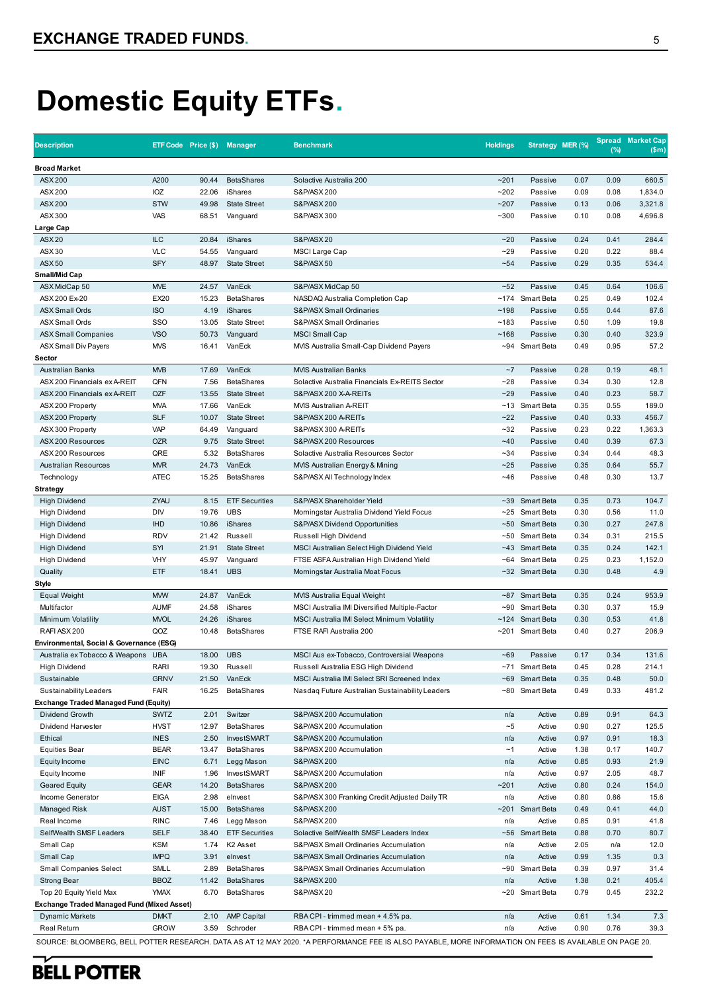# **Domestic Equity ETFs.**

| <b>Broad Market</b><br>A200<br>90.44<br><b>BetaShares</b><br>$-201$<br>0.07<br>0.09<br>660.5<br><b>ASX 200</b><br>Solactive Australia 200<br>Passive<br>ASX 200<br>IOZ<br>22.06<br>iShares<br>S&P/ASX 200<br>$-202$<br>0.09<br>0.08<br>1,834.0<br>Passive<br><b>STW</b><br><b>ASX 200</b><br>49.98<br><b>State Street</b><br>S&P/ASX 200<br>~207<br>Passive<br>0.13<br>0.06<br>3,321.8<br>ASX 300<br>VAS<br>$-300$<br>0.10<br>0.08<br>4,696.8<br>68.51<br>Vanguard<br>S&P/ASX 300<br>Passive<br>Large Cap<br><b>ASX 20</b><br><b>ILC</b><br>$-20$<br>284.4<br>20.84<br>iShares<br><b>S&amp;P/ASX20</b><br>0.24<br>0.41<br>Passive<br><b>VLC</b><br>ASX 30<br>54.55<br>$-29$<br>0.20<br>0.22<br>88.4<br>Vanguard<br>MSCI Large Cap<br>Passive<br><b>ASX50</b><br><b>SFY</b><br>48.97<br>$-54$<br>0.29<br>0.35<br>534.4<br><b>State Street</b><br><b>S&amp;P/ASX50</b><br>Passive<br>Small/Mid Cap<br><b>MVE</b><br>VanEck<br>~52<br>ASX MidCap 50<br>24.57<br>S&P/ASX MidCap 50<br>Passive<br>0.45<br>0.64<br>106.6<br>EX20<br>15.23<br><b>BetaShares</b><br>~174 Smart Beta<br>0.25<br>102.4<br>ASX 200 Ex-20<br>NASDAQ Australia Completion Cap<br>0.49<br><b>ISO</b><br>4.19<br>~198<br>87.6<br><b>ASX Small Ords</b><br>iShares<br>S&P/ASX Small Ordinaries<br>Passive<br>0.55<br>0.44<br>SSO<br><b>ASX Small Ords</b><br>13.05<br><b>State Street</b><br>S&P/ASX Small Ordinaries<br>~183<br>Passive<br>0.50<br>1.09<br>19.8<br><b>VSO</b><br>0.30<br>323.9<br>50.73<br><b>MSCI Small Cap</b><br>~168<br>Passive<br>0.40<br>ASX Small Companies<br>Vanguard<br><b>MVS</b><br>~94 Smart Beta<br>0.49<br>0.95<br>57.2<br><b>ASX Small Div Payers</b><br>16.41<br>VanEck<br>MVIS Australia Small-Cap Dividend Payers<br>Sector<br><b>Australian Banks</b><br><b>MVB</b><br>17.69<br>VanEck<br>~1<br>0.28<br>48.1<br><b>MVIS Australian Banks</b><br>Passive<br>0.19<br>QFN<br><b>BetaShares</b><br>$-28$<br>0.30<br>12.8<br>ASX 200 Financials ex A-REIT<br>7.56<br>Solactive Australia Financials Ex-REITS Sector<br>Passive<br>0.34<br><b>OZF</b><br>$-29$<br>0.23<br>58.7<br>ASX 200 Financials ex A-REIT<br>13.55<br><b>State Street</b><br>S&P/ASX 200 X-A-REITs<br>Passive<br>0.40<br><b>MVA</b><br>VanEck<br>~13 Smart Beta<br>0.35<br>189.0<br>ASX 200 Property<br>17.66<br>MVIS Australian A-REIT<br>0.55<br><b>SLF</b><br>$-22$<br>456.7<br>ASX 200 Property<br>10.07<br><b>State Street</b><br>S&P/ASX 200 A-REITs<br>Passive<br>0.40<br>0.33<br><b>VAP</b><br>64.49<br>$-32$<br>0.23<br>0.22<br>1,363.3<br>ASX 300 Property<br>Vanguard<br>S&P/ASX 300 A-REITs<br>Passive<br><b>OZR</b><br><b>State Street</b><br>$-40$<br>0.39<br>67.3<br>ASX 200 Resources<br>9.75<br>S&P/ASX 200 Resources<br>Passive<br>0.40<br>QRE<br>48.3<br>ASX 200 Resources<br>5.32<br><b>BetaShares</b><br>Solactive Australia Resources Sector<br>$-34$<br>Passive<br>0.34<br>0.44<br><b>MVR</b><br>$-25$<br>55.7<br><b>Australian Resources</b><br>24.73<br>VanEck<br>0.35<br>0.64<br>MVIS Australian Energy & Mining<br>Passive<br><b>ATEC</b><br>15.25<br><b>BetaShares</b><br>$-46$<br>0.48<br>0.30<br>13.7<br>Technology<br>S&P/ASX All Technology Index<br>Passive<br><b>Strategy</b><br>ZYAU<br><b>ETF Securities</b><br>~39 Smart Beta<br>104.7<br><b>High Dividend</b><br>8.15<br>S&P/ASX Shareholder Yield<br>0.35<br>0.73<br>DIV<br>19.76<br><b>UBS</b><br>0.30<br>11.0<br><b>High Dividend</b><br>Morningstar Australia Dividend Yield Focus<br>~25 Smart Beta<br>0.56<br><b>IHD</b><br>iShares<br>~50 Smart Beta<br>0.27<br>247.8<br><b>High Dividend</b><br>10.86<br>S&P/ASX Dividend Opportunities<br>0.30<br><b>RDV</b><br>~50 Smart Beta<br>215.5<br><b>High Dividend</b><br>21.42<br>Russell<br>Russell High Dividend<br>0.34<br>0.31<br>SYI<br>~43 Smart Beta<br>142.1<br><b>High Dividend</b><br>21.91<br><b>State Street</b><br>MSCI Australian Select High Dividend Yield<br>0.35<br>0.24<br>VHY<br>45.97<br>~64 Smart Beta<br>0.25<br>0.23<br>1,152.0<br><b>High Dividend</b><br>Vanguard<br>FTSE ASFA Australian High Dividend Yield<br>ETF<br><b>UBS</b><br>0.30<br>0.48<br>4.9<br>Quality<br>18.41<br>Morningstar Australia Moat Focus<br>~32 Smart Beta<br><b>Style</b><br><b>MVW</b><br>953.9<br><b>Equal Weight</b><br>24.87<br>VanEck<br>Smart Beta<br>0.35<br>0.24<br>MVIS Australia Equal Weight<br>~87<br><b>AUMF</b><br>~90 Smart Beta<br>0.37<br>15.9<br>Multifactor<br>24.58<br>iShares<br>MSCI Australia IMI Diversified Multiple-Factor<br>0.30<br><b>MVOL</b><br>41.8<br>Minimum Volatility<br>24.26<br>iShares<br>MSCI Australia IMI Select Minimum Volatility<br>~124 Smart Beta<br>0.30<br>0.53<br>RAFI ASX 200<br>QOZ<br><b>BetaShares</b><br>0.27<br>206.9<br>10.48<br>FTSE RAFI Australia 200<br>~201 Smart Beta<br>0.40<br>Environmental, Social & Governance (ESG)<br>Australia ex Tobacco & Weapons UBA<br>18.00<br><b>UBS</b><br>MSCI Aus ex-Tobacco, Controversial Weapons<br>$-69$<br>0.17<br>0.34<br>131.6<br>Passive<br><b>High Dividend</b><br>RARI<br>~71 Smart Beta<br>19.30<br>Russell<br>Russell Australia ESG High Dividend<br>0.45<br>0.28<br>214.1<br><b>GRNV</b><br>VanEck<br>~69 Smart Beta<br>0.48<br>50.0<br>Sustainable<br>21.50<br>MSCI Australia IMI Select SRI Screened Index<br>0.35<br><b>FAIR</b><br>16.25<br><b>BetaShares</b><br>~80 Smart Beta<br>0.33<br>481.2<br>Sustainability Leaders<br>Nasdaq Future Australian Sustainability Leaders<br>0.49<br>Exchange Traded Managed Fund (Equity)<br>Switzer<br><b>SWTZ</b><br>2.01<br>0.89<br>0.91<br>64.3<br>Dividend Growth<br>S&P/ASX 200 Accumulation<br>Active<br>n/a<br><b>HVST</b><br><b>BetaShares</b><br>$\sim\!\!5$<br>0.27<br>125.5<br>Dividend Harvester<br>12.97<br>S&P/ASX 200 Accumulation<br>Active<br>0.90<br>Ethical<br><b>INES</b><br>2.50<br>0.97<br>0.91<br>18.3<br>InvestSMART<br>S&P/ASX 200 Accumulation<br>n/a<br>Active<br>140.7<br><b>Equities Bear</b><br><b>BEAR</b><br>13.47<br><b>BetaShares</b><br>S&P/ASX 200 Accumulation<br>~1<br>Active<br>1.38<br>0.17<br><b>EINC</b><br>0.93<br>21.9<br>Equity Income<br>6.71<br>Legg Mason<br>S&P/ASX 200<br>Active<br>0.85<br>n/a<br>$\ensuremath{\mathsf{INIF}}$<br>1.96<br>InvestSMART<br>S&P/ASX 200 Accumulation<br>0.97<br>2.05<br>48.7<br>Equity Income<br>n/a<br>Active<br><b>GEAR</b><br>14.20<br><b>BetaShares</b><br>~201<br>0.80<br>0.24<br>154.0<br><b>Geared Equity</b><br>S&P/ASX 200<br>Active<br><b>EIGA</b><br>15.6<br>Income Generator<br>2.98<br>elnvest<br>S&P/ASX 300 Franking Credit Adjusted Daily TR<br>n/a<br>Active<br>0.80<br>0.86<br><b>AUST</b><br>15.00<br><b>BetaShares</b><br>~201 Smart Beta<br>0.41<br>44.0<br>Managed Risk<br>S&P/ASX 200<br>0.49<br><b>RINC</b><br>S&P/ASX 200<br>41.8<br>Real Income<br>7.46<br>Legg Mason<br>n/a<br>Active<br>0.85<br>0.91<br><b>SELF</b><br>~56 Smart Beta<br>80.7<br>SelfWealth SMSF Leaders<br>38.40<br><b>ETF Securities</b><br>Solactive SelfWealth SMSF Leaders Index<br>0.88<br>0.70<br><b>KSM</b><br>12.0<br>Small Cap<br>1.74<br>K2 Asset<br>n/a<br>Active<br>2.05<br>S&P/ASX Small Ordinaries Accumulation<br>n/a<br><b>IMPQ</b><br>3.91<br>0.99<br>0.3<br>Small Cap<br>elnvest<br>S&P/ASX Small Ordinaries Accumulation<br>n/a<br>Active<br>1.35<br><b>Small Companies Select</b><br>SMLL<br><b>BetaShares</b><br>~90 Smart Beta<br>0.97<br>31.4<br>2.89<br>S&P/ASX Small Ordinaries Accumulation<br>0.39<br>n/a<br>405.4<br>Strong Bear<br><b>BBOZ</b><br>11.42<br><b>BetaShares</b><br>S&P/ASX 200<br>Active<br>1.38<br>0.21<br>Top 20 Equity Yield Max<br><b>YMAX</b><br>S&P/ASX 20<br>~20 Smart Beta<br>0.79<br>232.2<br>6.70<br><b>BetaShares</b><br>0.45<br>Exchange Traded Managed Fund (Mixed Asset)<br>7.3<br><b>DMKT</b><br><b>AMP Capital</b><br>RBA CPI - trimmed mean + 4.5% pa.<br>1.34<br><b>Dynamic Markets</b><br>2.10<br>n/a<br>Active<br>0.61<br>0.90<br>0.76<br>39.3<br>Real Return<br><b>GROW</b><br>3.59<br>Schroder<br>n/a<br>Active | <b>Description</b> | ETF Code Price (\$) Manager | <b>Benchmark</b>                | <b>Holdings</b> | Strategy MER (%) | $(\%)$ | <b>Spread Market Cap</b><br>(Sm) |
|--------------------------------------------------------------------------------------------------------------------------------------------------------------------------------------------------------------------------------------------------------------------------------------------------------------------------------------------------------------------------------------------------------------------------------------------------------------------------------------------------------------------------------------------------------------------------------------------------------------------------------------------------------------------------------------------------------------------------------------------------------------------------------------------------------------------------------------------------------------------------------------------------------------------------------------------------------------------------------------------------------------------------------------------------------------------------------------------------------------------------------------------------------------------------------------------------------------------------------------------------------------------------------------------------------------------------------------------------------------------------------------------------------------------------------------------------------------------------------------------------------------------------------------------------------------------------------------------------------------------------------------------------------------------------------------------------------------------------------------------------------------------------------------------------------------------------------------------------------------------------------------------------------------------------------------------------------------------------------------------------------------------------------------------------------------------------------------------------------------------------------------------------------------------------------------------------------------------------------------------------------------------------------------------------------------------------------------------------------------------------------------------------------------------------------------------------------------------------------------------------------------------------------------------------------------------------------------------------------------------------------------------------------------------------------------------------------------------------------------------------------------------------------------------------------------------------------------------------------------------------------------------------------------------------------------------------------------------------------------------------------------------------------------------------------------------------------------------------------------------------------------------------------------------------------------------------------------------------------------------------------------------------------------------------------------------------------------------------------------------------------------------------------------------------------------------------------------------------------------------------------------------------------------------------------------------------------------------------------------------------------------------------------------------------------------------------------------------------------------------------------------------------------------------------------------------------------------------------------------------------------------------------------------------------------------------------------------------------------------------------------------------------------------------------------------------------------------------------------------------------------------------------------------------------------------------------------------------------------------------------------------------------------------------------------------------------------------------------------------------------------------------------------------------------------------------------------------------------------------------------------------------------------------------------------------------------------------------------------------------------------------------------------------------------------------------------------------------------------------------------------------------------------------------------------------------------------------------------------------------------------------------------------------------------------------------------------------------------------------------------------------------------------------------------------------------------------------------------------------------------------------------------------------------------------------------------------------------------------------------------------------------------------------------------------------------------------------------------------------------------------------------------------------------------------------------------------------------------------------------------------------------------------------------------------------------------------------------------------------------------------------------------------------------------------------------------------------------------------------------------------------------------------------------------------------------------------------------------------------------------------------------------------------------------------------------------------------------------------------------------------------------------------------------------------------------------------------------------------------------------------------------------------------------------------------------------------------------------------------------------------------------------------------------------------------------------------------------------------------------------------------------------------------------------------------------------------------------------------------------------------------------------------------------------------------------------------------------------------------------------------------------------------------------------------------------------------------------------------------------------------------------------------------------------------------------------------------------------------------------------------------------------------------------------------------------------------------------------------------------------------------------------------------------------------------------------------------------------------------------------------------------------------------------------------------------------------------------------------------------------------------------------------------------------------------------------------------------------------------------------------------------------------------------------------------------------------------------------------------------------------------------------------------------------------------------------------------------------------------------------------------------------------------------------------------------------------------------------------------------------------------------------------------------------------------------------------------------------------------------------------------------------------------------------------------|--------------------|-----------------------------|---------------------------------|-----------------|------------------|--------|----------------------------------|
|                                                                                                                                                                                                                                                                                                                                                                                                                                                                                                                                                                                                                                                                                                                                                                                                                                                                                                                                                                                                                                                                                                                                                                                                                                                                                                                                                                                                                                                                                                                                                                                                                                                                                                                                                                                                                                                                                                                                                                                                                                                                                                                                                                                                                                                                                                                                                                                                                                                                                                                                                                                                                                                                                                                                                                                                                                                                                                                                                                                                                                                                                                                                                                                                                                                                                                                                                                                                                                                                                                                                                                                                                                                                                                                                                                                                                                                                                                                                                                                                                                                                                                                                                                                                                                                                                                                                                                                                                                                                                                                                                                                                                                                                                                                                                                                                                                                                                                                                                                                                                                                                                                                                                                                                                                                                                                                                                                                                                                                                                                                                                                                                                                                                                                                                                                                                                                                                                                                                                                                                                                                                                                                                                                                                                                                                                                                                                                                                                                                                                                                                                                                                                                                                                                                                                                                                                                                                                                                                                                                                                                                                                                                                                                                                                                                                                                                                                                                                                                                                                                                                                                                                                                                                                                                                                                                                                                                                                                                                      |                    |                             |                                 |                 |                  |        |                                  |
|                                                                                                                                                                                                                                                                                                                                                                                                                                                                                                                                                                                                                                                                                                                                                                                                                                                                                                                                                                                                                                                                                                                                                                                                                                                                                                                                                                                                                                                                                                                                                                                                                                                                                                                                                                                                                                                                                                                                                                                                                                                                                                                                                                                                                                                                                                                                                                                                                                                                                                                                                                                                                                                                                                                                                                                                                                                                                                                                                                                                                                                                                                                                                                                                                                                                                                                                                                                                                                                                                                                                                                                                                                                                                                                                                                                                                                                                                                                                                                                                                                                                                                                                                                                                                                                                                                                                                                                                                                                                                                                                                                                                                                                                                                                                                                                                                                                                                                                                                                                                                                                                                                                                                                                                                                                                                                                                                                                                                                                                                                                                                                                                                                                                                                                                                                                                                                                                                                                                                                                                                                                                                                                                                                                                                                                                                                                                                                                                                                                                                                                                                                                                                                                                                                                                                                                                                                                                                                                                                                                                                                                                                                                                                                                                                                                                                                                                                                                                                                                                                                                                                                                                                                                                                                                                                                                                                                                                                                                                      |                    |                             |                                 |                 |                  |        |                                  |
|                                                                                                                                                                                                                                                                                                                                                                                                                                                                                                                                                                                                                                                                                                                                                                                                                                                                                                                                                                                                                                                                                                                                                                                                                                                                                                                                                                                                                                                                                                                                                                                                                                                                                                                                                                                                                                                                                                                                                                                                                                                                                                                                                                                                                                                                                                                                                                                                                                                                                                                                                                                                                                                                                                                                                                                                                                                                                                                                                                                                                                                                                                                                                                                                                                                                                                                                                                                                                                                                                                                                                                                                                                                                                                                                                                                                                                                                                                                                                                                                                                                                                                                                                                                                                                                                                                                                                                                                                                                                                                                                                                                                                                                                                                                                                                                                                                                                                                                                                                                                                                                                                                                                                                                                                                                                                                                                                                                                                                                                                                                                                                                                                                                                                                                                                                                                                                                                                                                                                                                                                                                                                                                                                                                                                                                                                                                                                                                                                                                                                                                                                                                                                                                                                                                                                                                                                                                                                                                                                                                                                                                                                                                                                                                                                                                                                                                                                                                                                                                                                                                                                                                                                                                                                                                                                                                                                                                                                                                                      |                    |                             |                                 |                 |                  |        |                                  |
|                                                                                                                                                                                                                                                                                                                                                                                                                                                                                                                                                                                                                                                                                                                                                                                                                                                                                                                                                                                                                                                                                                                                                                                                                                                                                                                                                                                                                                                                                                                                                                                                                                                                                                                                                                                                                                                                                                                                                                                                                                                                                                                                                                                                                                                                                                                                                                                                                                                                                                                                                                                                                                                                                                                                                                                                                                                                                                                                                                                                                                                                                                                                                                                                                                                                                                                                                                                                                                                                                                                                                                                                                                                                                                                                                                                                                                                                                                                                                                                                                                                                                                                                                                                                                                                                                                                                                                                                                                                                                                                                                                                                                                                                                                                                                                                                                                                                                                                                                                                                                                                                                                                                                                                                                                                                                                                                                                                                                                                                                                                                                                                                                                                                                                                                                                                                                                                                                                                                                                                                                                                                                                                                                                                                                                                                                                                                                                                                                                                                                                                                                                                                                                                                                                                                                                                                                                                                                                                                                                                                                                                                                                                                                                                                                                                                                                                                                                                                                                                                                                                                                                                                                                                                                                                                                                                                                                                                                                                                      |                    |                             |                                 |                 |                  |        |                                  |
|                                                                                                                                                                                                                                                                                                                                                                                                                                                                                                                                                                                                                                                                                                                                                                                                                                                                                                                                                                                                                                                                                                                                                                                                                                                                                                                                                                                                                                                                                                                                                                                                                                                                                                                                                                                                                                                                                                                                                                                                                                                                                                                                                                                                                                                                                                                                                                                                                                                                                                                                                                                                                                                                                                                                                                                                                                                                                                                                                                                                                                                                                                                                                                                                                                                                                                                                                                                                                                                                                                                                                                                                                                                                                                                                                                                                                                                                                                                                                                                                                                                                                                                                                                                                                                                                                                                                                                                                                                                                                                                                                                                                                                                                                                                                                                                                                                                                                                                                                                                                                                                                                                                                                                                                                                                                                                                                                                                                                                                                                                                                                                                                                                                                                                                                                                                                                                                                                                                                                                                                                                                                                                                                                                                                                                                                                                                                                                                                                                                                                                                                                                                                                                                                                                                                                                                                                                                                                                                                                                                                                                                                                                                                                                                                                                                                                                                                                                                                                                                                                                                                                                                                                                                                                                                                                                                                                                                                                                                                      |                    |                             |                                 |                 |                  |        |                                  |
|                                                                                                                                                                                                                                                                                                                                                                                                                                                                                                                                                                                                                                                                                                                                                                                                                                                                                                                                                                                                                                                                                                                                                                                                                                                                                                                                                                                                                                                                                                                                                                                                                                                                                                                                                                                                                                                                                                                                                                                                                                                                                                                                                                                                                                                                                                                                                                                                                                                                                                                                                                                                                                                                                                                                                                                                                                                                                                                                                                                                                                                                                                                                                                                                                                                                                                                                                                                                                                                                                                                                                                                                                                                                                                                                                                                                                                                                                                                                                                                                                                                                                                                                                                                                                                                                                                                                                                                                                                                                                                                                                                                                                                                                                                                                                                                                                                                                                                                                                                                                                                                                                                                                                                                                                                                                                                                                                                                                                                                                                                                                                                                                                                                                                                                                                                                                                                                                                                                                                                                                                                                                                                                                                                                                                                                                                                                                                                                                                                                                                                                                                                                                                                                                                                                                                                                                                                                                                                                                                                                                                                                                                                                                                                                                                                                                                                                                                                                                                                                                                                                                                                                                                                                                                                                                                                                                                                                                                                                                      |                    |                             |                                 |                 |                  |        |                                  |
|                                                                                                                                                                                                                                                                                                                                                                                                                                                                                                                                                                                                                                                                                                                                                                                                                                                                                                                                                                                                                                                                                                                                                                                                                                                                                                                                                                                                                                                                                                                                                                                                                                                                                                                                                                                                                                                                                                                                                                                                                                                                                                                                                                                                                                                                                                                                                                                                                                                                                                                                                                                                                                                                                                                                                                                                                                                                                                                                                                                                                                                                                                                                                                                                                                                                                                                                                                                                                                                                                                                                                                                                                                                                                                                                                                                                                                                                                                                                                                                                                                                                                                                                                                                                                                                                                                                                                                                                                                                                                                                                                                                                                                                                                                                                                                                                                                                                                                                                                                                                                                                                                                                                                                                                                                                                                                                                                                                                                                                                                                                                                                                                                                                                                                                                                                                                                                                                                                                                                                                                                                                                                                                                                                                                                                                                                                                                                                                                                                                                                                                                                                                                                                                                                                                                                                                                                                                                                                                                                                                                                                                                                                                                                                                                                                                                                                                                                                                                                                                                                                                                                                                                                                                                                                                                                                                                                                                                                                                                      |                    |                             |                                 |                 |                  |        |                                  |
|                                                                                                                                                                                                                                                                                                                                                                                                                                                                                                                                                                                                                                                                                                                                                                                                                                                                                                                                                                                                                                                                                                                                                                                                                                                                                                                                                                                                                                                                                                                                                                                                                                                                                                                                                                                                                                                                                                                                                                                                                                                                                                                                                                                                                                                                                                                                                                                                                                                                                                                                                                                                                                                                                                                                                                                                                                                                                                                                                                                                                                                                                                                                                                                                                                                                                                                                                                                                                                                                                                                                                                                                                                                                                                                                                                                                                                                                                                                                                                                                                                                                                                                                                                                                                                                                                                                                                                                                                                                                                                                                                                                                                                                                                                                                                                                                                                                                                                                                                                                                                                                                                                                                                                                                                                                                                                                                                                                                                                                                                                                                                                                                                                                                                                                                                                                                                                                                                                                                                                                                                                                                                                                                                                                                                                                                                                                                                                                                                                                                                                                                                                                                                                                                                                                                                                                                                                                                                                                                                                                                                                                                                                                                                                                                                                                                                                                                                                                                                                                                                                                                                                                                                                                                                                                                                                                                                                                                                                                                      |                    |                             |                                 |                 |                  |        |                                  |
|                                                                                                                                                                                                                                                                                                                                                                                                                                                                                                                                                                                                                                                                                                                                                                                                                                                                                                                                                                                                                                                                                                                                                                                                                                                                                                                                                                                                                                                                                                                                                                                                                                                                                                                                                                                                                                                                                                                                                                                                                                                                                                                                                                                                                                                                                                                                                                                                                                                                                                                                                                                                                                                                                                                                                                                                                                                                                                                                                                                                                                                                                                                                                                                                                                                                                                                                                                                                                                                                                                                                                                                                                                                                                                                                                                                                                                                                                                                                                                                                                                                                                                                                                                                                                                                                                                                                                                                                                                                                                                                                                                                                                                                                                                                                                                                                                                                                                                                                                                                                                                                                                                                                                                                                                                                                                                                                                                                                                                                                                                                                                                                                                                                                                                                                                                                                                                                                                                                                                                                                                                                                                                                                                                                                                                                                                                                                                                                                                                                                                                                                                                                                                                                                                                                                                                                                                                                                                                                                                                                                                                                                                                                                                                                                                                                                                                                                                                                                                                                                                                                                                                                                                                                                                                                                                                                                                                                                                                                                      |                    |                             |                                 |                 |                  |        |                                  |
|                                                                                                                                                                                                                                                                                                                                                                                                                                                                                                                                                                                                                                                                                                                                                                                                                                                                                                                                                                                                                                                                                                                                                                                                                                                                                                                                                                                                                                                                                                                                                                                                                                                                                                                                                                                                                                                                                                                                                                                                                                                                                                                                                                                                                                                                                                                                                                                                                                                                                                                                                                                                                                                                                                                                                                                                                                                                                                                                                                                                                                                                                                                                                                                                                                                                                                                                                                                                                                                                                                                                                                                                                                                                                                                                                                                                                                                                                                                                                                                                                                                                                                                                                                                                                                                                                                                                                                                                                                                                                                                                                                                                                                                                                                                                                                                                                                                                                                                                                                                                                                                                                                                                                                                                                                                                                                                                                                                                                                                                                                                                                                                                                                                                                                                                                                                                                                                                                                                                                                                                                                                                                                                                                                                                                                                                                                                                                                                                                                                                                                                                                                                                                                                                                                                                                                                                                                                                                                                                                                                                                                                                                                                                                                                                                                                                                                                                                                                                                                                                                                                                                                                                                                                                                                                                                                                                                                                                                                                                      |                    |                             |                                 |                 |                  |        |                                  |
|                                                                                                                                                                                                                                                                                                                                                                                                                                                                                                                                                                                                                                                                                                                                                                                                                                                                                                                                                                                                                                                                                                                                                                                                                                                                                                                                                                                                                                                                                                                                                                                                                                                                                                                                                                                                                                                                                                                                                                                                                                                                                                                                                                                                                                                                                                                                                                                                                                                                                                                                                                                                                                                                                                                                                                                                                                                                                                                                                                                                                                                                                                                                                                                                                                                                                                                                                                                                                                                                                                                                                                                                                                                                                                                                                                                                                                                                                                                                                                                                                                                                                                                                                                                                                                                                                                                                                                                                                                                                                                                                                                                                                                                                                                                                                                                                                                                                                                                                                                                                                                                                                                                                                                                                                                                                                                                                                                                                                                                                                                                                                                                                                                                                                                                                                                                                                                                                                                                                                                                                                                                                                                                                                                                                                                                                                                                                                                                                                                                                                                                                                                                                                                                                                                                                                                                                                                                                                                                                                                                                                                                                                                                                                                                                                                                                                                                                                                                                                                                                                                                                                                                                                                                                                                                                                                                                                                                                                                                                      |                    |                             |                                 |                 |                  |        |                                  |
|                                                                                                                                                                                                                                                                                                                                                                                                                                                                                                                                                                                                                                                                                                                                                                                                                                                                                                                                                                                                                                                                                                                                                                                                                                                                                                                                                                                                                                                                                                                                                                                                                                                                                                                                                                                                                                                                                                                                                                                                                                                                                                                                                                                                                                                                                                                                                                                                                                                                                                                                                                                                                                                                                                                                                                                                                                                                                                                                                                                                                                                                                                                                                                                                                                                                                                                                                                                                                                                                                                                                                                                                                                                                                                                                                                                                                                                                                                                                                                                                                                                                                                                                                                                                                                                                                                                                                                                                                                                                                                                                                                                                                                                                                                                                                                                                                                                                                                                                                                                                                                                                                                                                                                                                                                                                                                                                                                                                                                                                                                                                                                                                                                                                                                                                                                                                                                                                                                                                                                                                                                                                                                                                                                                                                                                                                                                                                                                                                                                                                                                                                                                                                                                                                                                                                                                                                                                                                                                                                                                                                                                                                                                                                                                                                                                                                                                                                                                                                                                                                                                                                                                                                                                                                                                                                                                                                                                                                                                                      |                    |                             |                                 |                 |                  |        |                                  |
|                                                                                                                                                                                                                                                                                                                                                                                                                                                                                                                                                                                                                                                                                                                                                                                                                                                                                                                                                                                                                                                                                                                                                                                                                                                                                                                                                                                                                                                                                                                                                                                                                                                                                                                                                                                                                                                                                                                                                                                                                                                                                                                                                                                                                                                                                                                                                                                                                                                                                                                                                                                                                                                                                                                                                                                                                                                                                                                                                                                                                                                                                                                                                                                                                                                                                                                                                                                                                                                                                                                                                                                                                                                                                                                                                                                                                                                                                                                                                                                                                                                                                                                                                                                                                                                                                                                                                                                                                                                                                                                                                                                                                                                                                                                                                                                                                                                                                                                                                                                                                                                                                                                                                                                                                                                                                                                                                                                                                                                                                                                                                                                                                                                                                                                                                                                                                                                                                                                                                                                                                                                                                                                                                                                                                                                                                                                                                                                                                                                                                                                                                                                                                                                                                                                                                                                                                                                                                                                                                                                                                                                                                                                                                                                                                                                                                                                                                                                                                                                                                                                                                                                                                                                                                                                                                                                                                                                                                                                                      |                    |                             |                                 |                 |                  |        |                                  |
|                                                                                                                                                                                                                                                                                                                                                                                                                                                                                                                                                                                                                                                                                                                                                                                                                                                                                                                                                                                                                                                                                                                                                                                                                                                                                                                                                                                                                                                                                                                                                                                                                                                                                                                                                                                                                                                                                                                                                                                                                                                                                                                                                                                                                                                                                                                                                                                                                                                                                                                                                                                                                                                                                                                                                                                                                                                                                                                                                                                                                                                                                                                                                                                                                                                                                                                                                                                                                                                                                                                                                                                                                                                                                                                                                                                                                                                                                                                                                                                                                                                                                                                                                                                                                                                                                                                                                                                                                                                                                                                                                                                                                                                                                                                                                                                                                                                                                                                                                                                                                                                                                                                                                                                                                                                                                                                                                                                                                                                                                                                                                                                                                                                                                                                                                                                                                                                                                                                                                                                                                                                                                                                                                                                                                                                                                                                                                                                                                                                                                                                                                                                                                                                                                                                                                                                                                                                                                                                                                                                                                                                                                                                                                                                                                                                                                                                                                                                                                                                                                                                                                                                                                                                                                                                                                                                                                                                                                                                                      |                    |                             |                                 |                 |                  |        |                                  |
|                                                                                                                                                                                                                                                                                                                                                                                                                                                                                                                                                                                                                                                                                                                                                                                                                                                                                                                                                                                                                                                                                                                                                                                                                                                                                                                                                                                                                                                                                                                                                                                                                                                                                                                                                                                                                                                                                                                                                                                                                                                                                                                                                                                                                                                                                                                                                                                                                                                                                                                                                                                                                                                                                                                                                                                                                                                                                                                                                                                                                                                                                                                                                                                                                                                                                                                                                                                                                                                                                                                                                                                                                                                                                                                                                                                                                                                                                                                                                                                                                                                                                                                                                                                                                                                                                                                                                                                                                                                                                                                                                                                                                                                                                                                                                                                                                                                                                                                                                                                                                                                                                                                                                                                                                                                                                                                                                                                                                                                                                                                                                                                                                                                                                                                                                                                                                                                                                                                                                                                                                                                                                                                                                                                                                                                                                                                                                                                                                                                                                                                                                                                                                                                                                                                                                                                                                                                                                                                                                                                                                                                                                                                                                                                                                                                                                                                                                                                                                                                                                                                                                                                                                                                                                                                                                                                                                                                                                                                                      |                    |                             |                                 |                 |                  |        |                                  |
|                                                                                                                                                                                                                                                                                                                                                                                                                                                                                                                                                                                                                                                                                                                                                                                                                                                                                                                                                                                                                                                                                                                                                                                                                                                                                                                                                                                                                                                                                                                                                                                                                                                                                                                                                                                                                                                                                                                                                                                                                                                                                                                                                                                                                                                                                                                                                                                                                                                                                                                                                                                                                                                                                                                                                                                                                                                                                                                                                                                                                                                                                                                                                                                                                                                                                                                                                                                                                                                                                                                                                                                                                                                                                                                                                                                                                                                                                                                                                                                                                                                                                                                                                                                                                                                                                                                                                                                                                                                                                                                                                                                                                                                                                                                                                                                                                                                                                                                                                                                                                                                                                                                                                                                                                                                                                                                                                                                                                                                                                                                                                                                                                                                                                                                                                                                                                                                                                                                                                                                                                                                                                                                                                                                                                                                                                                                                                                                                                                                                                                                                                                                                                                                                                                                                                                                                                                                                                                                                                                                                                                                                                                                                                                                                                                                                                                                                                                                                                                                                                                                                                                                                                                                                                                                                                                                                                                                                                                                                      |                    |                             |                                 |                 |                  |        |                                  |
|                                                                                                                                                                                                                                                                                                                                                                                                                                                                                                                                                                                                                                                                                                                                                                                                                                                                                                                                                                                                                                                                                                                                                                                                                                                                                                                                                                                                                                                                                                                                                                                                                                                                                                                                                                                                                                                                                                                                                                                                                                                                                                                                                                                                                                                                                                                                                                                                                                                                                                                                                                                                                                                                                                                                                                                                                                                                                                                                                                                                                                                                                                                                                                                                                                                                                                                                                                                                                                                                                                                                                                                                                                                                                                                                                                                                                                                                                                                                                                                                                                                                                                                                                                                                                                                                                                                                                                                                                                                                                                                                                                                                                                                                                                                                                                                                                                                                                                                                                                                                                                                                                                                                                                                                                                                                                                                                                                                                                                                                                                                                                                                                                                                                                                                                                                                                                                                                                                                                                                                                                                                                                                                                                                                                                                                                                                                                                                                                                                                                                                                                                                                                                                                                                                                                                                                                                                                                                                                                                                                                                                                                                                                                                                                                                                                                                                                                                                                                                                                                                                                                                                                                                                                                                                                                                                                                                                                                                                                                      |                    |                             |                                 |                 |                  |        |                                  |
|                                                                                                                                                                                                                                                                                                                                                                                                                                                                                                                                                                                                                                                                                                                                                                                                                                                                                                                                                                                                                                                                                                                                                                                                                                                                                                                                                                                                                                                                                                                                                                                                                                                                                                                                                                                                                                                                                                                                                                                                                                                                                                                                                                                                                                                                                                                                                                                                                                                                                                                                                                                                                                                                                                                                                                                                                                                                                                                                                                                                                                                                                                                                                                                                                                                                                                                                                                                                                                                                                                                                                                                                                                                                                                                                                                                                                                                                                                                                                                                                                                                                                                                                                                                                                                                                                                                                                                                                                                                                                                                                                                                                                                                                                                                                                                                                                                                                                                                                                                                                                                                                                                                                                                                                                                                                                                                                                                                                                                                                                                                                                                                                                                                                                                                                                                                                                                                                                                                                                                                                                                                                                                                                                                                                                                                                                                                                                                                                                                                                                                                                                                                                                                                                                                                                                                                                                                                                                                                                                                                                                                                                                                                                                                                                                                                                                                                                                                                                                                                                                                                                                                                                                                                                                                                                                                                                                                                                                                                                      |                    |                             |                                 |                 |                  |        |                                  |
|                                                                                                                                                                                                                                                                                                                                                                                                                                                                                                                                                                                                                                                                                                                                                                                                                                                                                                                                                                                                                                                                                                                                                                                                                                                                                                                                                                                                                                                                                                                                                                                                                                                                                                                                                                                                                                                                                                                                                                                                                                                                                                                                                                                                                                                                                                                                                                                                                                                                                                                                                                                                                                                                                                                                                                                                                                                                                                                                                                                                                                                                                                                                                                                                                                                                                                                                                                                                                                                                                                                                                                                                                                                                                                                                                                                                                                                                                                                                                                                                                                                                                                                                                                                                                                                                                                                                                                                                                                                                                                                                                                                                                                                                                                                                                                                                                                                                                                                                                                                                                                                                                                                                                                                                                                                                                                                                                                                                                                                                                                                                                                                                                                                                                                                                                                                                                                                                                                                                                                                                                                                                                                                                                                                                                                                                                                                                                                                                                                                                                                                                                                                                                                                                                                                                                                                                                                                                                                                                                                                                                                                                                                                                                                                                                                                                                                                                                                                                                                                                                                                                                                                                                                                                                                                                                                                                                                                                                                                                      |                    |                             |                                 |                 |                  |        |                                  |
|                                                                                                                                                                                                                                                                                                                                                                                                                                                                                                                                                                                                                                                                                                                                                                                                                                                                                                                                                                                                                                                                                                                                                                                                                                                                                                                                                                                                                                                                                                                                                                                                                                                                                                                                                                                                                                                                                                                                                                                                                                                                                                                                                                                                                                                                                                                                                                                                                                                                                                                                                                                                                                                                                                                                                                                                                                                                                                                                                                                                                                                                                                                                                                                                                                                                                                                                                                                                                                                                                                                                                                                                                                                                                                                                                                                                                                                                                                                                                                                                                                                                                                                                                                                                                                                                                                                                                                                                                                                                                                                                                                                                                                                                                                                                                                                                                                                                                                                                                                                                                                                                                                                                                                                                                                                                                                                                                                                                                                                                                                                                                                                                                                                                                                                                                                                                                                                                                                                                                                                                                                                                                                                                                                                                                                                                                                                                                                                                                                                                                                                                                                                                                                                                                                                                                                                                                                                                                                                                                                                                                                                                                                                                                                                                                                                                                                                                                                                                                                                                                                                                                                                                                                                                                                                                                                                                                                                                                                                                      |                    |                             |                                 |                 |                  |        |                                  |
|                                                                                                                                                                                                                                                                                                                                                                                                                                                                                                                                                                                                                                                                                                                                                                                                                                                                                                                                                                                                                                                                                                                                                                                                                                                                                                                                                                                                                                                                                                                                                                                                                                                                                                                                                                                                                                                                                                                                                                                                                                                                                                                                                                                                                                                                                                                                                                                                                                                                                                                                                                                                                                                                                                                                                                                                                                                                                                                                                                                                                                                                                                                                                                                                                                                                                                                                                                                                                                                                                                                                                                                                                                                                                                                                                                                                                                                                                                                                                                                                                                                                                                                                                                                                                                                                                                                                                                                                                                                                                                                                                                                                                                                                                                                                                                                                                                                                                                                                                                                                                                                                                                                                                                                                                                                                                                                                                                                                                                                                                                                                                                                                                                                                                                                                                                                                                                                                                                                                                                                                                                                                                                                                                                                                                                                                                                                                                                                                                                                                                                                                                                                                                                                                                                                                                                                                                                                                                                                                                                                                                                                                                                                                                                                                                                                                                                                                                                                                                                                                                                                                                                                                                                                                                                                                                                                                                                                                                                                                      |                    |                             |                                 |                 |                  |        |                                  |
|                                                                                                                                                                                                                                                                                                                                                                                                                                                                                                                                                                                                                                                                                                                                                                                                                                                                                                                                                                                                                                                                                                                                                                                                                                                                                                                                                                                                                                                                                                                                                                                                                                                                                                                                                                                                                                                                                                                                                                                                                                                                                                                                                                                                                                                                                                                                                                                                                                                                                                                                                                                                                                                                                                                                                                                                                                                                                                                                                                                                                                                                                                                                                                                                                                                                                                                                                                                                                                                                                                                                                                                                                                                                                                                                                                                                                                                                                                                                                                                                                                                                                                                                                                                                                                                                                                                                                                                                                                                                                                                                                                                                                                                                                                                                                                                                                                                                                                                                                                                                                                                                                                                                                                                                                                                                                                                                                                                                                                                                                                                                                                                                                                                                                                                                                                                                                                                                                                                                                                                                                                                                                                                                                                                                                                                                                                                                                                                                                                                                                                                                                                                                                                                                                                                                                                                                                                                                                                                                                                                                                                                                                                                                                                                                                                                                                                                                                                                                                                                                                                                                                                                                                                                                                                                                                                                                                                                                                                                                      |                    |                             |                                 |                 |                  |        |                                  |
|                                                                                                                                                                                                                                                                                                                                                                                                                                                                                                                                                                                                                                                                                                                                                                                                                                                                                                                                                                                                                                                                                                                                                                                                                                                                                                                                                                                                                                                                                                                                                                                                                                                                                                                                                                                                                                                                                                                                                                                                                                                                                                                                                                                                                                                                                                                                                                                                                                                                                                                                                                                                                                                                                                                                                                                                                                                                                                                                                                                                                                                                                                                                                                                                                                                                                                                                                                                                                                                                                                                                                                                                                                                                                                                                                                                                                                                                                                                                                                                                                                                                                                                                                                                                                                                                                                                                                                                                                                                                                                                                                                                                                                                                                                                                                                                                                                                                                                                                                                                                                                                                                                                                                                                                                                                                                                                                                                                                                                                                                                                                                                                                                                                                                                                                                                                                                                                                                                                                                                                                                                                                                                                                                                                                                                                                                                                                                                                                                                                                                                                                                                                                                                                                                                                                                                                                                                                                                                                                                                                                                                                                                                                                                                                                                                                                                                                                                                                                                                                                                                                                                                                                                                                                                                                                                                                                                                                                                                                                      |                    |                             |                                 |                 |                  |        |                                  |
|                                                                                                                                                                                                                                                                                                                                                                                                                                                                                                                                                                                                                                                                                                                                                                                                                                                                                                                                                                                                                                                                                                                                                                                                                                                                                                                                                                                                                                                                                                                                                                                                                                                                                                                                                                                                                                                                                                                                                                                                                                                                                                                                                                                                                                                                                                                                                                                                                                                                                                                                                                                                                                                                                                                                                                                                                                                                                                                                                                                                                                                                                                                                                                                                                                                                                                                                                                                                                                                                                                                                                                                                                                                                                                                                                                                                                                                                                                                                                                                                                                                                                                                                                                                                                                                                                                                                                                                                                                                                                                                                                                                                                                                                                                                                                                                                                                                                                                                                                                                                                                                                                                                                                                                                                                                                                                                                                                                                                                                                                                                                                                                                                                                                                                                                                                                                                                                                                                                                                                                                                                                                                                                                                                                                                                                                                                                                                                                                                                                                                                                                                                                                                                                                                                                                                                                                                                                                                                                                                                                                                                                                                                                                                                                                                                                                                                                                                                                                                                                                                                                                                                                                                                                                                                                                                                                                                                                                                                                                      |                    |                             |                                 |                 |                  |        |                                  |
|                                                                                                                                                                                                                                                                                                                                                                                                                                                                                                                                                                                                                                                                                                                                                                                                                                                                                                                                                                                                                                                                                                                                                                                                                                                                                                                                                                                                                                                                                                                                                                                                                                                                                                                                                                                                                                                                                                                                                                                                                                                                                                                                                                                                                                                                                                                                                                                                                                                                                                                                                                                                                                                                                                                                                                                                                                                                                                                                                                                                                                                                                                                                                                                                                                                                                                                                                                                                                                                                                                                                                                                                                                                                                                                                                                                                                                                                                                                                                                                                                                                                                                                                                                                                                                                                                                                                                                                                                                                                                                                                                                                                                                                                                                                                                                                                                                                                                                                                                                                                                                                                                                                                                                                                                                                                                                                                                                                                                                                                                                                                                                                                                                                                                                                                                                                                                                                                                                                                                                                                                                                                                                                                                                                                                                                                                                                                                                                                                                                                                                                                                                                                                                                                                                                                                                                                                                                                                                                                                                                                                                                                                                                                                                                                                                                                                                                                                                                                                                                                                                                                                                                                                                                                                                                                                                                                                                                                                                                                      |                    |                             |                                 |                 |                  |        |                                  |
|                                                                                                                                                                                                                                                                                                                                                                                                                                                                                                                                                                                                                                                                                                                                                                                                                                                                                                                                                                                                                                                                                                                                                                                                                                                                                                                                                                                                                                                                                                                                                                                                                                                                                                                                                                                                                                                                                                                                                                                                                                                                                                                                                                                                                                                                                                                                                                                                                                                                                                                                                                                                                                                                                                                                                                                                                                                                                                                                                                                                                                                                                                                                                                                                                                                                                                                                                                                                                                                                                                                                                                                                                                                                                                                                                                                                                                                                                                                                                                                                                                                                                                                                                                                                                                                                                                                                                                                                                                                                                                                                                                                                                                                                                                                                                                                                                                                                                                                                                                                                                                                                                                                                                                                                                                                                                                                                                                                                                                                                                                                                                                                                                                                                                                                                                                                                                                                                                                                                                                                                                                                                                                                                                                                                                                                                                                                                                                                                                                                                                                                                                                                                                                                                                                                                                                                                                                                                                                                                                                                                                                                                                                                                                                                                                                                                                                                                                                                                                                                                                                                                                                                                                                                                                                                                                                                                                                                                                                                                      |                    |                             |                                 |                 |                  |        |                                  |
|                                                                                                                                                                                                                                                                                                                                                                                                                                                                                                                                                                                                                                                                                                                                                                                                                                                                                                                                                                                                                                                                                                                                                                                                                                                                                                                                                                                                                                                                                                                                                                                                                                                                                                                                                                                                                                                                                                                                                                                                                                                                                                                                                                                                                                                                                                                                                                                                                                                                                                                                                                                                                                                                                                                                                                                                                                                                                                                                                                                                                                                                                                                                                                                                                                                                                                                                                                                                                                                                                                                                                                                                                                                                                                                                                                                                                                                                                                                                                                                                                                                                                                                                                                                                                                                                                                                                                                                                                                                                                                                                                                                                                                                                                                                                                                                                                                                                                                                                                                                                                                                                                                                                                                                                                                                                                                                                                                                                                                                                                                                                                                                                                                                                                                                                                                                                                                                                                                                                                                                                                                                                                                                                                                                                                                                                                                                                                                                                                                                                                                                                                                                                                                                                                                                                                                                                                                                                                                                                                                                                                                                                                                                                                                                                                                                                                                                                                                                                                                                                                                                                                                                                                                                                                                                                                                                                                                                                                                                                      |                    |                             |                                 |                 |                  |        |                                  |
|                                                                                                                                                                                                                                                                                                                                                                                                                                                                                                                                                                                                                                                                                                                                                                                                                                                                                                                                                                                                                                                                                                                                                                                                                                                                                                                                                                                                                                                                                                                                                                                                                                                                                                                                                                                                                                                                                                                                                                                                                                                                                                                                                                                                                                                                                                                                                                                                                                                                                                                                                                                                                                                                                                                                                                                                                                                                                                                                                                                                                                                                                                                                                                                                                                                                                                                                                                                                                                                                                                                                                                                                                                                                                                                                                                                                                                                                                                                                                                                                                                                                                                                                                                                                                                                                                                                                                                                                                                                                                                                                                                                                                                                                                                                                                                                                                                                                                                                                                                                                                                                                                                                                                                                                                                                                                                                                                                                                                                                                                                                                                                                                                                                                                                                                                                                                                                                                                                                                                                                                                                                                                                                                                                                                                                                                                                                                                                                                                                                                                                                                                                                                                                                                                                                                                                                                                                                                                                                                                                                                                                                                                                                                                                                                                                                                                                                                                                                                                                                                                                                                                                                                                                                                                                                                                                                                                                                                                                                                      |                    |                             |                                 |                 |                  |        |                                  |
|                                                                                                                                                                                                                                                                                                                                                                                                                                                                                                                                                                                                                                                                                                                                                                                                                                                                                                                                                                                                                                                                                                                                                                                                                                                                                                                                                                                                                                                                                                                                                                                                                                                                                                                                                                                                                                                                                                                                                                                                                                                                                                                                                                                                                                                                                                                                                                                                                                                                                                                                                                                                                                                                                                                                                                                                                                                                                                                                                                                                                                                                                                                                                                                                                                                                                                                                                                                                                                                                                                                                                                                                                                                                                                                                                                                                                                                                                                                                                                                                                                                                                                                                                                                                                                                                                                                                                                                                                                                                                                                                                                                                                                                                                                                                                                                                                                                                                                                                                                                                                                                                                                                                                                                                                                                                                                                                                                                                                                                                                                                                                                                                                                                                                                                                                                                                                                                                                                                                                                                                                                                                                                                                                                                                                                                                                                                                                                                                                                                                                                                                                                                                                                                                                                                                                                                                                                                                                                                                                                                                                                                                                                                                                                                                                                                                                                                                                                                                                                                                                                                                                                                                                                                                                                                                                                                                                                                                                                                                      |                    |                             |                                 |                 |                  |        |                                  |
|                                                                                                                                                                                                                                                                                                                                                                                                                                                                                                                                                                                                                                                                                                                                                                                                                                                                                                                                                                                                                                                                                                                                                                                                                                                                                                                                                                                                                                                                                                                                                                                                                                                                                                                                                                                                                                                                                                                                                                                                                                                                                                                                                                                                                                                                                                                                                                                                                                                                                                                                                                                                                                                                                                                                                                                                                                                                                                                                                                                                                                                                                                                                                                                                                                                                                                                                                                                                                                                                                                                                                                                                                                                                                                                                                                                                                                                                                                                                                                                                                                                                                                                                                                                                                                                                                                                                                                                                                                                                                                                                                                                                                                                                                                                                                                                                                                                                                                                                                                                                                                                                                                                                                                                                                                                                                                                                                                                                                                                                                                                                                                                                                                                                                                                                                                                                                                                                                                                                                                                                                                                                                                                                                                                                                                                                                                                                                                                                                                                                                                                                                                                                                                                                                                                                                                                                                                                                                                                                                                                                                                                                                                                                                                                                                                                                                                                                                                                                                                                                                                                                                                                                                                                                                                                                                                                                                                                                                                                                      |                    |                             |                                 |                 |                  |        |                                  |
|                                                                                                                                                                                                                                                                                                                                                                                                                                                                                                                                                                                                                                                                                                                                                                                                                                                                                                                                                                                                                                                                                                                                                                                                                                                                                                                                                                                                                                                                                                                                                                                                                                                                                                                                                                                                                                                                                                                                                                                                                                                                                                                                                                                                                                                                                                                                                                                                                                                                                                                                                                                                                                                                                                                                                                                                                                                                                                                                                                                                                                                                                                                                                                                                                                                                                                                                                                                                                                                                                                                                                                                                                                                                                                                                                                                                                                                                                                                                                                                                                                                                                                                                                                                                                                                                                                                                                                                                                                                                                                                                                                                                                                                                                                                                                                                                                                                                                                                                                                                                                                                                                                                                                                                                                                                                                                                                                                                                                                                                                                                                                                                                                                                                                                                                                                                                                                                                                                                                                                                                                                                                                                                                                                                                                                                                                                                                                                                                                                                                                                                                                                                                                                                                                                                                                                                                                                                                                                                                                                                                                                                                                                                                                                                                                                                                                                                                                                                                                                                                                                                                                                                                                                                                                                                                                                                                                                                                                                                                      |                    |                             |                                 |                 |                  |        |                                  |
|                                                                                                                                                                                                                                                                                                                                                                                                                                                                                                                                                                                                                                                                                                                                                                                                                                                                                                                                                                                                                                                                                                                                                                                                                                                                                                                                                                                                                                                                                                                                                                                                                                                                                                                                                                                                                                                                                                                                                                                                                                                                                                                                                                                                                                                                                                                                                                                                                                                                                                                                                                                                                                                                                                                                                                                                                                                                                                                                                                                                                                                                                                                                                                                                                                                                                                                                                                                                                                                                                                                                                                                                                                                                                                                                                                                                                                                                                                                                                                                                                                                                                                                                                                                                                                                                                                                                                                                                                                                                                                                                                                                                                                                                                                                                                                                                                                                                                                                                                                                                                                                                                                                                                                                                                                                                                                                                                                                                                                                                                                                                                                                                                                                                                                                                                                                                                                                                                                                                                                                                                                                                                                                                                                                                                                                                                                                                                                                                                                                                                                                                                                                                                                                                                                                                                                                                                                                                                                                                                                                                                                                                                                                                                                                                                                                                                                                                                                                                                                                                                                                                                                                                                                                                                                                                                                                                                                                                                                                                      |                    |                             |                                 |                 |                  |        |                                  |
|                                                                                                                                                                                                                                                                                                                                                                                                                                                                                                                                                                                                                                                                                                                                                                                                                                                                                                                                                                                                                                                                                                                                                                                                                                                                                                                                                                                                                                                                                                                                                                                                                                                                                                                                                                                                                                                                                                                                                                                                                                                                                                                                                                                                                                                                                                                                                                                                                                                                                                                                                                                                                                                                                                                                                                                                                                                                                                                                                                                                                                                                                                                                                                                                                                                                                                                                                                                                                                                                                                                                                                                                                                                                                                                                                                                                                                                                                                                                                                                                                                                                                                                                                                                                                                                                                                                                                                                                                                                                                                                                                                                                                                                                                                                                                                                                                                                                                                                                                                                                                                                                                                                                                                                                                                                                                                                                                                                                                                                                                                                                                                                                                                                                                                                                                                                                                                                                                                                                                                                                                                                                                                                                                                                                                                                                                                                                                                                                                                                                                                                                                                                                                                                                                                                                                                                                                                                                                                                                                                                                                                                                                                                                                                                                                                                                                                                                                                                                                                                                                                                                                                                                                                                                                                                                                                                                                                                                                                                                      |                    |                             |                                 |                 |                  |        |                                  |
|                                                                                                                                                                                                                                                                                                                                                                                                                                                                                                                                                                                                                                                                                                                                                                                                                                                                                                                                                                                                                                                                                                                                                                                                                                                                                                                                                                                                                                                                                                                                                                                                                                                                                                                                                                                                                                                                                                                                                                                                                                                                                                                                                                                                                                                                                                                                                                                                                                                                                                                                                                                                                                                                                                                                                                                                                                                                                                                                                                                                                                                                                                                                                                                                                                                                                                                                                                                                                                                                                                                                                                                                                                                                                                                                                                                                                                                                                                                                                                                                                                                                                                                                                                                                                                                                                                                                                                                                                                                                                                                                                                                                                                                                                                                                                                                                                                                                                                                                                                                                                                                                                                                                                                                                                                                                                                                                                                                                                                                                                                                                                                                                                                                                                                                                                                                                                                                                                                                                                                                                                                                                                                                                                                                                                                                                                                                                                                                                                                                                                                                                                                                                                                                                                                                                                                                                                                                                                                                                                                                                                                                                                                                                                                                                                                                                                                                                                                                                                                                                                                                                                                                                                                                                                                                                                                                                                                                                                                                                      |                    |                             |                                 |                 |                  |        |                                  |
|                                                                                                                                                                                                                                                                                                                                                                                                                                                                                                                                                                                                                                                                                                                                                                                                                                                                                                                                                                                                                                                                                                                                                                                                                                                                                                                                                                                                                                                                                                                                                                                                                                                                                                                                                                                                                                                                                                                                                                                                                                                                                                                                                                                                                                                                                                                                                                                                                                                                                                                                                                                                                                                                                                                                                                                                                                                                                                                                                                                                                                                                                                                                                                                                                                                                                                                                                                                                                                                                                                                                                                                                                                                                                                                                                                                                                                                                                                                                                                                                                                                                                                                                                                                                                                                                                                                                                                                                                                                                                                                                                                                                                                                                                                                                                                                                                                                                                                                                                                                                                                                                                                                                                                                                                                                                                                                                                                                                                                                                                                                                                                                                                                                                                                                                                                                                                                                                                                                                                                                                                                                                                                                                                                                                                                                                                                                                                                                                                                                                                                                                                                                                                                                                                                                                                                                                                                                                                                                                                                                                                                                                                                                                                                                                                                                                                                                                                                                                                                                                                                                                                                                                                                                                                                                                                                                                                                                                                                                                      |                    |                             |                                 |                 |                  |        |                                  |
|                                                                                                                                                                                                                                                                                                                                                                                                                                                                                                                                                                                                                                                                                                                                                                                                                                                                                                                                                                                                                                                                                                                                                                                                                                                                                                                                                                                                                                                                                                                                                                                                                                                                                                                                                                                                                                                                                                                                                                                                                                                                                                                                                                                                                                                                                                                                                                                                                                                                                                                                                                                                                                                                                                                                                                                                                                                                                                                                                                                                                                                                                                                                                                                                                                                                                                                                                                                                                                                                                                                                                                                                                                                                                                                                                                                                                                                                                                                                                                                                                                                                                                                                                                                                                                                                                                                                                                                                                                                                                                                                                                                                                                                                                                                                                                                                                                                                                                                                                                                                                                                                                                                                                                                                                                                                                                                                                                                                                                                                                                                                                                                                                                                                                                                                                                                                                                                                                                                                                                                                                                                                                                                                                                                                                                                                                                                                                                                                                                                                                                                                                                                                                                                                                                                                                                                                                                                                                                                                                                                                                                                                                                                                                                                                                                                                                                                                                                                                                                                                                                                                                                                                                                                                                                                                                                                                                                                                                                                                      |                    |                             |                                 |                 |                  |        |                                  |
|                                                                                                                                                                                                                                                                                                                                                                                                                                                                                                                                                                                                                                                                                                                                                                                                                                                                                                                                                                                                                                                                                                                                                                                                                                                                                                                                                                                                                                                                                                                                                                                                                                                                                                                                                                                                                                                                                                                                                                                                                                                                                                                                                                                                                                                                                                                                                                                                                                                                                                                                                                                                                                                                                                                                                                                                                                                                                                                                                                                                                                                                                                                                                                                                                                                                                                                                                                                                                                                                                                                                                                                                                                                                                                                                                                                                                                                                                                                                                                                                                                                                                                                                                                                                                                                                                                                                                                                                                                                                                                                                                                                                                                                                                                                                                                                                                                                                                                                                                                                                                                                                                                                                                                                                                                                                                                                                                                                                                                                                                                                                                                                                                                                                                                                                                                                                                                                                                                                                                                                                                                                                                                                                                                                                                                                                                                                                                                                                                                                                                                                                                                                                                                                                                                                                                                                                                                                                                                                                                                                                                                                                                                                                                                                                                                                                                                                                                                                                                                                                                                                                                                                                                                                                                                                                                                                                                                                                                                                                      |                    |                             |                                 |                 |                  |        |                                  |
|                                                                                                                                                                                                                                                                                                                                                                                                                                                                                                                                                                                                                                                                                                                                                                                                                                                                                                                                                                                                                                                                                                                                                                                                                                                                                                                                                                                                                                                                                                                                                                                                                                                                                                                                                                                                                                                                                                                                                                                                                                                                                                                                                                                                                                                                                                                                                                                                                                                                                                                                                                                                                                                                                                                                                                                                                                                                                                                                                                                                                                                                                                                                                                                                                                                                                                                                                                                                                                                                                                                                                                                                                                                                                                                                                                                                                                                                                                                                                                                                                                                                                                                                                                                                                                                                                                                                                                                                                                                                                                                                                                                                                                                                                                                                                                                                                                                                                                                                                                                                                                                                                                                                                                                                                                                                                                                                                                                                                                                                                                                                                                                                                                                                                                                                                                                                                                                                                                                                                                                                                                                                                                                                                                                                                                                                                                                                                                                                                                                                                                                                                                                                                                                                                                                                                                                                                                                                                                                                                                                                                                                                                                                                                                                                                                                                                                                                                                                                                                                                                                                                                                                                                                                                                                                                                                                                                                                                                                                                      |                    |                             |                                 |                 |                  |        |                                  |
|                                                                                                                                                                                                                                                                                                                                                                                                                                                                                                                                                                                                                                                                                                                                                                                                                                                                                                                                                                                                                                                                                                                                                                                                                                                                                                                                                                                                                                                                                                                                                                                                                                                                                                                                                                                                                                                                                                                                                                                                                                                                                                                                                                                                                                                                                                                                                                                                                                                                                                                                                                                                                                                                                                                                                                                                                                                                                                                                                                                                                                                                                                                                                                                                                                                                                                                                                                                                                                                                                                                                                                                                                                                                                                                                                                                                                                                                                                                                                                                                                                                                                                                                                                                                                                                                                                                                                                                                                                                                                                                                                                                                                                                                                                                                                                                                                                                                                                                                                                                                                                                                                                                                                                                                                                                                                                                                                                                                                                                                                                                                                                                                                                                                                                                                                                                                                                                                                                                                                                                                                                                                                                                                                                                                                                                                                                                                                                                                                                                                                                                                                                                                                                                                                                                                                                                                                                                                                                                                                                                                                                                                                                                                                                                                                                                                                                                                                                                                                                                                                                                                                                                                                                                                                                                                                                                                                                                                                                                                      |                    |                             |                                 |                 |                  |        |                                  |
|                                                                                                                                                                                                                                                                                                                                                                                                                                                                                                                                                                                                                                                                                                                                                                                                                                                                                                                                                                                                                                                                                                                                                                                                                                                                                                                                                                                                                                                                                                                                                                                                                                                                                                                                                                                                                                                                                                                                                                                                                                                                                                                                                                                                                                                                                                                                                                                                                                                                                                                                                                                                                                                                                                                                                                                                                                                                                                                                                                                                                                                                                                                                                                                                                                                                                                                                                                                                                                                                                                                                                                                                                                                                                                                                                                                                                                                                                                                                                                                                                                                                                                                                                                                                                                                                                                                                                                                                                                                                                                                                                                                                                                                                                                                                                                                                                                                                                                                                                                                                                                                                                                                                                                                                                                                                                                                                                                                                                                                                                                                                                                                                                                                                                                                                                                                                                                                                                                                                                                                                                                                                                                                                                                                                                                                                                                                                                                                                                                                                                                                                                                                                                                                                                                                                                                                                                                                                                                                                                                                                                                                                                                                                                                                                                                                                                                                                                                                                                                                                                                                                                                                                                                                                                                                                                                                                                                                                                                                                      |                    |                             |                                 |                 |                  |        |                                  |
|                                                                                                                                                                                                                                                                                                                                                                                                                                                                                                                                                                                                                                                                                                                                                                                                                                                                                                                                                                                                                                                                                                                                                                                                                                                                                                                                                                                                                                                                                                                                                                                                                                                                                                                                                                                                                                                                                                                                                                                                                                                                                                                                                                                                                                                                                                                                                                                                                                                                                                                                                                                                                                                                                                                                                                                                                                                                                                                                                                                                                                                                                                                                                                                                                                                                                                                                                                                                                                                                                                                                                                                                                                                                                                                                                                                                                                                                                                                                                                                                                                                                                                                                                                                                                                                                                                                                                                                                                                                                                                                                                                                                                                                                                                                                                                                                                                                                                                                                                                                                                                                                                                                                                                                                                                                                                                                                                                                                                                                                                                                                                                                                                                                                                                                                                                                                                                                                                                                                                                                                                                                                                                                                                                                                                                                                                                                                                                                                                                                                                                                                                                                                                                                                                                                                                                                                                                                                                                                                                                                                                                                                                                                                                                                                                                                                                                                                                                                                                                                                                                                                                                                                                                                                                                                                                                                                                                                                                                                                      |                    |                             |                                 |                 |                  |        |                                  |
|                                                                                                                                                                                                                                                                                                                                                                                                                                                                                                                                                                                                                                                                                                                                                                                                                                                                                                                                                                                                                                                                                                                                                                                                                                                                                                                                                                                                                                                                                                                                                                                                                                                                                                                                                                                                                                                                                                                                                                                                                                                                                                                                                                                                                                                                                                                                                                                                                                                                                                                                                                                                                                                                                                                                                                                                                                                                                                                                                                                                                                                                                                                                                                                                                                                                                                                                                                                                                                                                                                                                                                                                                                                                                                                                                                                                                                                                                                                                                                                                                                                                                                                                                                                                                                                                                                                                                                                                                                                                                                                                                                                                                                                                                                                                                                                                                                                                                                                                                                                                                                                                                                                                                                                                                                                                                                                                                                                                                                                                                                                                                                                                                                                                                                                                                                                                                                                                                                                                                                                                                                                                                                                                                                                                                                                                                                                                                                                                                                                                                                                                                                                                                                                                                                                                                                                                                                                                                                                                                                                                                                                                                                                                                                                                                                                                                                                                                                                                                                                                                                                                                                                                                                                                                                                                                                                                                                                                                                                                      |                    |                             |                                 |                 |                  |        |                                  |
|                                                                                                                                                                                                                                                                                                                                                                                                                                                                                                                                                                                                                                                                                                                                                                                                                                                                                                                                                                                                                                                                                                                                                                                                                                                                                                                                                                                                                                                                                                                                                                                                                                                                                                                                                                                                                                                                                                                                                                                                                                                                                                                                                                                                                                                                                                                                                                                                                                                                                                                                                                                                                                                                                                                                                                                                                                                                                                                                                                                                                                                                                                                                                                                                                                                                                                                                                                                                                                                                                                                                                                                                                                                                                                                                                                                                                                                                                                                                                                                                                                                                                                                                                                                                                                                                                                                                                                                                                                                                                                                                                                                                                                                                                                                                                                                                                                                                                                                                                                                                                                                                                                                                                                                                                                                                                                                                                                                                                                                                                                                                                                                                                                                                                                                                                                                                                                                                                                                                                                                                                                                                                                                                                                                                                                                                                                                                                                                                                                                                                                                                                                                                                                                                                                                                                                                                                                                                                                                                                                                                                                                                                                                                                                                                                                                                                                                                                                                                                                                                                                                                                                                                                                                                                                                                                                                                                                                                                                                                      |                    |                             |                                 |                 |                  |        |                                  |
|                                                                                                                                                                                                                                                                                                                                                                                                                                                                                                                                                                                                                                                                                                                                                                                                                                                                                                                                                                                                                                                                                                                                                                                                                                                                                                                                                                                                                                                                                                                                                                                                                                                                                                                                                                                                                                                                                                                                                                                                                                                                                                                                                                                                                                                                                                                                                                                                                                                                                                                                                                                                                                                                                                                                                                                                                                                                                                                                                                                                                                                                                                                                                                                                                                                                                                                                                                                                                                                                                                                                                                                                                                                                                                                                                                                                                                                                                                                                                                                                                                                                                                                                                                                                                                                                                                                                                                                                                                                                                                                                                                                                                                                                                                                                                                                                                                                                                                                                                                                                                                                                                                                                                                                                                                                                                                                                                                                                                                                                                                                                                                                                                                                                                                                                                                                                                                                                                                                                                                                                                                                                                                                                                                                                                                                                                                                                                                                                                                                                                                                                                                                                                                                                                                                                                                                                                                                                                                                                                                                                                                                                                                                                                                                                                                                                                                                                                                                                                                                                                                                                                                                                                                                                                                                                                                                                                                                                                                                                      |                    |                             |                                 |                 |                  |        |                                  |
|                                                                                                                                                                                                                                                                                                                                                                                                                                                                                                                                                                                                                                                                                                                                                                                                                                                                                                                                                                                                                                                                                                                                                                                                                                                                                                                                                                                                                                                                                                                                                                                                                                                                                                                                                                                                                                                                                                                                                                                                                                                                                                                                                                                                                                                                                                                                                                                                                                                                                                                                                                                                                                                                                                                                                                                                                                                                                                                                                                                                                                                                                                                                                                                                                                                                                                                                                                                                                                                                                                                                                                                                                                                                                                                                                                                                                                                                                                                                                                                                                                                                                                                                                                                                                                                                                                                                                                                                                                                                                                                                                                                                                                                                                                                                                                                                                                                                                                                                                                                                                                                                                                                                                                                                                                                                                                                                                                                                                                                                                                                                                                                                                                                                                                                                                                                                                                                                                                                                                                                                                                                                                                                                                                                                                                                                                                                                                                                                                                                                                                                                                                                                                                                                                                                                                                                                                                                                                                                                                                                                                                                                                                                                                                                                                                                                                                                                                                                                                                                                                                                                                                                                                                                                                                                                                                                                                                                                                                                                      |                    |                             |                                 |                 |                  |        |                                  |
|                                                                                                                                                                                                                                                                                                                                                                                                                                                                                                                                                                                                                                                                                                                                                                                                                                                                                                                                                                                                                                                                                                                                                                                                                                                                                                                                                                                                                                                                                                                                                                                                                                                                                                                                                                                                                                                                                                                                                                                                                                                                                                                                                                                                                                                                                                                                                                                                                                                                                                                                                                                                                                                                                                                                                                                                                                                                                                                                                                                                                                                                                                                                                                                                                                                                                                                                                                                                                                                                                                                                                                                                                                                                                                                                                                                                                                                                                                                                                                                                                                                                                                                                                                                                                                                                                                                                                                                                                                                                                                                                                                                                                                                                                                                                                                                                                                                                                                                                                                                                                                                                                                                                                                                                                                                                                                                                                                                                                                                                                                                                                                                                                                                                                                                                                                                                                                                                                                                                                                                                                                                                                                                                                                                                                                                                                                                                                                                                                                                                                                                                                                                                                                                                                                                                                                                                                                                                                                                                                                                                                                                                                                                                                                                                                                                                                                                                                                                                                                                                                                                                                                                                                                                                                                                                                                                                                                                                                                                                      |                    |                             |                                 |                 |                  |        |                                  |
|                                                                                                                                                                                                                                                                                                                                                                                                                                                                                                                                                                                                                                                                                                                                                                                                                                                                                                                                                                                                                                                                                                                                                                                                                                                                                                                                                                                                                                                                                                                                                                                                                                                                                                                                                                                                                                                                                                                                                                                                                                                                                                                                                                                                                                                                                                                                                                                                                                                                                                                                                                                                                                                                                                                                                                                                                                                                                                                                                                                                                                                                                                                                                                                                                                                                                                                                                                                                                                                                                                                                                                                                                                                                                                                                                                                                                                                                                                                                                                                                                                                                                                                                                                                                                                                                                                                                                                                                                                                                                                                                                                                                                                                                                                                                                                                                                                                                                                                                                                                                                                                                                                                                                                                                                                                                                                                                                                                                                                                                                                                                                                                                                                                                                                                                                                                                                                                                                                                                                                                                                                                                                                                                                                                                                                                                                                                                                                                                                                                                                                                                                                                                                                                                                                                                                                                                                                                                                                                                                                                                                                                                                                                                                                                                                                                                                                                                                                                                                                                                                                                                                                                                                                                                                                                                                                                                                                                                                                                                      |                    |                             |                                 |                 |                  |        |                                  |
|                                                                                                                                                                                                                                                                                                                                                                                                                                                                                                                                                                                                                                                                                                                                                                                                                                                                                                                                                                                                                                                                                                                                                                                                                                                                                                                                                                                                                                                                                                                                                                                                                                                                                                                                                                                                                                                                                                                                                                                                                                                                                                                                                                                                                                                                                                                                                                                                                                                                                                                                                                                                                                                                                                                                                                                                                                                                                                                                                                                                                                                                                                                                                                                                                                                                                                                                                                                                                                                                                                                                                                                                                                                                                                                                                                                                                                                                                                                                                                                                                                                                                                                                                                                                                                                                                                                                                                                                                                                                                                                                                                                                                                                                                                                                                                                                                                                                                                                                                                                                                                                                                                                                                                                                                                                                                                                                                                                                                                                                                                                                                                                                                                                                                                                                                                                                                                                                                                                                                                                                                                                                                                                                                                                                                                                                                                                                                                                                                                                                                                                                                                                                                                                                                                                                                                                                                                                                                                                                                                                                                                                                                                                                                                                                                                                                                                                                                                                                                                                                                                                                                                                                                                                                                                                                                                                                                                                                                                                                      |                    |                             |                                 |                 |                  |        |                                  |
|                                                                                                                                                                                                                                                                                                                                                                                                                                                                                                                                                                                                                                                                                                                                                                                                                                                                                                                                                                                                                                                                                                                                                                                                                                                                                                                                                                                                                                                                                                                                                                                                                                                                                                                                                                                                                                                                                                                                                                                                                                                                                                                                                                                                                                                                                                                                                                                                                                                                                                                                                                                                                                                                                                                                                                                                                                                                                                                                                                                                                                                                                                                                                                                                                                                                                                                                                                                                                                                                                                                                                                                                                                                                                                                                                                                                                                                                                                                                                                                                                                                                                                                                                                                                                                                                                                                                                                                                                                                                                                                                                                                                                                                                                                                                                                                                                                                                                                                                                                                                                                                                                                                                                                                                                                                                                                                                                                                                                                                                                                                                                                                                                                                                                                                                                                                                                                                                                                                                                                                                                                                                                                                                                                                                                                                                                                                                                                                                                                                                                                                                                                                                                                                                                                                                                                                                                                                                                                                                                                                                                                                                                                                                                                                                                                                                                                                                                                                                                                                                                                                                                                                                                                                                                                                                                                                                                                                                                                                                      |                    |                             |                                 |                 |                  |        |                                  |
|                                                                                                                                                                                                                                                                                                                                                                                                                                                                                                                                                                                                                                                                                                                                                                                                                                                                                                                                                                                                                                                                                                                                                                                                                                                                                                                                                                                                                                                                                                                                                                                                                                                                                                                                                                                                                                                                                                                                                                                                                                                                                                                                                                                                                                                                                                                                                                                                                                                                                                                                                                                                                                                                                                                                                                                                                                                                                                                                                                                                                                                                                                                                                                                                                                                                                                                                                                                                                                                                                                                                                                                                                                                                                                                                                                                                                                                                                                                                                                                                                                                                                                                                                                                                                                                                                                                                                                                                                                                                                                                                                                                                                                                                                                                                                                                                                                                                                                                                                                                                                                                                                                                                                                                                                                                                                                                                                                                                                                                                                                                                                                                                                                                                                                                                                                                                                                                                                                                                                                                                                                                                                                                                                                                                                                                                                                                                                                                                                                                                                                                                                                                                                                                                                                                                                                                                                                                                                                                                                                                                                                                                                                                                                                                                                                                                                                                                                                                                                                                                                                                                                                                                                                                                                                                                                                                                                                                                                                                                      |                    |                             |                                 |                 |                  |        |                                  |
|                                                                                                                                                                                                                                                                                                                                                                                                                                                                                                                                                                                                                                                                                                                                                                                                                                                                                                                                                                                                                                                                                                                                                                                                                                                                                                                                                                                                                                                                                                                                                                                                                                                                                                                                                                                                                                                                                                                                                                                                                                                                                                                                                                                                                                                                                                                                                                                                                                                                                                                                                                                                                                                                                                                                                                                                                                                                                                                                                                                                                                                                                                                                                                                                                                                                                                                                                                                                                                                                                                                                                                                                                                                                                                                                                                                                                                                                                                                                                                                                                                                                                                                                                                                                                                                                                                                                                                                                                                                                                                                                                                                                                                                                                                                                                                                                                                                                                                                                                                                                                                                                                                                                                                                                                                                                                                                                                                                                                                                                                                                                                                                                                                                                                                                                                                                                                                                                                                                                                                                                                                                                                                                                                                                                                                                                                                                                                                                                                                                                                                                                                                                                                                                                                                                                                                                                                                                                                                                                                                                                                                                                                                                                                                                                                                                                                                                                                                                                                                                                                                                                                                                                                                                                                                                                                                                                                                                                                                                                      |                    |                             |                                 |                 |                  |        |                                  |
|                                                                                                                                                                                                                                                                                                                                                                                                                                                                                                                                                                                                                                                                                                                                                                                                                                                                                                                                                                                                                                                                                                                                                                                                                                                                                                                                                                                                                                                                                                                                                                                                                                                                                                                                                                                                                                                                                                                                                                                                                                                                                                                                                                                                                                                                                                                                                                                                                                                                                                                                                                                                                                                                                                                                                                                                                                                                                                                                                                                                                                                                                                                                                                                                                                                                                                                                                                                                                                                                                                                                                                                                                                                                                                                                                                                                                                                                                                                                                                                                                                                                                                                                                                                                                                                                                                                                                                                                                                                                                                                                                                                                                                                                                                                                                                                                                                                                                                                                                                                                                                                                                                                                                                                                                                                                                                                                                                                                                                                                                                                                                                                                                                                                                                                                                                                                                                                                                                                                                                                                                                                                                                                                                                                                                                                                                                                                                                                                                                                                                                                                                                                                                                                                                                                                                                                                                                                                                                                                                                                                                                                                                                                                                                                                                                                                                                                                                                                                                                                                                                                                                                                                                                                                                                                                                                                                                                                                                                                                      |                    |                             |                                 |                 |                  |        |                                  |
|                                                                                                                                                                                                                                                                                                                                                                                                                                                                                                                                                                                                                                                                                                                                                                                                                                                                                                                                                                                                                                                                                                                                                                                                                                                                                                                                                                                                                                                                                                                                                                                                                                                                                                                                                                                                                                                                                                                                                                                                                                                                                                                                                                                                                                                                                                                                                                                                                                                                                                                                                                                                                                                                                                                                                                                                                                                                                                                                                                                                                                                                                                                                                                                                                                                                                                                                                                                                                                                                                                                                                                                                                                                                                                                                                                                                                                                                                                                                                                                                                                                                                                                                                                                                                                                                                                                                                                                                                                                                                                                                                                                                                                                                                                                                                                                                                                                                                                                                                                                                                                                                                                                                                                                                                                                                                                                                                                                                                                                                                                                                                                                                                                                                                                                                                                                                                                                                                                                                                                                                                                                                                                                                                                                                                                                                                                                                                                                                                                                                                                                                                                                                                                                                                                                                                                                                                                                                                                                                                                                                                                                                                                                                                                                                                                                                                                                                                                                                                                                                                                                                                                                                                                                                                                                                                                                                                                                                                                                                      |                    |                             |                                 |                 |                  |        |                                  |
|                                                                                                                                                                                                                                                                                                                                                                                                                                                                                                                                                                                                                                                                                                                                                                                                                                                                                                                                                                                                                                                                                                                                                                                                                                                                                                                                                                                                                                                                                                                                                                                                                                                                                                                                                                                                                                                                                                                                                                                                                                                                                                                                                                                                                                                                                                                                                                                                                                                                                                                                                                                                                                                                                                                                                                                                                                                                                                                                                                                                                                                                                                                                                                                                                                                                                                                                                                                                                                                                                                                                                                                                                                                                                                                                                                                                                                                                                                                                                                                                                                                                                                                                                                                                                                                                                                                                                                                                                                                                                                                                                                                                                                                                                                                                                                                                                                                                                                                                                                                                                                                                                                                                                                                                                                                                                                                                                                                                                                                                                                                                                                                                                                                                                                                                                                                                                                                                                                                                                                                                                                                                                                                                                                                                                                                                                                                                                                                                                                                                                                                                                                                                                                                                                                                                                                                                                                                                                                                                                                                                                                                                                                                                                                                                                                                                                                                                                                                                                                                                                                                                                                                                                                                                                                                                                                                                                                                                                                                                      |                    |                             |                                 |                 |                  |        |                                  |
|                                                                                                                                                                                                                                                                                                                                                                                                                                                                                                                                                                                                                                                                                                                                                                                                                                                                                                                                                                                                                                                                                                                                                                                                                                                                                                                                                                                                                                                                                                                                                                                                                                                                                                                                                                                                                                                                                                                                                                                                                                                                                                                                                                                                                                                                                                                                                                                                                                                                                                                                                                                                                                                                                                                                                                                                                                                                                                                                                                                                                                                                                                                                                                                                                                                                                                                                                                                                                                                                                                                                                                                                                                                                                                                                                                                                                                                                                                                                                                                                                                                                                                                                                                                                                                                                                                                                                                                                                                                                                                                                                                                                                                                                                                                                                                                                                                                                                                                                                                                                                                                                                                                                                                                                                                                                                                                                                                                                                                                                                                                                                                                                                                                                                                                                                                                                                                                                                                                                                                                                                                                                                                                                                                                                                                                                                                                                                                                                                                                                                                                                                                                                                                                                                                                                                                                                                                                                                                                                                                                                                                                                                                                                                                                                                                                                                                                                                                                                                                                                                                                                                                                                                                                                                                                                                                                                                                                                                                                                      |                    |                             |                                 |                 |                  |        |                                  |
|                                                                                                                                                                                                                                                                                                                                                                                                                                                                                                                                                                                                                                                                                                                                                                                                                                                                                                                                                                                                                                                                                                                                                                                                                                                                                                                                                                                                                                                                                                                                                                                                                                                                                                                                                                                                                                                                                                                                                                                                                                                                                                                                                                                                                                                                                                                                                                                                                                                                                                                                                                                                                                                                                                                                                                                                                                                                                                                                                                                                                                                                                                                                                                                                                                                                                                                                                                                                                                                                                                                                                                                                                                                                                                                                                                                                                                                                                                                                                                                                                                                                                                                                                                                                                                                                                                                                                                                                                                                                                                                                                                                                                                                                                                                                                                                                                                                                                                                                                                                                                                                                                                                                                                                                                                                                                                                                                                                                                                                                                                                                                                                                                                                                                                                                                                                                                                                                                                                                                                                                                                                                                                                                                                                                                                                                                                                                                                                                                                                                                                                                                                                                                                                                                                                                                                                                                                                                                                                                                                                                                                                                                                                                                                                                                                                                                                                                                                                                                                                                                                                                                                                                                                                                                                                                                                                                                                                                                                                                      |                    |                             |                                 |                 |                  |        |                                  |
|                                                                                                                                                                                                                                                                                                                                                                                                                                                                                                                                                                                                                                                                                                                                                                                                                                                                                                                                                                                                                                                                                                                                                                                                                                                                                                                                                                                                                                                                                                                                                                                                                                                                                                                                                                                                                                                                                                                                                                                                                                                                                                                                                                                                                                                                                                                                                                                                                                                                                                                                                                                                                                                                                                                                                                                                                                                                                                                                                                                                                                                                                                                                                                                                                                                                                                                                                                                                                                                                                                                                                                                                                                                                                                                                                                                                                                                                                                                                                                                                                                                                                                                                                                                                                                                                                                                                                                                                                                                                                                                                                                                                                                                                                                                                                                                                                                                                                                                                                                                                                                                                                                                                                                                                                                                                                                                                                                                                                                                                                                                                                                                                                                                                                                                                                                                                                                                                                                                                                                                                                                                                                                                                                                                                                                                                                                                                                                                                                                                                                                                                                                                                                                                                                                                                                                                                                                                                                                                                                                                                                                                                                                                                                                                                                                                                                                                                                                                                                                                                                                                                                                                                                                                                                                                                                                                                                                                                                                                                      |                    |                             |                                 |                 |                  |        |                                  |
|                                                                                                                                                                                                                                                                                                                                                                                                                                                                                                                                                                                                                                                                                                                                                                                                                                                                                                                                                                                                                                                                                                                                                                                                                                                                                                                                                                                                                                                                                                                                                                                                                                                                                                                                                                                                                                                                                                                                                                                                                                                                                                                                                                                                                                                                                                                                                                                                                                                                                                                                                                                                                                                                                                                                                                                                                                                                                                                                                                                                                                                                                                                                                                                                                                                                                                                                                                                                                                                                                                                                                                                                                                                                                                                                                                                                                                                                                                                                                                                                                                                                                                                                                                                                                                                                                                                                                                                                                                                                                                                                                                                                                                                                                                                                                                                                                                                                                                                                                                                                                                                                                                                                                                                                                                                                                                                                                                                                                                                                                                                                                                                                                                                                                                                                                                                                                                                                                                                                                                                                                                                                                                                                                                                                                                                                                                                                                                                                                                                                                                                                                                                                                                                                                                                                                                                                                                                                                                                                                                                                                                                                                                                                                                                                                                                                                                                                                                                                                                                                                                                                                                                                                                                                                                                                                                                                                                                                                                                                      |                    |                             |                                 |                 |                  |        |                                  |
|                                                                                                                                                                                                                                                                                                                                                                                                                                                                                                                                                                                                                                                                                                                                                                                                                                                                                                                                                                                                                                                                                                                                                                                                                                                                                                                                                                                                                                                                                                                                                                                                                                                                                                                                                                                                                                                                                                                                                                                                                                                                                                                                                                                                                                                                                                                                                                                                                                                                                                                                                                                                                                                                                                                                                                                                                                                                                                                                                                                                                                                                                                                                                                                                                                                                                                                                                                                                                                                                                                                                                                                                                                                                                                                                                                                                                                                                                                                                                                                                                                                                                                                                                                                                                                                                                                                                                                                                                                                                                                                                                                                                                                                                                                                                                                                                                                                                                                                                                                                                                                                                                                                                                                                                                                                                                                                                                                                                                                                                                                                                                                                                                                                                                                                                                                                                                                                                                                                                                                                                                                                                                                                                                                                                                                                                                                                                                                                                                                                                                                                                                                                                                                                                                                                                                                                                                                                                                                                                                                                                                                                                                                                                                                                                                                                                                                                                                                                                                                                                                                                                                                                                                                                                                                                                                                                                                                                                                                                                      |                    |                             |                                 |                 |                  |        |                                  |
|                                                                                                                                                                                                                                                                                                                                                                                                                                                                                                                                                                                                                                                                                                                                                                                                                                                                                                                                                                                                                                                                                                                                                                                                                                                                                                                                                                                                                                                                                                                                                                                                                                                                                                                                                                                                                                                                                                                                                                                                                                                                                                                                                                                                                                                                                                                                                                                                                                                                                                                                                                                                                                                                                                                                                                                                                                                                                                                                                                                                                                                                                                                                                                                                                                                                                                                                                                                                                                                                                                                                                                                                                                                                                                                                                                                                                                                                                                                                                                                                                                                                                                                                                                                                                                                                                                                                                                                                                                                                                                                                                                                                                                                                                                                                                                                                                                                                                                                                                                                                                                                                                                                                                                                                                                                                                                                                                                                                                                                                                                                                                                                                                                                                                                                                                                                                                                                                                                                                                                                                                                                                                                                                                                                                                                                                                                                                                                                                                                                                                                                                                                                                                                                                                                                                                                                                                                                                                                                                                                                                                                                                                                                                                                                                                                                                                                                                                                                                                                                                                                                                                                                                                                                                                                                                                                                                                                                                                                                                      |                    |                             |                                 |                 |                  |        |                                  |
|                                                                                                                                                                                                                                                                                                                                                                                                                                                                                                                                                                                                                                                                                                                                                                                                                                                                                                                                                                                                                                                                                                                                                                                                                                                                                                                                                                                                                                                                                                                                                                                                                                                                                                                                                                                                                                                                                                                                                                                                                                                                                                                                                                                                                                                                                                                                                                                                                                                                                                                                                                                                                                                                                                                                                                                                                                                                                                                                                                                                                                                                                                                                                                                                                                                                                                                                                                                                                                                                                                                                                                                                                                                                                                                                                                                                                                                                                                                                                                                                                                                                                                                                                                                                                                                                                                                                                                                                                                                                                                                                                                                                                                                                                                                                                                                                                                                                                                                                                                                                                                                                                                                                                                                                                                                                                                                                                                                                                                                                                                                                                                                                                                                                                                                                                                                                                                                                                                                                                                                                                                                                                                                                                                                                                                                                                                                                                                                                                                                                                                                                                                                                                                                                                                                                                                                                                                                                                                                                                                                                                                                                                                                                                                                                                                                                                                                                                                                                                                                                                                                                                                                                                                                                                                                                                                                                                                                                                                                                      |                    |                             |                                 |                 |                  |        |                                  |
|                                                                                                                                                                                                                                                                                                                                                                                                                                                                                                                                                                                                                                                                                                                                                                                                                                                                                                                                                                                                                                                                                                                                                                                                                                                                                                                                                                                                                                                                                                                                                                                                                                                                                                                                                                                                                                                                                                                                                                                                                                                                                                                                                                                                                                                                                                                                                                                                                                                                                                                                                                                                                                                                                                                                                                                                                                                                                                                                                                                                                                                                                                                                                                                                                                                                                                                                                                                                                                                                                                                                                                                                                                                                                                                                                                                                                                                                                                                                                                                                                                                                                                                                                                                                                                                                                                                                                                                                                                                                                                                                                                                                                                                                                                                                                                                                                                                                                                                                                                                                                                                                                                                                                                                                                                                                                                                                                                                                                                                                                                                                                                                                                                                                                                                                                                                                                                                                                                                                                                                                                                                                                                                                                                                                                                                                                                                                                                                                                                                                                                                                                                                                                                                                                                                                                                                                                                                                                                                                                                                                                                                                                                                                                                                                                                                                                                                                                                                                                                                                                                                                                                                                                                                                                                                                                                                                                                                                                                                                      |                    |                             |                                 |                 |                  |        |                                  |
| SOURCE: BLOOMBERG, BELL POTTER RESEARCH. DATA AS AT 12 MAY 2020. *A PERFORMANCE FEE IS ALSO PAYABLE, MORE INFORMATION ON FEES IS AVAILABLE ON PAGE 20.                                                                                                                                                                                                                                                                                                                                                                                                                                                                                                                                                                                                                                                                                                                                                                                                                                                                                                                                                                                                                                                                                                                                                                                                                                                                                                                                                                                                                                                                                                                                                                                                                                                                                                                                                                                                                                                                                                                                                                                                                                                                                                                                                                                                                                                                                                                                                                                                                                                                                                                                                                                                                                                                                                                                                                                                                                                                                                                                                                                                                                                                                                                                                                                                                                                                                                                                                                                                                                                                                                                                                                                                                                                                                                                                                                                                                                                                                                                                                                                                                                                                                                                                                                                                                                                                                                                                                                                                                                                                                                                                                                                                                                                                                                                                                                                                                                                                                                                                                                                                                                                                                                                                                                                                                                                                                                                                                                                                                                                                                                                                                                                                                                                                                                                                                                                                                                                                                                                                                                                                                                                                                                                                                                                                                                                                                                                                                                                                                                                                                                                                                                                                                                                                                                                                                                                                                                                                                                                                                                                                                                                                                                                                                                                                                                                                                                                                                                                                                                                                                                                                                                                                                                                                                                                                                                               |                    |                             | RBA CPI - trimmed mean + 5% pa. |                 |                  |        |                                  |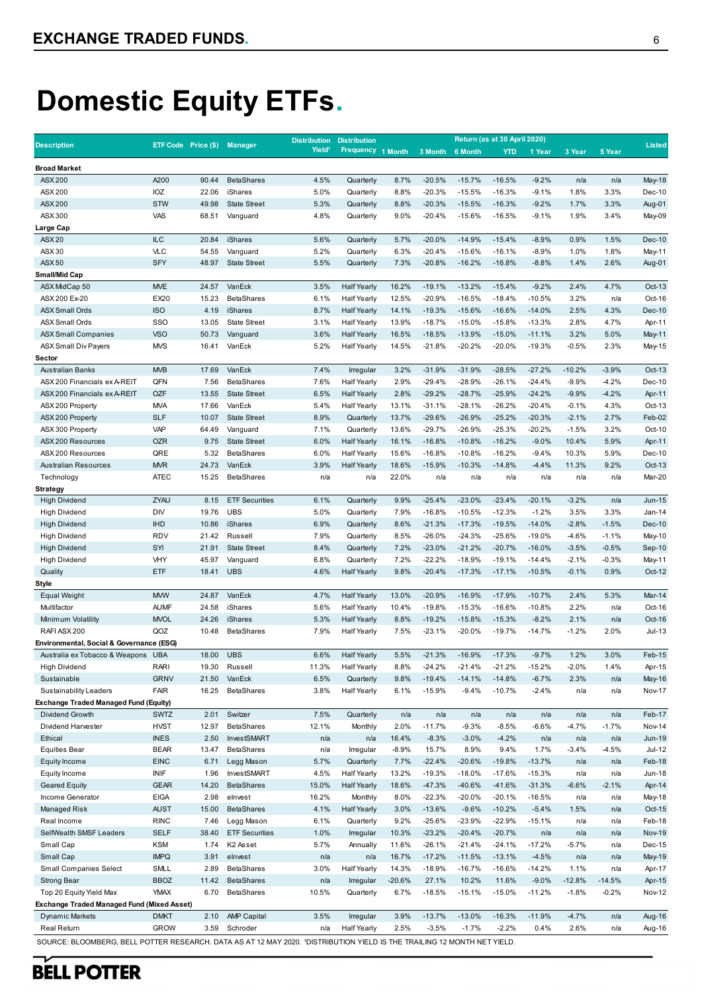# **Domestic Equity ETFs.**

|                                                                                                                          |                            |                             |                                | <b>Distribution</b> | <b>Distribution</b>           |                |                      |                      | Return (as at 30 April 2020) |                      |                    |                    | <b>Listed</b>    |
|--------------------------------------------------------------------------------------------------------------------------|----------------------------|-----------------------------|--------------------------------|---------------------|-------------------------------|----------------|----------------------|----------------------|------------------------------|----------------------|--------------------|--------------------|------------------|
| <b>Description</b>                                                                                                       |                            | ETF Code Price (\$) Manager |                                | Yield <sup>1</sup>  | <b>Frequency</b>              | 1 Month        | 3 Month              | 6 Month              | <b>YTD</b>                   | 1 Year               | 3 Year             | 5 Year             |                  |
| <b>Broad Market</b>                                                                                                      |                            |                             |                                |                     |                               |                |                      |                      |                              |                      |                    |                    |                  |
| <b>ASX 200</b>                                                                                                           | A200                       | 90.44                       | <b>BetaShares</b>              | 4.5%                | Quarterly                     | 8.7%           | $-20.5%$             | $-15.7%$             | $-16.5%$                     | $-9.2%$              | n/a                | n/a                | <b>May-18</b>    |
| ASX 200                                                                                                                  | IOZ                        | 22.06                       | iShares                        | 5.0%                | Quarterly                     | 8.8%           | $-20.3%$             | $-15.5%$             | $-16.3%$                     | $-9.1%$              | 1.8%               | 3.3%               | Dec-10           |
| <b>ASX 200</b>                                                                                                           | <b>STW</b>                 | 49.98                       | <b>State Street</b>            | 5.3%                | Quarterly                     | 8.8%           | $-20.3%$             | $-15.5%$             | $-16.3%$                     | $-9.2%$              | 1.7%               | 3.3%               | Aug-01           |
| ASX 300                                                                                                                  | VAS                        | 68.51                       | Vanguard                       | 4.8%                | Quarterly                     | 9.0%           | $-20.4%$             | $-15.6%$             | $-16.5%$                     | $-9.1%$              | 1.9%               | 3.4%               | May-09           |
| Large Cap                                                                                                                |                            |                             |                                |                     |                               |                |                      |                      |                              |                      |                    |                    |                  |
| <b>ASX20</b>                                                                                                             | <b>ILC</b>                 | 20.84                       | iShares                        | 5.6%                | Quarterly                     | 5.7%           | $-20.0%$             | $-14.9%$             | $-15.4%$                     | $-8.9%$              | 0.9%               | 1.5%               | Dec-10           |
| ASX 30                                                                                                                   | <b>VLC</b>                 | 54.55                       | Vanguard                       | 5.2%                | Quarterly                     | 6.3%           | $-20.4%$             | $-15.6%$             | $-16.1%$                     | $-8.9%$              | 1.0%               | 1.8%               | May-11           |
| <b>ASX50</b>                                                                                                             | <b>SFY</b>                 | 48.97                       | <b>State Street</b>            | 5.5%                | Quarterly                     | 7.3%           | $-20.8%$             | $-16.2%$             | $-16.8%$                     | $-8.8%$              | 1.4%               | 2.6%               | Aug-01           |
| <b>Small/Mid Cap</b><br>ASX MidCap 50                                                                                    |                            |                             |                                |                     | <b>Half Yearly</b>            |                |                      |                      |                              |                      |                    |                    |                  |
| ASX 200 Ex-20                                                                                                            | <b>MVE</b><br>EX20         | 24.57<br>15.23              | VanEck<br><b>BetaShares</b>    | 3.5%<br>6.1%        | <b>Half Yearly</b>            | 16.2%<br>12.5% | $-19.1%$<br>$-20.9%$ | $-13.2%$<br>$-16.5%$ | $-15.4%$<br>$-18.4%$         | $-9.2%$<br>$-10.5%$  | 2.4%<br>3.2%       | 4.7%<br>n/a        | Oct-13<br>Oct-16 |
| <b>ASX Small Ords</b>                                                                                                    | <b>ISO</b>                 | 4.19                        | iShares                        | 8.7%                | <b>Half Yearly</b>            | 14.1%          | $-19.3%$             | $-15.6%$             | $-16.6%$                     | $-14.0%$             | 2.5%               | 4.3%               | Dec-10           |
| <b>ASX Small Ords</b>                                                                                                    | SSO                        | 13.05                       | <b>State Street</b>            | 3.1%                | <b>Half Yearly</b>            | 13.9%          | $-18.7%$             | $-15.0%$             | $-15.8%$                     | $-13.3%$             | 2.8%               | 4.7%               | Apr-11           |
| <b>ASX Small Companies</b>                                                                                               | <b>VSO</b>                 | 50.73                       | Vanguard                       | 3.6%                | <b>Half Yearly</b>            | 16.5%          | $-18.5%$             | $-13.9%$             | $-15.0%$                     | $-11.1%$             | 3.2%               | 5.0%               | May-11           |
| <b>ASX Small Div Payers</b>                                                                                              | <b>MVS</b>                 | 16.41                       | VanEck                         | 5.2%                | <b>Half Yearly</b>            | 14.5%          | $-21.8%$             | $-20.2%$             | $-20.0%$                     | $-19.3%$             | $-0.5%$            | 2.3%               | May-15           |
| Sector                                                                                                                   |                            |                             |                                |                     |                               |                |                      |                      |                              |                      |                    |                    |                  |
| <b>Australian Banks</b>                                                                                                  | <b>MVB</b>                 | 17.69                       | VanEck                         | 7.4%                | Irregular                     | 3.2%           | $-31.9%$             | $-31.9%$             | $-28.5%$                     | $-27.2%$             | $-10.2%$           | $-3.9%$            | Oct-13           |
| ASX 200 Financials ex A-REIT                                                                                             | QFN                        | 7.56                        | <b>BetaShares</b>              | 7.6%                | <b>Half Yearly</b>            | 2.9%           | $-29.4%$             | $-28.9%$             | $-26.1%$                     | $-24.4%$             | $-9.9%$            | $-4.2%$            | Dec-10           |
| ASX 200 Financials ex A-REIT                                                                                             | <b>OZF</b>                 | 13.55                       | <b>State Street</b>            | 6.5%                | <b>Half Yearly</b>            | 2.8%           | $-29.2%$             | $-28.7%$             | $-25.9%$                     | $-24.2%$             | $-9.9%$            | -4.2%              | Apr-11           |
| ASX 200 Property                                                                                                         | <b>MVA</b>                 | 17.66                       | VanEck                         | 5.4%                | <b>Half Yearly</b>            | 13.1%          | $-31.1%$             | $-28.1%$             | $-26.2%$                     | $-20.4%$             | $-0.1%$            | 4.3%               | Oct-13           |
| ASX 200 Property                                                                                                         | <b>SLF</b>                 | 10.07                       | <b>State Street</b>            | 8.9%                | Quarterly                     | 13.7%          | $-29.6%$             | $-26.9%$             | $-25.2%$                     | $-20.3%$             | $-2.1%$            | 2.7%               | Feb-02           |
| ASX 300 Property                                                                                                         | <b>VAP</b>                 | 64.49                       | Vanguard                       | 7.1%                | Quarterly                     | 13.6%          | $-29.7%$             | $-26.9%$             | $-25.3%$                     | $-20.2%$             | $-1.5%$            | 3.2%               | Oct-10           |
| ASX 200 Resources                                                                                                        | <b>OZR</b>                 | 9.75                        | <b>State Street</b>            | 6.0%                | <b>Half Yearly</b>            | 16.1%          | $-16.8%$             | $-10.8%$             | $-16.2%$                     | $-9.0%$              | 10.4%              | 5.9%               | Apr-11           |
| ASX 200 Resources                                                                                                        | QRE                        | 5.32                        | <b>BetaShares</b>              | 6.0%                | <b>Half Yearly</b>            | 15.6%          | $-16.8%$             | $-10.8%$             | $-16.2%$                     | $-9.4%$              | 10.3%              | 5.9%               | Dec-10           |
| <b>Australian Resources</b>                                                                                              | <b>MVR</b>                 | 24.73                       | VanEck                         | 3.9%                | <b>Half Yearly</b>            | 18.6%          | $-15.9%$             | $-10.3%$             | $-14.8%$                     | $-4.4%$              | 11.3%              | 9.2%               | Oct-13           |
| Technology                                                                                                               | <b>ATEC</b>                | 15.25                       | <b>BetaShares</b>              | n/a                 | n/a                           | 22.0%          | n/a                  | n/a                  | n/a                          | n/a                  | n/a                | n/a                | Mar-20           |
| Strategy                                                                                                                 |                            |                             |                                |                     |                               |                |                      |                      |                              |                      |                    |                    |                  |
| <b>High Dividend</b>                                                                                                     | ZYAU                       | 8.15                        | <b>ETF Securities</b>          | 6.1%                | Quarterly                     | 9.9%           | $-25.4%$             | $-23.0%$             | $-23.4%$                     | $-20.1%$             | $-3.2%$            | n/a                | <b>Jun-15</b>    |
| <b>High Dividend</b>                                                                                                     | <b>DIV</b>                 | 19.76                       | <b>UBS</b>                     | 5.0%                | Quarterly                     | 7.9%           | $-16.8%$             | $-10.5%$             | $-12.3%$                     | $-1.2%$              | 3.5%               | 3.3%               | $Jan-14$         |
| <b>High Dividend</b>                                                                                                     | <b>IHD</b>                 | 10.86                       | iShares                        | 6.9%                | Quarterly                     | 8.6%           | $-21.3%$             | $-17.3%$             | $-19.5%$                     | $-14.0%$             | $-2.8%$            | $-1.5%$            | Dec-10           |
| <b>High Dividend</b><br><b>High Dividend</b>                                                                             | <b>RDV</b><br>SYI          | 21.42<br>21.91              | Russell<br><b>State Street</b> | 7.9%<br>8.4%        | Quarterly<br>Quarterly        | 8.5%<br>7.2%   | $-26.0%$<br>$-23.0%$ | $-24.3%$<br>$-21.2%$ | $-25.6%$<br>$-20.7%$         | $-19.0%$<br>$-16.0%$ | $-4.6%$<br>$-3.5%$ | $-1.1%$<br>$-0.5%$ | May-10<br>Sep-10 |
| <b>High Dividend</b>                                                                                                     | <b>VHY</b>                 | 45.97                       | Vanguard                       | 6.8%                | Quarterly                     | 7.2%           | $-22.2%$             | $-18.9%$             | $-19.1%$                     | $-14.4%$             | $-2.1%$            | $-0.3%$            | May-11           |
| Quality                                                                                                                  | <b>ETF</b>                 | 18.41                       | <b>UBS</b>                     | 4.6%                | <b>Half Yearly</b>            | 9.8%           | $-20.4%$             | $-17.3%$             | $-17.1%$                     | $-10.5%$             | $-0.1%$            | 0.9%               | Oct-12           |
| Style                                                                                                                    |                            |                             |                                |                     |                               |                |                      |                      |                              |                      |                    |                    |                  |
| <b>Equal Weight</b>                                                                                                      | <b>MVW</b>                 | 24.87                       | VanEck                         | 4.7%                | <b>Half Yearly</b>            | 13.0%          | $-20.9%$             | $-16.9%$             | $-17.9%$                     | $-10.7%$             | 2.4%               | 5.3%               | Mar-14           |
| Multifactor                                                                                                              | <b>AUMF</b>                | 24.58                       | iShares                        | 5.6%                | <b>Half Yearly</b>            | 10.4%          | $-19.8%$             | $-15.3%$             | $-16.6%$                     | $-10.8%$             | 2.2%               | n/a                | Oct-16           |
| Minimum Volatility                                                                                                       | <b>MVOL</b>                | 24.26                       | iShares                        | 5.3%                | <b>Half Yearly</b>            | 8.8%           | $-19.2%$             | $-15.8%$             | $-15.3%$                     | $-8.2%$              | 2.1%               | n/a                | Oct-16           |
| RAFI ASX 200                                                                                                             | QOZ                        | 10.48                       | <b>BetaShares</b>              | 7.9%                | <b>Half Yearly</b>            | 7.5%           | $-23.1%$             | $-20.0%$             | $-19.7%$                     | $-14.7%$             | $-1.2%$            | 2.0%               | $Jul-13$         |
| Environmental, Social & Governance (ESG)                                                                                 |                            |                             |                                |                     |                               |                |                      |                      |                              |                      |                    |                    |                  |
| Australia ex Tobacco & Weapons UBA                                                                                       |                            | 18.00                       | <b>UBS</b>                     | 6.6%                | <b>Half Yearly</b>            | 5.5%           | $-21.3%$             | $-16.9%$             | $-17.3%$                     | $-9.7%$              | 1.2%               | 3.0%               | Feb-15           |
| <b>High Dividend</b>                                                                                                     | RARI                       | 19.30                       | Russell                        | 11.3%               | <b>Half Yearly</b>            | 8.8%           | $-24.2%$             | $-21.4%$             | $-21.2%$                     | $-15.2%$             | $-2.0%$            | 1.4%               | Apr-15           |
| Sustainable                                                                                                              | <b>GRNV</b>                | 21.50                       | VanEck                         | 6.5%                | Quarterly                     | 9.8%           | $-19.4%$             | $-14.1%$             | $-14.8%$                     | $-6.7%$              | 2.3%               | n/a                | May-16           |
| Sustainability Leaders                                                                                                   | <b>FAIR</b>                | 16.25                       | <b>BetaShares</b>              | 3.8%                | <b>Half Yearly</b>            | 6.1%           | $-15.9%$             | $-9.4%$              | $-10.7%$                     | -2.4%                | n/a                | n/a                | <b>Nov-17</b>    |
| <b>Exchange Traded Managed Fund (Equity)</b>                                                                             |                            |                             |                                |                     |                               |                |                      |                      |                              |                      |                    |                    |                  |
| Dividend Growth                                                                                                          | <b>SWTZ</b>                | 2.01                        | Switzer                        | 7.5%                | Quarterly                     | n/a            | n/a                  | n/a                  | n/a                          | n/a                  | n/a                | n/a                | Feb-17           |
| Dividend Harvester                                                                                                       | <b>HVST</b>                | 12.97                       | <b>BetaShares</b>              | 12.1%               | Monthly                       | 2.0%           | $-11.7%$             | $-9.3%$              | $-8.5%$                      | $-6.6%$              | $-4.7%$            | $-1.7%$            | <b>Nov-14</b>    |
| Ethical                                                                                                                  | <b>INES</b>                | 2.50                        | InvestSMART                    | n/a                 | n/a                           | 16.4%          | $-8.3%$              | $-3.0%$              | $-4.2%$                      | n/a                  | n/a                | n/a                | <b>Jun-19</b>    |
| <b>Equities Bear</b>                                                                                                     | <b>BEAR</b>                | 13.47                       | <b>BetaShares</b>              | n/a                 | Irregular                     | $-8.9%$        | 15.7%                | 8.9%                 | 9.4%                         | 1.7%                 | $-3.4%$            | $-4.5%$            | <b>Jul-12</b>    |
| Equity Income                                                                                                            | <b>EINC</b>                | 6.71                        | Legg Mason                     | 5.7%                | Quarterly                     | 7.7%           | $-22.4%$             | $-20.6%$             | $-19.8%$                     | $-13.7%$             | n/a                | n/a                | Feb-18           |
| Equity Income                                                                                                            | INIF                       | 1.96                        | InvestSMART                    | 4.5%                | <b>Half Yearly</b>            | 13.2%          | $-19.3%$             | $-18.0%$             | $-17.6%$                     | $-15.3%$             | n/a                | n/a                | <b>Jun-18</b>    |
| <b>Geared Equity</b>                                                                                                     | <b>GEAR</b><br><b>EIGA</b> | 14.20<br>2.98               | <b>BetaShares</b><br>elnvest   | 15.0%<br>16.2%      | <b>Half Yearly</b><br>Monthly | 18.6%<br>8.0%  | $-47.3%$<br>$-22.3%$ | $-40.6%$<br>$-20.0%$ | $-41.6%$<br>$-20.1%$         | $-31.3%$<br>$-16.5%$ | $-6.6%$            | $-2.1%$            | Apr-14           |
| Income Generator<br>Managed Risk                                                                                         | <b>AUST</b>                | 15.00                       | <b>BetaShares</b>              | 4.1%                | <b>Half Yearly</b>            | 3.0%           | $-13.6%$             | $-9.6%$              | $-10.2%$                     | $-5.4%$              | n/a<br>1.5%        | n/a<br>n/a         | May-18<br>Oct-15 |
| Real Income                                                                                                              | <b>RINC</b>                | 7.46                        | Legg Mason                     | 6.1%                | Quarterly                     | 9.2%           | $-25.6%$             | $-23.9%$             | $-22.9%$                     | $-15.1%$             | n/a                | n/a                | Feb-18           |
| SelfWealth SMSF Leaders                                                                                                  | <b>SELF</b>                | 38.40                       | <b>ETF Securities</b>          | 1.0%                | Irregular                     | 10.3%          | $-23.2%$             | $-20.4%$             | $-20.7%$                     | n/a                  | n/a                | n/a                | <b>Nov-19</b>    |
| Small Cap                                                                                                                | <b>KSM</b>                 | 1.74                        | K <sub>2</sub> Asset           | 5.7%                | Annually                      | 11.6%          | $-26.1%$             | $-21.4%$             | $-24.1%$                     | $-17.2%$             | $-5.7%$            | n/a                | Dec-15           |
| Small Cap                                                                                                                | <b>IMPQ</b>                | 3.91                        | elnvest                        | n/a                 | n/a                           | 16.7%          | $-17.2%$             | $-11.5%$             | $-13.1%$                     | $-4.5%$              | n/a                | n/a                | May-19           |
| <b>Small Companies Select</b>                                                                                            | <b>SMLL</b>                | 2.89                        | <b>BetaShares</b>              | 3.0%                | <b>Half Yearly</b>            | 14.3%          | $-18.9%$             | $-16.7%$             | $-16.6%$                     | $-14.2%$             | 1.1%               | n/a                | Apr-17           |
| <b>Strong Bear</b>                                                                                                       | <b>BBOZ</b>                | 11.42                       | <b>BetaShares</b>              | n/a                 | Irregular                     | $-20.6%$       | 27.1%                | 10.2%                | 11.6%                        | $-9.0%$              | $-12.8%$           | $-14.5%$           | Apr-15           |
| Top 20 Equity Yield Max                                                                                                  | <b>YMAX</b>                | 6.70                        | <b>BetaShares</b>              | 10.5%               | Quarterly                     | 6.7%           | $-18.5%$             | $-15.1%$             | $-15.0%$                     | $-11.2%$             | $-1.8%$            | $-0.2\%$           | Nov-12           |
| <b>Exchange Traded Managed Fund (Mixed Asset)</b>                                                                        |                            |                             |                                |                     |                               |                |                      |                      |                              |                      |                    |                    |                  |
| Dynamic Markets                                                                                                          | <b>DMKT</b>                | 2.10                        | <b>AMP Capital</b>             | 3.5%                | Irregular                     | 3.9%           | $-13.7%$             | $-13.0%$             | $-16.3%$                     | $-11.9%$             | $-4.7%$            | n/a                | Aug-16           |
| Real Return                                                                                                              | <b>GROW</b>                | 3.59                        | Schroder                       | n/a                 | <b>Half Yearly</b>            | 2.5%           | $-3.5%$              | $-1.7%$              | $-2.2%$                      | 0.4%                 | 2.6%               | n/a                | Aug-16           |
| SOURCE: BLOOMBERG, BELL POTTER RESEARCH. DATA AS AT 12 MAY 2020. 'DISTRIBUTION YIELD IS THE TRAILING 12 MONTH NET YIELD. |                            |                             |                                |                     |                               |                |                      |                      |                              |                      |                    |                    |                  |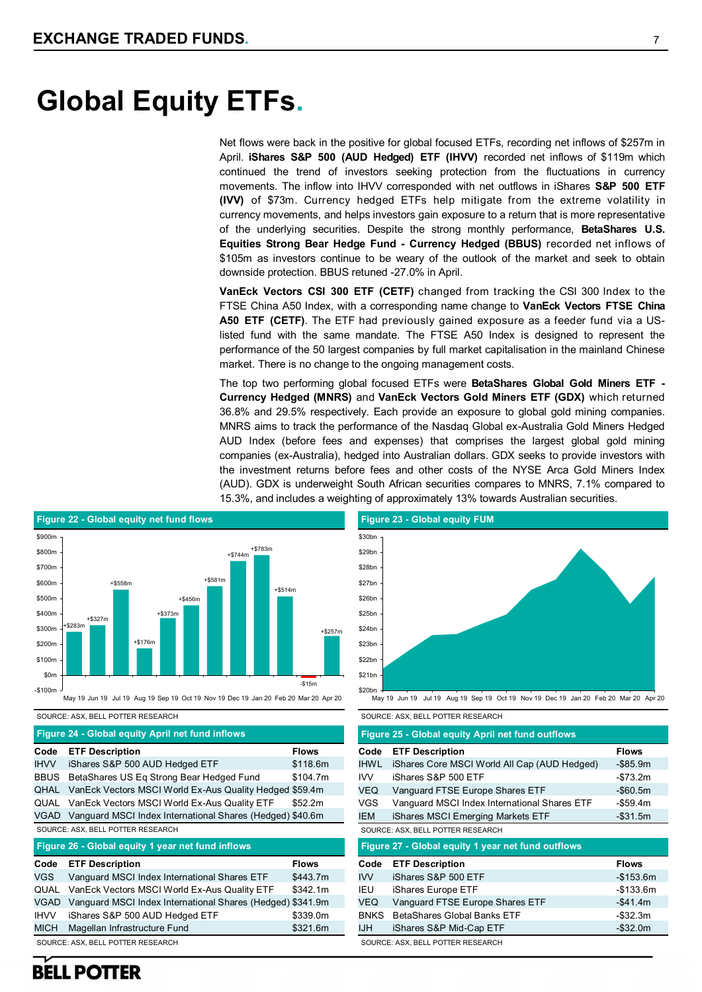Net flows were back in the positive for global focused ETFs, recording net inflows of \$257m in April. **iShares S&P 500 (AUD Hedged) ETF (IHVV)** recorded net inflows of \$119m which continued the trend of investors seeking protection from the fluctuations in currency movements. The inflow into IHVV corresponded with net outflows in iShares **S&P 500 ETF (IVV)** of \$73m. Currency hedged ETFs help mitigate from the extreme volatility in currency movements, and helps investors gain exposure to a return that is more representative of the underlying securities. Despite the strong monthly performance, **BetaShares U.S. Equities Strong Bear Hedge Fund - Currency Hedged (BBUS)** recorded net inflows of \$105m as investors continue to be weary of the outlook of the market and seek to obtain downside protection. BBUS retuned -27.0% in April.

**VanEck Vectors CSI 300 ETF (CETF)** changed from tracking the CSI 300 Index to the FTSE China A50 Index, with a corresponding name change to **VanEck Vectors FTSE China A50 ETF (CETF)**. The ETF had previously gained exposure as a feeder fund via a USlisted fund with the same mandate. The FTSE A50 Index is designed to represent the performance of the 50 largest companies by full market capitalisation in the mainland Chinese market. There is no change to the ongoing management costs.

The top two performing global focused ETFs were **BetaShares Global Gold Miners ETF - Currency Hedged (MNRS)** and **VanEck Vectors Gold Miners ETF (GDX)** which returned 36.8% and 29.5% respectively. Each provide an exposure to global gold mining companies. MNRS aims to track the performance of the Nasdaq Global ex-Australia Gold Miners Hedged AUD Index (before fees and expenses) that comprises the largest global gold mining companies (ex-Australia), hedged into Australian dollars. GDX seeks to provide investors with the investment returns before fees and other costs of the NYSE Arca Gold Miners Index (AUD). GDX is underweight South African securities compares to MNRS, 7.1% compared to 15.3%, and includes a weighting of approximately 13% towards Australian securities.



SOURCE: ASX, BELL POTTER RESEARCH

**Figure 24 - Global equity April net fund inflows**

| Code        | <b>ETF Description</b>                                    | <b>Flows</b> |
|-------------|-----------------------------------------------------------|--------------|
| <b>IHVV</b> | iShares S&P 500 AUD Hedged ETF                            | \$118.6m     |
| <b>BBUS</b> | BetaShares US Eq Strong Bear Hedged Fund                  | \$104.7m     |
| QHAL        | Van Eck Vectors MSCI World Ex-Aus Quality Hedged \$59.4m  |              |
| QUAL        | Van Eck Vectors MSCI World Ex-Aus Quality ETF             | \$52.2m      |
| VGAD        | Vanguard MSCI Index International Shares (Hedged) \$40.6m |              |
|             |                                                           |              |
|             | SOURCE: ASX, BELL POTTER RESEARCH                         |              |
|             | Figure 26 - Global equity 1 year net fund inflows         |              |
| Code        | <b>ETF Description</b>                                    | <b>Flows</b> |
| VGS.        | Vanguard MSCI Index International Shares ETF              | \$443.7m     |
| QUAL        | VanEck Vectors MSCI World Ex-Aus Quality ETF              | \$342.1m     |

IHVV iShares S&P 500 AUD Hedged ETF \$339.0m MICH Magellan Infrastructure Fund \$321.6m

**Figure 23 - Global equity FUM**  $$20hr$ \$21bn \$22bn \$23hr \$24bn \$25bn  $$26b$ \$27bn \$28hr  $$29<sub>b</sub>$ \$30br May 19 Jun 19 Jul 19 Aug 19 Sep 19 Oct 19 Nov 19 Dec 19 Jan 20 Feb 20 Mar 20 Apr 20

|             | SOURCE: ASX, BELL POTTER RESEARCH                  |              |
|-------------|----------------------------------------------------|--------------|
|             | Figure 25 - Global equity April net fund outflows  |              |
| Code        | <b>ETF Description</b>                             | <b>Flows</b> |
| <b>IHWL</b> | iShares Core MSCI World All Cap (AUD Hedged)       | $-$ \$85.9m  |
| <b>IVV</b>  | iShares S&P 500 ETF                                | -\$73.2m     |
| <b>VEQ</b>  | Vanguard FTSE Europe Shares ETF                    | $-$60.5m$    |
| VGS         | Vanguard MSCI Index International Shares ETF       | -\$59.4m     |
| <b>IEM</b>  | iShares MSCI Emerging Markets ETF                  | $-$ \$31.5m  |
|             |                                                    |              |
|             | SOURCE: ASX, BELL POTTER RESEARCH                  |              |
|             | Figure 27 - Global equity 1 year net fund outflows |              |
| Code        | <b>ETF Description</b>                             | <b>Flows</b> |
| <b>IVV</b>  | iShares S&P 500 ETF                                | $-$153.6m$   |
| IEU         | iShares Europe ETF                                 | -\$133.6m    |
| <b>VEQ</b>  | Vanguard FTSE Europe Shares ETF                    | $-$ \$41.4m  |
| <b>BNKS</b> | BetaShares Global Banks ETF                        | $-$ \$32.3m  |
| IJH.        | iShares S&P Mid-Cap ETF                            | $-$ \$32.0m  |

## **BELL POTTER**

SOURCE: ASX, BELL POTTER RESEARCH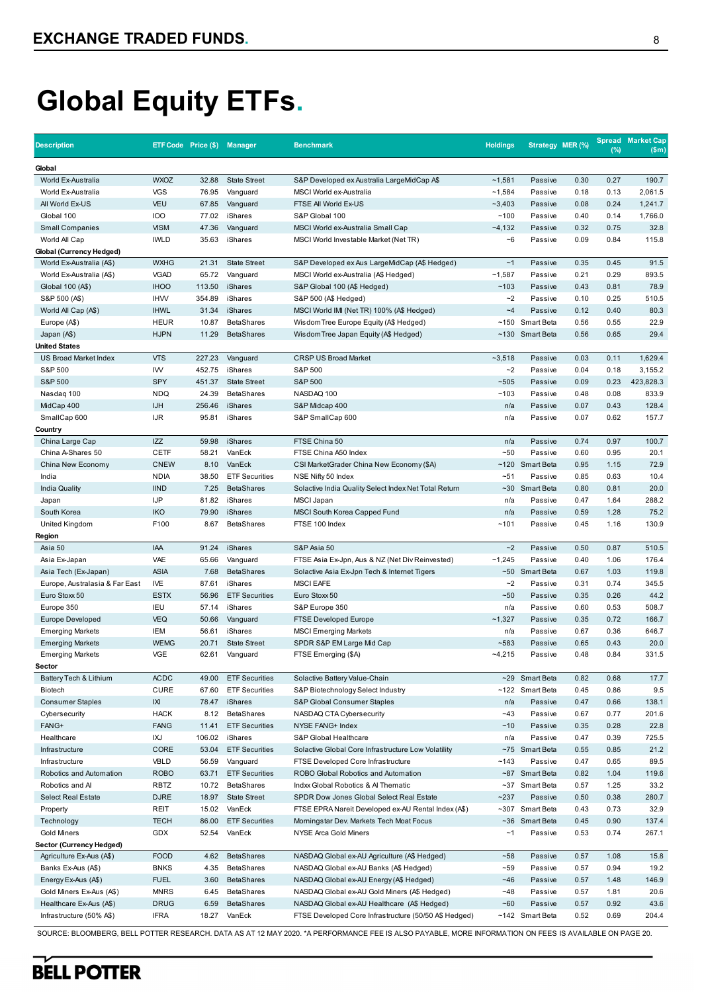**BELL POTTER** 

# **Global Equity ETFs.**

| Global<br>World Ex-Australia<br><b>WXOZ</b><br><b>State Street</b><br>~1,581<br>0.30<br>0.27<br>190.7<br>32.88<br>S&P Developed ex Australia LargeMidCap A\$<br>Passive<br><b>VGS</b><br>~1,584<br>0.13<br>2,061.5<br>World Ex-Australia<br>76.95<br>Vanguard<br><b>MSCI World ex-Australia</b><br>Passive<br>0.18<br>All World Ex-US<br>VEU<br>67.85<br>~2,403<br>0.08<br>0.24<br>1,241.7<br>Vanguard<br>FTSE AII World Ex-US<br>Passive<br><b>IOO</b><br>Global 100<br>77.02<br>iShares<br>S&P Global 100<br>~100<br>Passive<br>0.40<br>0.14<br>1,766.0<br><b>VISM</b><br>0.75<br>32.8<br><b>Small Companies</b><br>47.36<br>Vanguard<br>MSCI World ex-Australia Small Cap<br>$-4,132$<br>Passive<br>0.32<br><b>IWLD</b><br>35.63<br>0.09<br>0.84<br>115.8<br>World All Cap<br>iShares<br>MSCI World Investable Market (Net TR)<br>$-6$<br>Passive<br>Global (Currency Hedged)<br><b>WXHG</b><br>21.31<br>~1<br>0.35<br>91.5<br>World Ex-Australia (A\$)<br><b>State Street</b><br>S&P Developed ex Aus LargeMidCap (A\$ Hedged)<br>Passive<br>0.45<br><b>VGAD</b><br>0.21<br>0.29<br>893.5<br>World Ex-Australia (A\$)<br>65.72<br>MSCI World ex-Australia (A\$ Hedged)<br>~1,587<br>Passive<br>Vanguard<br>78.9<br><b>IHOO</b><br>~103<br>Global 100 (A\$)<br>113.50<br>iShares<br>S&P Global 100 (A\$ Hedged)<br>Passive<br>0.43<br>0.81<br><b>IHW</b><br>$-2$<br>510.5<br>S&P 500 (A\$)<br>354.89<br>iShares<br>S&P 500 (A\$ Hedged)<br>Passive<br>0.10<br>0.25<br><b>IHWL</b><br>$-4$<br>80.3<br>31.34<br>iShares<br>MSCI World IMI (Net TR) 100% (A\$ Hedged)<br>Passive<br>0.12<br>0.40<br>World All Cap (A\$)<br><b>HEUR</b><br>10.87<br><b>BetaShares</b><br>~150 Smart Beta<br>0.56<br>0.55<br>22.9<br>Europe (A\$)<br>Wisdom Tree Europe Equity (A\$ Hedged)<br><b>HJPN</b><br>11.29<br><b>BetaShares</b><br>~130 Smart Beta<br>0.56<br>0.65<br>29.4<br>Japan (A\$)<br>Wisdom Tree Japan Equity (A\$ Hedged)<br><b>United States</b><br><b>VTS</b><br>227.23<br><b>CRSP US Broad Market</b><br>$-3,518$<br>0.03<br>0.11<br>1,629.4<br>US Broad Market Index<br>Vanguard<br>Passive<br>S&P 500<br>IW<br>452.75<br>iShares<br>S&P 500<br>$-2$<br>0.04<br>0.18<br>3,155.2<br>Passive<br>S&P 500<br>SPY<br>451.37<br>S&P 500<br>$-505$<br>0.23<br>423,828.3<br><b>State Street</b><br>Passive<br>0.09<br><b>NDQ</b><br><b>BetaShares</b><br>0.08<br>833.9<br>Nasdag 100<br>24.39<br>NASDAQ 100<br>~103<br>Passive<br>0.48<br><b>IJH</b><br>256.46<br>iShares<br>0.07<br>0.43<br>128.4<br>MidCap 400<br>S&P Midcap 400<br>n/a<br>Passive<br>SmallCap 600<br><b>IJR</b><br>95.81<br>0.07<br>0.62<br>157.7<br>iShares<br>S&P SmallCap 600<br>n/a<br>Passive<br>Country<br><b>IZZ</b><br>iShares<br>0.74<br>100.7<br>59.98<br>FTSE China 50<br>0.97<br>China Large Cap<br>n/a<br>Passive<br><b>CETF</b><br>58.21<br>VanEck<br>$-50$<br>0.60<br>0.95<br>20.1<br>China A-Shares 50<br>FTSE China A50 Index<br>Passive<br><b>CNEW</b><br>VanEck<br>~120 Smart Beta<br>72.9<br>China New Economy<br>8.10<br>CSI MarketGrader China New Economy (\$A)<br>0.95<br>1.15<br><b>NDIA</b><br>38.50<br><b>ETF Securities</b><br>$-51$<br>10.4<br>India<br>NSE Nifty 50 Index<br>Passive<br>0.85<br>0.63<br><b>IIND</b><br>7.25<br><b>BetaShares</b><br>~30 Smart Beta<br>0.80<br>0.81<br>20.0<br><b>India Quality</b><br>Solactive India Quality Select Index Net Total Return<br><b>IJP</b><br>81.82<br>288.2<br>Japan<br>iShares<br><b>MSCI Japan</b><br>n/a<br>Passive<br>0.47<br>1.64<br>75.2<br><b>IKO</b><br>South Korea<br>79.90<br>iShares<br><b>MSCI South Korea Capped Fund</b><br>n/a<br>Passive<br>0.59<br>1.28<br>130.9<br>F100<br>~101<br>United Kingdom<br><b>BetaShares</b><br>FTSE 100 Index<br>Passive<br>0.45<br>1.16<br>8.67<br>Region<br>IAA<br>~2<br>Asia 50<br>91.24<br>iShares<br>S&P Asia 50<br>Passive<br>0.50<br>0.87<br>510.5<br><b>VAE</b><br>65.66<br>~1,245<br>176.4<br>Asia Ex-Japan<br>FTSE Asia Ex-Jpn, Aus & NZ (Net Div Reinvested)<br>Passive<br>0.40<br>1.06<br>Vanguard<br><b>ASIA</b><br>~50 Smart Beta<br>0.67<br>1.03<br>119.8<br>7.68<br><b>BetaShares</b><br>Solactive Asia Ex-Jpn Tech & Internet Tigers<br>Asia Tech (Ex-Japan)<br>IVE<br>87.61<br>iShares<br><b>MSCI EAFE</b><br>$-2$<br>0.31<br>0.74<br>345.5<br>Europe, Australasia & Far East<br>Passive<br>$~10-50$<br>44.2<br>Euro Stoxx 50<br><b>ESTX</b><br>56.96<br><b>ETF Securities</b><br>Euro Stoxx 50<br>Passive<br>0.35<br>0.26<br>IEU<br>57.14<br>508.7<br>Europe 350<br>iShares<br>S&P Europe 350<br>Passive<br>0.60<br>0.53<br>n/a<br><b>VEQ</b><br>50.66<br>~1,327<br>0.72<br>166.7<br><b>Europe Developed</b><br>Vanguard<br><b>FTSE Developed Europe</b><br>Passive<br>0.35<br><b>IEM</b><br>56.61<br>iShares<br>0.67<br>0.36<br>646.7<br><b>Emerging Markets</b><br><b>MSCI Emerging Markets</b><br>n/a<br>Passive<br>20.0<br><b>WEMG</b><br><b>Emerging Markets</b><br>20.71<br><b>State Street</b><br>SPDR S&P EM Large Mid Cap<br>~1583<br>Passive<br>0.65<br>0.43<br><b>VGE</b><br>62.61<br>Vanguard<br>$-4,215$<br>Passive<br>0.48<br>0.84<br>331.5<br><b>Emerging Markets</b><br>FTSE Emerging (\$A)<br>Sector<br><b>ACDC</b><br>17.7<br>Battery Tech & Lithium<br>49.00<br><b>ETF Securities</b><br>Solactive Battery Value-Chain<br>~29 Smart Beta<br>0.82<br>0.68<br><b>CURE</b><br>67.60<br><b>ETF Securities</b><br>S&P Biotechnology Select Industry<br>~122 Smart Beta<br>0.45<br>0.86<br>9.5<br>Biotech<br>$\sf IXI$<br><b>Consumer Staples</b><br>78.47<br>iShares<br>Passive<br>0.47<br>0.66<br>138.1<br>S&P Global Consumer Staples<br>n/a<br>Cybersecurity<br><b>HACK</b><br><b>BetaShares</b><br>NASDAQ CTA Cybersecurity<br>$-43$<br>Passive<br>0.67<br>0.77<br>201.6<br>8.12<br>FANG+<br><b>FANG</b><br><b>ETF Securities</b><br>NYSE FANG+ Index<br>~10<br>Passive<br>22.8<br>11.41<br>0.35<br>0.28<br>Healthcare<br>IXJ<br>106.02<br>iShares<br>S&P Global Healthcare<br>Passive<br>0.47<br>0.39<br>725.5<br>n/a<br>Infrastructure<br>CORE<br>53.04<br><b>ETF Securities</b><br>Solactive Global Core Infrastructure Low Volatility<br>~75 Smart Beta<br>0.55<br>0.85<br>21.2<br>VBLD<br>56.59<br>~143<br>Passive<br>89.5<br>Infrastructure<br>Vanguard<br>FTSE Developed Core Infrastructure<br>0.47<br>0.65<br><b>ROBO</b><br>63.71<br><b>ETF Securities</b><br>~87 Smart Beta<br>0.82<br>1.04<br>119.6<br>Robotics and Automation<br>ROBO Global Robotics and Automation<br>Robotics and Al<br>RBTZ<br><b>BetaShares</b><br>Indxx Global Robotics & Al Thematic<br>~37 Smart Beta<br>0.57<br>1.25<br>33.2<br>10.72<br>Select Real Estate<br><b>DJRE</b><br>18.97<br><b>State Street</b><br>SPDR Dow Jones Global Select Real Estate<br>~237<br>Passive<br>0.38<br>280.7<br>0.50<br>REIT<br>VanEck<br>~307 Smart Beta<br>0.43<br>0.73<br>32.9<br>Property<br>15.02<br>FTSE EPRA Nareit Developed ex-AU Rental Index (A\$)<br><b>TECH</b><br>86.00<br><b>ETF Securities</b><br>~36 Smart Beta<br>0.45<br>0.90<br>137.4<br>Technology<br>Morningstar Dev. Markets Tech Moat Focus<br><b>Gold Miners</b><br>GDX<br>VanEck<br>~1<br>267.1<br>52.54<br>NYSE Arca Gold Miners<br>Passive<br>0.53<br>0.74<br>Sector (Currency Hedged)<br><b>FOOD</b><br><b>BetaShares</b><br>4.62<br>NASDAQ Global ex-AU Agriculture (A\$ Hedged)<br>$-58$<br>Passive<br>0.57<br>1.08<br>15.8<br>Agriculture Ex-Aus (A\$)<br>Banks Ex-Aus (A\$)<br><b>BNKS</b><br><b>BetaShares</b><br>NASDAQ Global ex-AU Banks (A\$ Hedged)<br>$-59$<br>Passive<br>0.94<br>19.2<br>4.35<br>0.57<br>Energy Ex-Aus (A\$)<br><b>FUEL</b><br>3.60<br><b>BetaShares</b><br>NASDAQ Global ex-AU Energy (A\$ Hedged)<br>Passive<br>0.57<br>1.48<br>146.9<br>$-46$<br>Gold Miners Ex-Aus (A\$)<br><b>MNRS</b><br><b>BetaShares</b><br>NASDAQ Global ex-AU Gold Miners (A\$ Hedged)<br>$-48$<br>Passive<br>20.6<br>6.45<br>0.57<br>1.81<br><b>DRUG</b><br>Healthcare Ex-Aus (A\$)<br>6.59<br><b>BetaShares</b><br>NASDAQ Global ex-AU Healthcare (A\$ Hedged)<br>$-60$<br>Passive<br>0.57<br>0.92<br>43.6<br>Infrastructure (50% A\$)<br><b>IFRA</b><br>18.27<br>VanEck<br>FTSE Developed Core Infrastructure (50/50 A\$ Hedged)<br>~142 Smart Beta<br>0.52<br>0.69<br>204.4 | <b>Description</b> | ETF Code Price (\$) Manager | <b>Benchmark</b> | <b>Holdings</b> | Strategy MER (%) | (%) | <b>Spread Market Cap</b><br>\$m\$ |
|-----------------------------------------------------------------------------------------------------------------------------------------------------------------------------------------------------------------------------------------------------------------------------------------------------------------------------------------------------------------------------------------------------------------------------------------------------------------------------------------------------------------------------------------------------------------------------------------------------------------------------------------------------------------------------------------------------------------------------------------------------------------------------------------------------------------------------------------------------------------------------------------------------------------------------------------------------------------------------------------------------------------------------------------------------------------------------------------------------------------------------------------------------------------------------------------------------------------------------------------------------------------------------------------------------------------------------------------------------------------------------------------------------------------------------------------------------------------------------------------------------------------------------------------------------------------------------------------------------------------------------------------------------------------------------------------------------------------------------------------------------------------------------------------------------------------------------------------------------------------------------------------------------------------------------------------------------------------------------------------------------------------------------------------------------------------------------------------------------------------------------------------------------------------------------------------------------------------------------------------------------------------------------------------------------------------------------------------------------------------------------------------------------------------------------------------------------------------------------------------------------------------------------------------------------------------------------------------------------------------------------------------------------------------------------------------------------------------------------------------------------------------------------------------------------------------------------------------------------------------------------------------------------------------------------------------------------------------------------------------------------------------------------------------------------------------------------------------------------------------------------------------------------------------------------------------------------------------------------------------------------------------------------------------------------------------------------------------------------------------------------------------------------------------------------------------------------------------------------------------------------------------------------------------------------------------------------------------------------------------------------------------------------------------------------------------------------------------------------------------------------------------------------------------------------------------------------------------------------------------------------------------------------------------------------------------------------------------------------------------------------------------------------------------------------------------------------------------------------------------------------------------------------------------------------------------------------------------------------------------------------------------------------------------------------------------------------------------------------------------------------------------------------------------------------------------------------------------------------------------------------------------------------------------------------------------------------------------------------------------------------------------------------------------------------------------------------------------------------------------------------------------------------------------------------------------------------------------------------------------------------------------------------------------------------------------------------------------------------------------------------------------------------------------------------------------------------------------------------------------------------------------------------------------------------------------------------------------------------------------------------------------------------------------------------------------------------------------------------------------------------------------------------------------------------------------------------------------------------------------------------------------------------------------------------------------------------------------------------------------------------------------------------------------------------------------------------------------------------------------------------------------------------------------------------------------------------------------------------------------------------------------------------------------------------------------------------------------------------------------------------------------------------------------------------------------------------------------------------------------------------------------------------------------------------------------------------------------------------------------------------------------------------------------------------------------------------------------------------------------------------------------------------------------------------------------------------------------------------------------------------------------------------------------------------------------------------------------------------------------------------------------------------------------------------------------------------------------------------------------------------------------------------------------------------------------------------------------------------------------------------------------------------------------------------------------------------------------------------------------------------------------------------------------------------------------------------------------------------------------------------------------------------------------------------------------------------------------------------------------------------------------------------------------------------------------------------------------------------------------------------------------------------------------------------------------------------------------------------------------------------------------------------------------------------------------------------------------------------------------------------------------------------------------------------------------------------------------------------------------------------------------------------------------------------------------------------------------------------------------------------------------------------------------------------------------------------------------------------------------------------------------------------------------------------------------------------------------------------------------------------------------------------------------------|--------------------|-----------------------------|------------------|-----------------|------------------|-----|-----------------------------------|
|                                                                                                                                                                                                                                                                                                                                                                                                                                                                                                                                                                                                                                                                                                                                                                                                                                                                                                                                                                                                                                                                                                                                                                                                                                                                                                                                                                                                                                                                                                                                                                                                                                                                                                                                                                                                                                                                                                                                                                                                                                                                                                                                                                                                                                                                                                                                                                                                                                                                                                                                                                                                                                                                                                                                                                                                                                                                                                                                                                                                                                                                                                                                                                                                                                                                                                                                                                                                                                                                                                                                                                                                                                                                                                                                                                                                                                                                                                                                                                                                                                                                                                                                                                                                                                                                                                                                                                                                                                                                                                                                                                                                                                                                                                                                                                                                                                                                                                                                                                                                                                                                                                                                                                                                                                                                                                                                                                                                                                                                                                                                                                                                                                                                                                                                                                                                                                                                                                                                                                                                                                                                                                                                                                                                                                                                                                                                                                                                                                                                                                                                                                                                                                                                                                                                                                                                                                                                                                                                                                                                                                                                                                                                                                                                                                                                                                                                                                                                                                                                                                                                                                                                                                                                                                                                                                                                                                                                                                                                                                                                                                                                                                                                                                       |                    |                             |                  |                 |                  |     |                                   |
|                                                                                                                                                                                                                                                                                                                                                                                                                                                                                                                                                                                                                                                                                                                                                                                                                                                                                                                                                                                                                                                                                                                                                                                                                                                                                                                                                                                                                                                                                                                                                                                                                                                                                                                                                                                                                                                                                                                                                                                                                                                                                                                                                                                                                                                                                                                                                                                                                                                                                                                                                                                                                                                                                                                                                                                                                                                                                                                                                                                                                                                                                                                                                                                                                                                                                                                                                                                                                                                                                                                                                                                                                                                                                                                                                                                                                                                                                                                                                                                                                                                                                                                                                                                                                                                                                                                                                                                                                                                                                                                                                                                                                                                                                                                                                                                                                                                                                                                                                                                                                                                                                                                                                                                                                                                                                                                                                                                                                                                                                                                                                                                                                                                                                                                                                                                                                                                                                                                                                                                                                                                                                                                                                                                                                                                                                                                                                                                                                                                                                                                                                                                                                                                                                                                                                                                                                                                                                                                                                                                                                                                                                                                                                                                                                                                                                                                                                                                                                                                                                                                                                                                                                                                                                                                                                                                                                                                                                                                                                                                                                                                                                                                                                                       |                    |                             |                  |                 |                  |     |                                   |
|                                                                                                                                                                                                                                                                                                                                                                                                                                                                                                                                                                                                                                                                                                                                                                                                                                                                                                                                                                                                                                                                                                                                                                                                                                                                                                                                                                                                                                                                                                                                                                                                                                                                                                                                                                                                                                                                                                                                                                                                                                                                                                                                                                                                                                                                                                                                                                                                                                                                                                                                                                                                                                                                                                                                                                                                                                                                                                                                                                                                                                                                                                                                                                                                                                                                                                                                                                                                                                                                                                                                                                                                                                                                                                                                                                                                                                                                                                                                                                                                                                                                                                                                                                                                                                                                                                                                                                                                                                                                                                                                                                                                                                                                                                                                                                                                                                                                                                                                                                                                                                                                                                                                                                                                                                                                                                                                                                                                                                                                                                                                                                                                                                                                                                                                                                                                                                                                                                                                                                                                                                                                                                                                                                                                                                                                                                                                                                                                                                                                                                                                                                                                                                                                                                                                                                                                                                                                                                                                                                                                                                                                                                                                                                                                                                                                                                                                                                                                                                                                                                                                                                                                                                                                                                                                                                                                                                                                                                                                                                                                                                                                                                                                                                       |                    |                             |                  |                 |                  |     |                                   |
|                                                                                                                                                                                                                                                                                                                                                                                                                                                                                                                                                                                                                                                                                                                                                                                                                                                                                                                                                                                                                                                                                                                                                                                                                                                                                                                                                                                                                                                                                                                                                                                                                                                                                                                                                                                                                                                                                                                                                                                                                                                                                                                                                                                                                                                                                                                                                                                                                                                                                                                                                                                                                                                                                                                                                                                                                                                                                                                                                                                                                                                                                                                                                                                                                                                                                                                                                                                                                                                                                                                                                                                                                                                                                                                                                                                                                                                                                                                                                                                                                                                                                                                                                                                                                                                                                                                                                                                                                                                                                                                                                                                                                                                                                                                                                                                                                                                                                                                                                                                                                                                                                                                                                                                                                                                                                                                                                                                                                                                                                                                                                                                                                                                                                                                                                                                                                                                                                                                                                                                                                                                                                                                                                                                                                                                                                                                                                                                                                                                                                                                                                                                                                                                                                                                                                                                                                                                                                                                                                                                                                                                                                                                                                                                                                                                                                                                                                                                                                                                                                                                                                                                                                                                                                                                                                                                                                                                                                                                                                                                                                                                                                                                                                                       |                    |                             |                  |                 |                  |     |                                   |
|                                                                                                                                                                                                                                                                                                                                                                                                                                                                                                                                                                                                                                                                                                                                                                                                                                                                                                                                                                                                                                                                                                                                                                                                                                                                                                                                                                                                                                                                                                                                                                                                                                                                                                                                                                                                                                                                                                                                                                                                                                                                                                                                                                                                                                                                                                                                                                                                                                                                                                                                                                                                                                                                                                                                                                                                                                                                                                                                                                                                                                                                                                                                                                                                                                                                                                                                                                                                                                                                                                                                                                                                                                                                                                                                                                                                                                                                                                                                                                                                                                                                                                                                                                                                                                                                                                                                                                                                                                                                                                                                                                                                                                                                                                                                                                                                                                                                                                                                                                                                                                                                                                                                                                                                                                                                                                                                                                                                                                                                                                                                                                                                                                                                                                                                                                                                                                                                                                                                                                                                                                                                                                                                                                                                                                                                                                                                                                                                                                                                                                                                                                                                                                                                                                                                                                                                                                                                                                                                                                                                                                                                                                                                                                                                                                                                                                                                                                                                                                                                                                                                                                                                                                                                                                                                                                                                                                                                                                                                                                                                                                                                                                                                                                       |                    |                             |                  |                 |                  |     |                                   |
|                                                                                                                                                                                                                                                                                                                                                                                                                                                                                                                                                                                                                                                                                                                                                                                                                                                                                                                                                                                                                                                                                                                                                                                                                                                                                                                                                                                                                                                                                                                                                                                                                                                                                                                                                                                                                                                                                                                                                                                                                                                                                                                                                                                                                                                                                                                                                                                                                                                                                                                                                                                                                                                                                                                                                                                                                                                                                                                                                                                                                                                                                                                                                                                                                                                                                                                                                                                                                                                                                                                                                                                                                                                                                                                                                                                                                                                                                                                                                                                                                                                                                                                                                                                                                                                                                                                                                                                                                                                                                                                                                                                                                                                                                                                                                                                                                                                                                                                                                                                                                                                                                                                                                                                                                                                                                                                                                                                                                                                                                                                                                                                                                                                                                                                                                                                                                                                                                                                                                                                                                                                                                                                                                                                                                                                                                                                                                                                                                                                                                                                                                                                                                                                                                                                                                                                                                                                                                                                                                                                                                                                                                                                                                                                                                                                                                                                                                                                                                                                                                                                                                                                                                                                                                                                                                                                                                                                                                                                                                                                                                                                                                                                                                                       |                    |                             |                  |                 |                  |     |                                   |
|                                                                                                                                                                                                                                                                                                                                                                                                                                                                                                                                                                                                                                                                                                                                                                                                                                                                                                                                                                                                                                                                                                                                                                                                                                                                                                                                                                                                                                                                                                                                                                                                                                                                                                                                                                                                                                                                                                                                                                                                                                                                                                                                                                                                                                                                                                                                                                                                                                                                                                                                                                                                                                                                                                                                                                                                                                                                                                                                                                                                                                                                                                                                                                                                                                                                                                                                                                                                                                                                                                                                                                                                                                                                                                                                                                                                                                                                                                                                                                                                                                                                                                                                                                                                                                                                                                                                                                                                                                                                                                                                                                                                                                                                                                                                                                                                                                                                                                                                                                                                                                                                                                                                                                                                                                                                                                                                                                                                                                                                                                                                                                                                                                                                                                                                                                                                                                                                                                                                                                                                                                                                                                                                                                                                                                                                                                                                                                                                                                                                                                                                                                                                                                                                                                                                                                                                                                                                                                                                                                                                                                                                                                                                                                                                                                                                                                                                                                                                                                                                                                                                                                                                                                                                                                                                                                                                                                                                                                                                                                                                                                                                                                                                                                       |                    |                             |                  |                 |                  |     |                                   |
|                                                                                                                                                                                                                                                                                                                                                                                                                                                                                                                                                                                                                                                                                                                                                                                                                                                                                                                                                                                                                                                                                                                                                                                                                                                                                                                                                                                                                                                                                                                                                                                                                                                                                                                                                                                                                                                                                                                                                                                                                                                                                                                                                                                                                                                                                                                                                                                                                                                                                                                                                                                                                                                                                                                                                                                                                                                                                                                                                                                                                                                                                                                                                                                                                                                                                                                                                                                                                                                                                                                                                                                                                                                                                                                                                                                                                                                                                                                                                                                                                                                                                                                                                                                                                                                                                                                                                                                                                                                                                                                                                                                                                                                                                                                                                                                                                                                                                                                                                                                                                                                                                                                                                                                                                                                                                                                                                                                                                                                                                                                                                                                                                                                                                                                                                                                                                                                                                                                                                                                                                                                                                                                                                                                                                                                                                                                                                                                                                                                                                                                                                                                                                                                                                                                                                                                                                                                                                                                                                                                                                                                                                                                                                                                                                                                                                                                                                                                                                                                                                                                                                                                                                                                                                                                                                                                                                                                                                                                                                                                                                                                                                                                                                                       |                    |                             |                  |                 |                  |     |                                   |
|                                                                                                                                                                                                                                                                                                                                                                                                                                                                                                                                                                                                                                                                                                                                                                                                                                                                                                                                                                                                                                                                                                                                                                                                                                                                                                                                                                                                                                                                                                                                                                                                                                                                                                                                                                                                                                                                                                                                                                                                                                                                                                                                                                                                                                                                                                                                                                                                                                                                                                                                                                                                                                                                                                                                                                                                                                                                                                                                                                                                                                                                                                                                                                                                                                                                                                                                                                                                                                                                                                                                                                                                                                                                                                                                                                                                                                                                                                                                                                                                                                                                                                                                                                                                                                                                                                                                                                                                                                                                                                                                                                                                                                                                                                                                                                                                                                                                                                                                                                                                                                                                                                                                                                                                                                                                                                                                                                                                                                                                                                                                                                                                                                                                                                                                                                                                                                                                                                                                                                                                                                                                                                                                                                                                                                                                                                                                                                                                                                                                                                                                                                                                                                                                                                                                                                                                                                                                                                                                                                                                                                                                                                                                                                                                                                                                                                                                                                                                                                                                                                                                                                                                                                                                                                                                                                                                                                                                                                                                                                                                                                                                                                                                                                       |                    |                             |                  |                 |                  |     |                                   |
|                                                                                                                                                                                                                                                                                                                                                                                                                                                                                                                                                                                                                                                                                                                                                                                                                                                                                                                                                                                                                                                                                                                                                                                                                                                                                                                                                                                                                                                                                                                                                                                                                                                                                                                                                                                                                                                                                                                                                                                                                                                                                                                                                                                                                                                                                                                                                                                                                                                                                                                                                                                                                                                                                                                                                                                                                                                                                                                                                                                                                                                                                                                                                                                                                                                                                                                                                                                                                                                                                                                                                                                                                                                                                                                                                                                                                                                                                                                                                                                                                                                                                                                                                                                                                                                                                                                                                                                                                                                                                                                                                                                                                                                                                                                                                                                                                                                                                                                                                                                                                                                                                                                                                                                                                                                                                                                                                                                                                                                                                                                                                                                                                                                                                                                                                                                                                                                                                                                                                                                                                                                                                                                                                                                                                                                                                                                                                                                                                                                                                                                                                                                                                                                                                                                                                                                                                                                                                                                                                                                                                                                                                                                                                                                                                                                                                                                                                                                                                                                                                                                                                                                                                                                                                                                                                                                                                                                                                                                                                                                                                                                                                                                                                                       |                    |                             |                  |                 |                  |     |                                   |
|                                                                                                                                                                                                                                                                                                                                                                                                                                                                                                                                                                                                                                                                                                                                                                                                                                                                                                                                                                                                                                                                                                                                                                                                                                                                                                                                                                                                                                                                                                                                                                                                                                                                                                                                                                                                                                                                                                                                                                                                                                                                                                                                                                                                                                                                                                                                                                                                                                                                                                                                                                                                                                                                                                                                                                                                                                                                                                                                                                                                                                                                                                                                                                                                                                                                                                                                                                                                                                                                                                                                                                                                                                                                                                                                                                                                                                                                                                                                                                                                                                                                                                                                                                                                                                                                                                                                                                                                                                                                                                                                                                                                                                                                                                                                                                                                                                                                                                                                                                                                                                                                                                                                                                                                                                                                                                                                                                                                                                                                                                                                                                                                                                                                                                                                                                                                                                                                                                                                                                                                                                                                                                                                                                                                                                                                                                                                                                                                                                                                                                                                                                                                                                                                                                                                                                                                                                                                                                                                                                                                                                                                                                                                                                                                                                                                                                                                                                                                                                                                                                                                                                                                                                                                                                                                                                                                                                                                                                                                                                                                                                                                                                                                                                       |                    |                             |                  |                 |                  |     |                                   |
|                                                                                                                                                                                                                                                                                                                                                                                                                                                                                                                                                                                                                                                                                                                                                                                                                                                                                                                                                                                                                                                                                                                                                                                                                                                                                                                                                                                                                                                                                                                                                                                                                                                                                                                                                                                                                                                                                                                                                                                                                                                                                                                                                                                                                                                                                                                                                                                                                                                                                                                                                                                                                                                                                                                                                                                                                                                                                                                                                                                                                                                                                                                                                                                                                                                                                                                                                                                                                                                                                                                                                                                                                                                                                                                                                                                                                                                                                                                                                                                                                                                                                                                                                                                                                                                                                                                                                                                                                                                                                                                                                                                                                                                                                                                                                                                                                                                                                                                                                                                                                                                                                                                                                                                                                                                                                                                                                                                                                                                                                                                                                                                                                                                                                                                                                                                                                                                                                                                                                                                                                                                                                                                                                                                                                                                                                                                                                                                                                                                                                                                                                                                                                                                                                                                                                                                                                                                                                                                                                                                                                                                                                                                                                                                                                                                                                                                                                                                                                                                                                                                                                                                                                                                                                                                                                                                                                                                                                                                                                                                                                                                                                                                                                                       |                    |                             |                  |                 |                  |     |                                   |
|                                                                                                                                                                                                                                                                                                                                                                                                                                                                                                                                                                                                                                                                                                                                                                                                                                                                                                                                                                                                                                                                                                                                                                                                                                                                                                                                                                                                                                                                                                                                                                                                                                                                                                                                                                                                                                                                                                                                                                                                                                                                                                                                                                                                                                                                                                                                                                                                                                                                                                                                                                                                                                                                                                                                                                                                                                                                                                                                                                                                                                                                                                                                                                                                                                                                                                                                                                                                                                                                                                                                                                                                                                                                                                                                                                                                                                                                                                                                                                                                                                                                                                                                                                                                                                                                                                                                                                                                                                                                                                                                                                                                                                                                                                                                                                                                                                                                                                                                                                                                                                                                                                                                                                                                                                                                                                                                                                                                                                                                                                                                                                                                                                                                                                                                                                                                                                                                                                                                                                                                                                                                                                                                                                                                                                                                                                                                                                                                                                                                                                                                                                                                                                                                                                                                                                                                                                                                                                                                                                                                                                                                                                                                                                                                                                                                                                                                                                                                                                                                                                                                                                                                                                                                                                                                                                                                                                                                                                                                                                                                                                                                                                                                                                       |                    |                             |                  |                 |                  |     |                                   |
|                                                                                                                                                                                                                                                                                                                                                                                                                                                                                                                                                                                                                                                                                                                                                                                                                                                                                                                                                                                                                                                                                                                                                                                                                                                                                                                                                                                                                                                                                                                                                                                                                                                                                                                                                                                                                                                                                                                                                                                                                                                                                                                                                                                                                                                                                                                                                                                                                                                                                                                                                                                                                                                                                                                                                                                                                                                                                                                                                                                                                                                                                                                                                                                                                                                                                                                                                                                                                                                                                                                                                                                                                                                                                                                                                                                                                                                                                                                                                                                                                                                                                                                                                                                                                                                                                                                                                                                                                                                                                                                                                                                                                                                                                                                                                                                                                                                                                                                                                                                                                                                                                                                                                                                                                                                                                                                                                                                                                                                                                                                                                                                                                                                                                                                                                                                                                                                                                                                                                                                                                                                                                                                                                                                                                                                                                                                                                                                                                                                                                                                                                                                                                                                                                                                                                                                                                                                                                                                                                                                                                                                                                                                                                                                                                                                                                                                                                                                                                                                                                                                                                                                                                                                                                                                                                                                                                                                                                                                                                                                                                                                                                                                                                                       |                    |                             |                  |                 |                  |     |                                   |
|                                                                                                                                                                                                                                                                                                                                                                                                                                                                                                                                                                                                                                                                                                                                                                                                                                                                                                                                                                                                                                                                                                                                                                                                                                                                                                                                                                                                                                                                                                                                                                                                                                                                                                                                                                                                                                                                                                                                                                                                                                                                                                                                                                                                                                                                                                                                                                                                                                                                                                                                                                                                                                                                                                                                                                                                                                                                                                                                                                                                                                                                                                                                                                                                                                                                                                                                                                                                                                                                                                                                                                                                                                                                                                                                                                                                                                                                                                                                                                                                                                                                                                                                                                                                                                                                                                                                                                                                                                                                                                                                                                                                                                                                                                                                                                                                                                                                                                                                                                                                                                                                                                                                                                                                                                                                                                                                                                                                                                                                                                                                                                                                                                                                                                                                                                                                                                                                                                                                                                                                                                                                                                                                                                                                                                                                                                                                                                                                                                                                                                                                                                                                                                                                                                                                                                                                                                                                                                                                                                                                                                                                                                                                                                                                                                                                                                                                                                                                                                                                                                                                                                                                                                                                                                                                                                                                                                                                                                                                                                                                                                                                                                                                                                       |                    |                             |                  |                 |                  |     |                                   |
|                                                                                                                                                                                                                                                                                                                                                                                                                                                                                                                                                                                                                                                                                                                                                                                                                                                                                                                                                                                                                                                                                                                                                                                                                                                                                                                                                                                                                                                                                                                                                                                                                                                                                                                                                                                                                                                                                                                                                                                                                                                                                                                                                                                                                                                                                                                                                                                                                                                                                                                                                                                                                                                                                                                                                                                                                                                                                                                                                                                                                                                                                                                                                                                                                                                                                                                                                                                                                                                                                                                                                                                                                                                                                                                                                                                                                                                                                                                                                                                                                                                                                                                                                                                                                                                                                                                                                                                                                                                                                                                                                                                                                                                                                                                                                                                                                                                                                                                                                                                                                                                                                                                                                                                                                                                                                                                                                                                                                                                                                                                                                                                                                                                                                                                                                                                                                                                                                                                                                                                                                                                                                                                                                                                                                                                                                                                                                                                                                                                                                                                                                                                                                                                                                                                                                                                                                                                                                                                                                                                                                                                                                                                                                                                                                                                                                                                                                                                                                                                                                                                                                                                                                                                                                                                                                                                                                                                                                                                                                                                                                                                                                                                                                                       |                    |                             |                  |                 |                  |     |                                   |
|                                                                                                                                                                                                                                                                                                                                                                                                                                                                                                                                                                                                                                                                                                                                                                                                                                                                                                                                                                                                                                                                                                                                                                                                                                                                                                                                                                                                                                                                                                                                                                                                                                                                                                                                                                                                                                                                                                                                                                                                                                                                                                                                                                                                                                                                                                                                                                                                                                                                                                                                                                                                                                                                                                                                                                                                                                                                                                                                                                                                                                                                                                                                                                                                                                                                                                                                                                                                                                                                                                                                                                                                                                                                                                                                                                                                                                                                                                                                                                                                                                                                                                                                                                                                                                                                                                                                                                                                                                                                                                                                                                                                                                                                                                                                                                                                                                                                                                                                                                                                                                                                                                                                                                                                                                                                                                                                                                                                                                                                                                                                                                                                                                                                                                                                                                                                                                                                                                                                                                                                                                                                                                                                                                                                                                                                                                                                                                                                                                                                                                                                                                                                                                                                                                                                                                                                                                                                                                                                                                                                                                                                                                                                                                                                                                                                                                                                                                                                                                                                                                                                                                                                                                                                                                                                                                                                                                                                                                                                                                                                                                                                                                                                                                       |                    |                             |                  |                 |                  |     |                                   |
|                                                                                                                                                                                                                                                                                                                                                                                                                                                                                                                                                                                                                                                                                                                                                                                                                                                                                                                                                                                                                                                                                                                                                                                                                                                                                                                                                                                                                                                                                                                                                                                                                                                                                                                                                                                                                                                                                                                                                                                                                                                                                                                                                                                                                                                                                                                                                                                                                                                                                                                                                                                                                                                                                                                                                                                                                                                                                                                                                                                                                                                                                                                                                                                                                                                                                                                                                                                                                                                                                                                                                                                                                                                                                                                                                                                                                                                                                                                                                                                                                                                                                                                                                                                                                                                                                                                                                                                                                                                                                                                                                                                                                                                                                                                                                                                                                                                                                                                                                                                                                                                                                                                                                                                                                                                                                                                                                                                                                                                                                                                                                                                                                                                                                                                                                                                                                                                                                                                                                                                                                                                                                                                                                                                                                                                                                                                                                                                                                                                                                                                                                                                                                                                                                                                                                                                                                                                                                                                                                                                                                                                                                                                                                                                                                                                                                                                                                                                                                                                                                                                                                                                                                                                                                                                                                                                                                                                                                                                                                                                                                                                                                                                                                                       |                    |                             |                  |                 |                  |     |                                   |
|                                                                                                                                                                                                                                                                                                                                                                                                                                                                                                                                                                                                                                                                                                                                                                                                                                                                                                                                                                                                                                                                                                                                                                                                                                                                                                                                                                                                                                                                                                                                                                                                                                                                                                                                                                                                                                                                                                                                                                                                                                                                                                                                                                                                                                                                                                                                                                                                                                                                                                                                                                                                                                                                                                                                                                                                                                                                                                                                                                                                                                                                                                                                                                                                                                                                                                                                                                                                                                                                                                                                                                                                                                                                                                                                                                                                                                                                                                                                                                                                                                                                                                                                                                                                                                                                                                                                                                                                                                                                                                                                                                                                                                                                                                                                                                                                                                                                                                                                                                                                                                                                                                                                                                                                                                                                                                                                                                                                                                                                                                                                                                                                                                                                                                                                                                                                                                                                                                                                                                                                                                                                                                                                                                                                                                                                                                                                                                                                                                                                                                                                                                                                                                                                                                                                                                                                                                                                                                                                                                                                                                                                                                                                                                                                                                                                                                                                                                                                                                                                                                                                                                                                                                                                                                                                                                                                                                                                                                                                                                                                                                                                                                                                                                       |                    |                             |                  |                 |                  |     |                                   |
|                                                                                                                                                                                                                                                                                                                                                                                                                                                                                                                                                                                                                                                                                                                                                                                                                                                                                                                                                                                                                                                                                                                                                                                                                                                                                                                                                                                                                                                                                                                                                                                                                                                                                                                                                                                                                                                                                                                                                                                                                                                                                                                                                                                                                                                                                                                                                                                                                                                                                                                                                                                                                                                                                                                                                                                                                                                                                                                                                                                                                                                                                                                                                                                                                                                                                                                                                                                                                                                                                                                                                                                                                                                                                                                                                                                                                                                                                                                                                                                                                                                                                                                                                                                                                                                                                                                                                                                                                                                                                                                                                                                                                                                                                                                                                                                                                                                                                                                                                                                                                                                                                                                                                                                                                                                                                                                                                                                                                                                                                                                                                                                                                                                                                                                                                                                                                                                                                                                                                                                                                                                                                                                                                                                                                                                                                                                                                                                                                                                                                                                                                                                                                                                                                                                                                                                                                                                                                                                                                                                                                                                                                                                                                                                                                                                                                                                                                                                                                                                                                                                                                                                                                                                                                                                                                                                                                                                                                                                                                                                                                                                                                                                                                                       |                    |                             |                  |                 |                  |     |                                   |
|                                                                                                                                                                                                                                                                                                                                                                                                                                                                                                                                                                                                                                                                                                                                                                                                                                                                                                                                                                                                                                                                                                                                                                                                                                                                                                                                                                                                                                                                                                                                                                                                                                                                                                                                                                                                                                                                                                                                                                                                                                                                                                                                                                                                                                                                                                                                                                                                                                                                                                                                                                                                                                                                                                                                                                                                                                                                                                                                                                                                                                                                                                                                                                                                                                                                                                                                                                                                                                                                                                                                                                                                                                                                                                                                                                                                                                                                                                                                                                                                                                                                                                                                                                                                                                                                                                                                                                                                                                                                                                                                                                                                                                                                                                                                                                                                                                                                                                                                                                                                                                                                                                                                                                                                                                                                                                                                                                                                                                                                                                                                                                                                                                                                                                                                                                                                                                                                                                                                                                                                                                                                                                                                                                                                                                                                                                                                                                                                                                                                                                                                                                                                                                                                                                                                                                                                                                                                                                                                                                                                                                                                                                                                                                                                                                                                                                                                                                                                                                                                                                                                                                                                                                                                                                                                                                                                                                                                                                                                                                                                                                                                                                                                                                       |                    |                             |                  |                 |                  |     |                                   |
|                                                                                                                                                                                                                                                                                                                                                                                                                                                                                                                                                                                                                                                                                                                                                                                                                                                                                                                                                                                                                                                                                                                                                                                                                                                                                                                                                                                                                                                                                                                                                                                                                                                                                                                                                                                                                                                                                                                                                                                                                                                                                                                                                                                                                                                                                                                                                                                                                                                                                                                                                                                                                                                                                                                                                                                                                                                                                                                                                                                                                                                                                                                                                                                                                                                                                                                                                                                                                                                                                                                                                                                                                                                                                                                                                                                                                                                                                                                                                                                                                                                                                                                                                                                                                                                                                                                                                                                                                                                                                                                                                                                                                                                                                                                                                                                                                                                                                                                                                                                                                                                                                                                                                                                                                                                                                                                                                                                                                                                                                                                                                                                                                                                                                                                                                                                                                                                                                                                                                                                                                                                                                                                                                                                                                                                                                                                                                                                                                                                                                                                                                                                                                                                                                                                                                                                                                                                                                                                                                                                                                                                                                                                                                                                                                                                                                                                                                                                                                                                                                                                                                                                                                                                                                                                                                                                                                                                                                                                                                                                                                                                                                                                                                                       |                    |                             |                  |                 |                  |     |                                   |
|                                                                                                                                                                                                                                                                                                                                                                                                                                                                                                                                                                                                                                                                                                                                                                                                                                                                                                                                                                                                                                                                                                                                                                                                                                                                                                                                                                                                                                                                                                                                                                                                                                                                                                                                                                                                                                                                                                                                                                                                                                                                                                                                                                                                                                                                                                                                                                                                                                                                                                                                                                                                                                                                                                                                                                                                                                                                                                                                                                                                                                                                                                                                                                                                                                                                                                                                                                                                                                                                                                                                                                                                                                                                                                                                                                                                                                                                                                                                                                                                                                                                                                                                                                                                                                                                                                                                                                                                                                                                                                                                                                                                                                                                                                                                                                                                                                                                                                                                                                                                                                                                                                                                                                                                                                                                                                                                                                                                                                                                                                                                                                                                                                                                                                                                                                                                                                                                                                                                                                                                                                                                                                                                                                                                                                                                                                                                                                                                                                                                                                                                                                                                                                                                                                                                                                                                                                                                                                                                                                                                                                                                                                                                                                                                                                                                                                                                                                                                                                                                                                                                                                                                                                                                                                                                                                                                                                                                                                                                                                                                                                                                                                                                                                       |                    |                             |                  |                 |                  |     |                                   |
|                                                                                                                                                                                                                                                                                                                                                                                                                                                                                                                                                                                                                                                                                                                                                                                                                                                                                                                                                                                                                                                                                                                                                                                                                                                                                                                                                                                                                                                                                                                                                                                                                                                                                                                                                                                                                                                                                                                                                                                                                                                                                                                                                                                                                                                                                                                                                                                                                                                                                                                                                                                                                                                                                                                                                                                                                                                                                                                                                                                                                                                                                                                                                                                                                                                                                                                                                                                                                                                                                                                                                                                                                                                                                                                                                                                                                                                                                                                                                                                                                                                                                                                                                                                                                                                                                                                                                                                                                                                                                                                                                                                                                                                                                                                                                                                                                                                                                                                                                                                                                                                                                                                                                                                                                                                                                                                                                                                                                                                                                                                                                                                                                                                                                                                                                                                                                                                                                                                                                                                                                                                                                                                                                                                                                                                                                                                                                                                                                                                                                                                                                                                                                                                                                                                                                                                                                                                                                                                                                                                                                                                                                                                                                                                                                                                                                                                                                                                                                                                                                                                                                                                                                                                                                                                                                                                                                                                                                                                                                                                                                                                                                                                                                                       |                    |                             |                  |                 |                  |     |                                   |
|                                                                                                                                                                                                                                                                                                                                                                                                                                                                                                                                                                                                                                                                                                                                                                                                                                                                                                                                                                                                                                                                                                                                                                                                                                                                                                                                                                                                                                                                                                                                                                                                                                                                                                                                                                                                                                                                                                                                                                                                                                                                                                                                                                                                                                                                                                                                                                                                                                                                                                                                                                                                                                                                                                                                                                                                                                                                                                                                                                                                                                                                                                                                                                                                                                                                                                                                                                                                                                                                                                                                                                                                                                                                                                                                                                                                                                                                                                                                                                                                                                                                                                                                                                                                                                                                                                                                                                                                                                                                                                                                                                                                                                                                                                                                                                                                                                                                                                                                                                                                                                                                                                                                                                                                                                                                                                                                                                                                                                                                                                                                                                                                                                                                                                                                                                                                                                                                                                                                                                                                                                                                                                                                                                                                                                                                                                                                                                                                                                                                                                                                                                                                                                                                                                                                                                                                                                                                                                                                                                                                                                                                                                                                                                                                                                                                                                                                                                                                                                                                                                                                                                                                                                                                                                                                                                                                                                                                                                                                                                                                                                                                                                                                                                       |                    |                             |                  |                 |                  |     |                                   |
|                                                                                                                                                                                                                                                                                                                                                                                                                                                                                                                                                                                                                                                                                                                                                                                                                                                                                                                                                                                                                                                                                                                                                                                                                                                                                                                                                                                                                                                                                                                                                                                                                                                                                                                                                                                                                                                                                                                                                                                                                                                                                                                                                                                                                                                                                                                                                                                                                                                                                                                                                                                                                                                                                                                                                                                                                                                                                                                                                                                                                                                                                                                                                                                                                                                                                                                                                                                                                                                                                                                                                                                                                                                                                                                                                                                                                                                                                                                                                                                                                                                                                                                                                                                                                                                                                                                                                                                                                                                                                                                                                                                                                                                                                                                                                                                                                                                                                                                                                                                                                                                                                                                                                                                                                                                                                                                                                                                                                                                                                                                                                                                                                                                                                                                                                                                                                                                                                                                                                                                                                                                                                                                                                                                                                                                                                                                                                                                                                                                                                                                                                                                                                                                                                                                                                                                                                                                                                                                                                                                                                                                                                                                                                                                                                                                                                                                                                                                                                                                                                                                                                                                                                                                                                                                                                                                                                                                                                                                                                                                                                                                                                                                                                                       |                    |                             |                  |                 |                  |     |                                   |
|                                                                                                                                                                                                                                                                                                                                                                                                                                                                                                                                                                                                                                                                                                                                                                                                                                                                                                                                                                                                                                                                                                                                                                                                                                                                                                                                                                                                                                                                                                                                                                                                                                                                                                                                                                                                                                                                                                                                                                                                                                                                                                                                                                                                                                                                                                                                                                                                                                                                                                                                                                                                                                                                                                                                                                                                                                                                                                                                                                                                                                                                                                                                                                                                                                                                                                                                                                                                                                                                                                                                                                                                                                                                                                                                                                                                                                                                                                                                                                                                                                                                                                                                                                                                                                                                                                                                                                                                                                                                                                                                                                                                                                                                                                                                                                                                                                                                                                                                                                                                                                                                                                                                                                                                                                                                                                                                                                                                                                                                                                                                                                                                                                                                                                                                                                                                                                                                                                                                                                                                                                                                                                                                                                                                                                                                                                                                                                                                                                                                                                                                                                                                                                                                                                                                                                                                                                                                                                                                                                                                                                                                                                                                                                                                                                                                                                                                                                                                                                                                                                                                                                                                                                                                                                                                                                                                                                                                                                                                                                                                                                                                                                                                                                       |                    |                             |                  |                 |                  |     |                                   |
|                                                                                                                                                                                                                                                                                                                                                                                                                                                                                                                                                                                                                                                                                                                                                                                                                                                                                                                                                                                                                                                                                                                                                                                                                                                                                                                                                                                                                                                                                                                                                                                                                                                                                                                                                                                                                                                                                                                                                                                                                                                                                                                                                                                                                                                                                                                                                                                                                                                                                                                                                                                                                                                                                                                                                                                                                                                                                                                                                                                                                                                                                                                                                                                                                                                                                                                                                                                                                                                                                                                                                                                                                                                                                                                                                                                                                                                                                                                                                                                                                                                                                                                                                                                                                                                                                                                                                                                                                                                                                                                                                                                                                                                                                                                                                                                                                                                                                                                                                                                                                                                                                                                                                                                                                                                                                                                                                                                                                                                                                                                                                                                                                                                                                                                                                                                                                                                                                                                                                                                                                                                                                                                                                                                                                                                                                                                                                                                                                                                                                                                                                                                                                                                                                                                                                                                                                                                                                                                                                                                                                                                                                                                                                                                                                                                                                                                                                                                                                                                                                                                                                                                                                                                                                                                                                                                                                                                                                                                                                                                                                                                                                                                                                                       |                    |                             |                  |                 |                  |     |                                   |
|                                                                                                                                                                                                                                                                                                                                                                                                                                                                                                                                                                                                                                                                                                                                                                                                                                                                                                                                                                                                                                                                                                                                                                                                                                                                                                                                                                                                                                                                                                                                                                                                                                                                                                                                                                                                                                                                                                                                                                                                                                                                                                                                                                                                                                                                                                                                                                                                                                                                                                                                                                                                                                                                                                                                                                                                                                                                                                                                                                                                                                                                                                                                                                                                                                                                                                                                                                                                                                                                                                                                                                                                                                                                                                                                                                                                                                                                                                                                                                                                                                                                                                                                                                                                                                                                                                                                                                                                                                                                                                                                                                                                                                                                                                                                                                                                                                                                                                                                                                                                                                                                                                                                                                                                                                                                                                                                                                                                                                                                                                                                                                                                                                                                                                                                                                                                                                                                                                                                                                                                                                                                                                                                                                                                                                                                                                                                                                                                                                                                                                                                                                                                                                                                                                                                                                                                                                                                                                                                                                                                                                                                                                                                                                                                                                                                                                                                                                                                                                                                                                                                                                                                                                                                                                                                                                                                                                                                                                                                                                                                                                                                                                                                                                       |                    |                             |                  |                 |                  |     |                                   |
|                                                                                                                                                                                                                                                                                                                                                                                                                                                                                                                                                                                                                                                                                                                                                                                                                                                                                                                                                                                                                                                                                                                                                                                                                                                                                                                                                                                                                                                                                                                                                                                                                                                                                                                                                                                                                                                                                                                                                                                                                                                                                                                                                                                                                                                                                                                                                                                                                                                                                                                                                                                                                                                                                                                                                                                                                                                                                                                                                                                                                                                                                                                                                                                                                                                                                                                                                                                                                                                                                                                                                                                                                                                                                                                                                                                                                                                                                                                                                                                                                                                                                                                                                                                                                                                                                                                                                                                                                                                                                                                                                                                                                                                                                                                                                                                                                                                                                                                                                                                                                                                                                                                                                                                                                                                                                                                                                                                                                                                                                                                                                                                                                                                                                                                                                                                                                                                                                                                                                                                                                                                                                                                                                                                                                                                                                                                                                                                                                                                                                                                                                                                                                                                                                                                                                                                                                                                                                                                                                                                                                                                                                                                                                                                                                                                                                                                                                                                                                                                                                                                                                                                                                                                                                                                                                                                                                                                                                                                                                                                                                                                                                                                                                                       |                    |                             |                  |                 |                  |     |                                   |
|                                                                                                                                                                                                                                                                                                                                                                                                                                                                                                                                                                                                                                                                                                                                                                                                                                                                                                                                                                                                                                                                                                                                                                                                                                                                                                                                                                                                                                                                                                                                                                                                                                                                                                                                                                                                                                                                                                                                                                                                                                                                                                                                                                                                                                                                                                                                                                                                                                                                                                                                                                                                                                                                                                                                                                                                                                                                                                                                                                                                                                                                                                                                                                                                                                                                                                                                                                                                                                                                                                                                                                                                                                                                                                                                                                                                                                                                                                                                                                                                                                                                                                                                                                                                                                                                                                                                                                                                                                                                                                                                                                                                                                                                                                                                                                                                                                                                                                                                                                                                                                                                                                                                                                                                                                                                                                                                                                                                                                                                                                                                                                                                                                                                                                                                                                                                                                                                                                                                                                                                                                                                                                                                                                                                                                                                                                                                                                                                                                                                                                                                                                                                                                                                                                                                                                                                                                                                                                                                                                                                                                                                                                                                                                                                                                                                                                                                                                                                                                                                                                                                                                                                                                                                                                                                                                                                                                                                                                                                                                                                                                                                                                                                                                       |                    |                             |                  |                 |                  |     |                                   |
|                                                                                                                                                                                                                                                                                                                                                                                                                                                                                                                                                                                                                                                                                                                                                                                                                                                                                                                                                                                                                                                                                                                                                                                                                                                                                                                                                                                                                                                                                                                                                                                                                                                                                                                                                                                                                                                                                                                                                                                                                                                                                                                                                                                                                                                                                                                                                                                                                                                                                                                                                                                                                                                                                                                                                                                                                                                                                                                                                                                                                                                                                                                                                                                                                                                                                                                                                                                                                                                                                                                                                                                                                                                                                                                                                                                                                                                                                                                                                                                                                                                                                                                                                                                                                                                                                                                                                                                                                                                                                                                                                                                                                                                                                                                                                                                                                                                                                                                                                                                                                                                                                                                                                                                                                                                                                                                                                                                                                                                                                                                                                                                                                                                                                                                                                                                                                                                                                                                                                                                                                                                                                                                                                                                                                                                                                                                                                                                                                                                                                                                                                                                                                                                                                                                                                                                                                                                                                                                                                                                                                                                                                                                                                                                                                                                                                                                                                                                                                                                                                                                                                                                                                                                                                                                                                                                                                                                                                                                                                                                                                                                                                                                                                                       |                    |                             |                  |                 |                  |     |                                   |
|                                                                                                                                                                                                                                                                                                                                                                                                                                                                                                                                                                                                                                                                                                                                                                                                                                                                                                                                                                                                                                                                                                                                                                                                                                                                                                                                                                                                                                                                                                                                                                                                                                                                                                                                                                                                                                                                                                                                                                                                                                                                                                                                                                                                                                                                                                                                                                                                                                                                                                                                                                                                                                                                                                                                                                                                                                                                                                                                                                                                                                                                                                                                                                                                                                                                                                                                                                                                                                                                                                                                                                                                                                                                                                                                                                                                                                                                                                                                                                                                                                                                                                                                                                                                                                                                                                                                                                                                                                                                                                                                                                                                                                                                                                                                                                                                                                                                                                                                                                                                                                                                                                                                                                                                                                                                                                                                                                                                                                                                                                                                                                                                                                                                                                                                                                                                                                                                                                                                                                                                                                                                                                                                                                                                                                                                                                                                                                                                                                                                                                                                                                                                                                                                                                                                                                                                                                                                                                                                                                                                                                                                                                                                                                                                                                                                                                                                                                                                                                                                                                                                                                                                                                                                                                                                                                                                                                                                                                                                                                                                                                                                                                                                                                       |                    |                             |                  |                 |                  |     |                                   |
|                                                                                                                                                                                                                                                                                                                                                                                                                                                                                                                                                                                                                                                                                                                                                                                                                                                                                                                                                                                                                                                                                                                                                                                                                                                                                                                                                                                                                                                                                                                                                                                                                                                                                                                                                                                                                                                                                                                                                                                                                                                                                                                                                                                                                                                                                                                                                                                                                                                                                                                                                                                                                                                                                                                                                                                                                                                                                                                                                                                                                                                                                                                                                                                                                                                                                                                                                                                                                                                                                                                                                                                                                                                                                                                                                                                                                                                                                                                                                                                                                                                                                                                                                                                                                                                                                                                                                                                                                                                                                                                                                                                                                                                                                                                                                                                                                                                                                                                                                                                                                                                                                                                                                                                                                                                                                                                                                                                                                                                                                                                                                                                                                                                                                                                                                                                                                                                                                                                                                                                                                                                                                                                                                                                                                                                                                                                                                                                                                                                                                                                                                                                                                                                                                                                                                                                                                                                                                                                                                                                                                                                                                                                                                                                                                                                                                                                                                                                                                                                                                                                                                                                                                                                                                                                                                                                                                                                                                                                                                                                                                                                                                                                                                                       |                    |                             |                  |                 |                  |     |                                   |
|                                                                                                                                                                                                                                                                                                                                                                                                                                                                                                                                                                                                                                                                                                                                                                                                                                                                                                                                                                                                                                                                                                                                                                                                                                                                                                                                                                                                                                                                                                                                                                                                                                                                                                                                                                                                                                                                                                                                                                                                                                                                                                                                                                                                                                                                                                                                                                                                                                                                                                                                                                                                                                                                                                                                                                                                                                                                                                                                                                                                                                                                                                                                                                                                                                                                                                                                                                                                                                                                                                                                                                                                                                                                                                                                                                                                                                                                                                                                                                                                                                                                                                                                                                                                                                                                                                                                                                                                                                                                                                                                                                                                                                                                                                                                                                                                                                                                                                                                                                                                                                                                                                                                                                                                                                                                                                                                                                                                                                                                                                                                                                                                                                                                                                                                                                                                                                                                                                                                                                                                                                                                                                                                                                                                                                                                                                                                                                                                                                                                                                                                                                                                                                                                                                                                                                                                                                                                                                                                                                                                                                                                                                                                                                                                                                                                                                                                                                                                                                                                                                                                                                                                                                                                                                                                                                                                                                                                                                                                                                                                                                                                                                                                                                       |                    |                             |                  |                 |                  |     |                                   |
|                                                                                                                                                                                                                                                                                                                                                                                                                                                                                                                                                                                                                                                                                                                                                                                                                                                                                                                                                                                                                                                                                                                                                                                                                                                                                                                                                                                                                                                                                                                                                                                                                                                                                                                                                                                                                                                                                                                                                                                                                                                                                                                                                                                                                                                                                                                                                                                                                                                                                                                                                                                                                                                                                                                                                                                                                                                                                                                                                                                                                                                                                                                                                                                                                                                                                                                                                                                                                                                                                                                                                                                                                                                                                                                                                                                                                                                                                                                                                                                                                                                                                                                                                                                                                                                                                                                                                                                                                                                                                                                                                                                                                                                                                                                                                                                                                                                                                                                                                                                                                                                                                                                                                                                                                                                                                                                                                                                                                                                                                                                                                                                                                                                                                                                                                                                                                                                                                                                                                                                                                                                                                                                                                                                                                                                                                                                                                                                                                                                                                                                                                                                                                                                                                                                                                                                                                                                                                                                                                                                                                                                                                                                                                                                                                                                                                                                                                                                                                                                                                                                                                                                                                                                                                                                                                                                                                                                                                                                                                                                                                                                                                                                                                                       |                    |                             |                  |                 |                  |     |                                   |
|                                                                                                                                                                                                                                                                                                                                                                                                                                                                                                                                                                                                                                                                                                                                                                                                                                                                                                                                                                                                                                                                                                                                                                                                                                                                                                                                                                                                                                                                                                                                                                                                                                                                                                                                                                                                                                                                                                                                                                                                                                                                                                                                                                                                                                                                                                                                                                                                                                                                                                                                                                                                                                                                                                                                                                                                                                                                                                                                                                                                                                                                                                                                                                                                                                                                                                                                                                                                                                                                                                                                                                                                                                                                                                                                                                                                                                                                                                                                                                                                                                                                                                                                                                                                                                                                                                                                                                                                                                                                                                                                                                                                                                                                                                                                                                                                                                                                                                                                                                                                                                                                                                                                                                                                                                                                                                                                                                                                                                                                                                                                                                                                                                                                                                                                                                                                                                                                                                                                                                                                                                                                                                                                                                                                                                                                                                                                                                                                                                                                                                                                                                                                                                                                                                                                                                                                                                                                                                                                                                                                                                                                                                                                                                                                                                                                                                                                                                                                                                                                                                                                                                                                                                                                                                                                                                                                                                                                                                                                                                                                                                                                                                                                                                       |                    |                             |                  |                 |                  |     |                                   |
|                                                                                                                                                                                                                                                                                                                                                                                                                                                                                                                                                                                                                                                                                                                                                                                                                                                                                                                                                                                                                                                                                                                                                                                                                                                                                                                                                                                                                                                                                                                                                                                                                                                                                                                                                                                                                                                                                                                                                                                                                                                                                                                                                                                                                                                                                                                                                                                                                                                                                                                                                                                                                                                                                                                                                                                                                                                                                                                                                                                                                                                                                                                                                                                                                                                                                                                                                                                                                                                                                                                                                                                                                                                                                                                                                                                                                                                                                                                                                                                                                                                                                                                                                                                                                                                                                                                                                                                                                                                                                                                                                                                                                                                                                                                                                                                                                                                                                                                                                                                                                                                                                                                                                                                                                                                                                                                                                                                                                                                                                                                                                                                                                                                                                                                                                                                                                                                                                                                                                                                                                                                                                                                                                                                                                                                                                                                                                                                                                                                                                                                                                                                                                                                                                                                                                                                                                                                                                                                                                                                                                                                                                                                                                                                                                                                                                                                                                                                                                                                                                                                                                                                                                                                                                                                                                                                                                                                                                                                                                                                                                                                                                                                                                                       |                    |                             |                  |                 |                  |     |                                   |
|                                                                                                                                                                                                                                                                                                                                                                                                                                                                                                                                                                                                                                                                                                                                                                                                                                                                                                                                                                                                                                                                                                                                                                                                                                                                                                                                                                                                                                                                                                                                                                                                                                                                                                                                                                                                                                                                                                                                                                                                                                                                                                                                                                                                                                                                                                                                                                                                                                                                                                                                                                                                                                                                                                                                                                                                                                                                                                                                                                                                                                                                                                                                                                                                                                                                                                                                                                                                                                                                                                                                                                                                                                                                                                                                                                                                                                                                                                                                                                                                                                                                                                                                                                                                                                                                                                                                                                                                                                                                                                                                                                                                                                                                                                                                                                                                                                                                                                                                                                                                                                                                                                                                                                                                                                                                                                                                                                                                                                                                                                                                                                                                                                                                                                                                                                                                                                                                                                                                                                                                                                                                                                                                                                                                                                                                                                                                                                                                                                                                                                                                                                                                                                                                                                                                                                                                                                                                                                                                                                                                                                                                                                                                                                                                                                                                                                                                                                                                                                                                                                                                                                                                                                                                                                                                                                                                                                                                                                                                                                                                                                                                                                                                                                       |                    |                             |                  |                 |                  |     |                                   |
|                                                                                                                                                                                                                                                                                                                                                                                                                                                                                                                                                                                                                                                                                                                                                                                                                                                                                                                                                                                                                                                                                                                                                                                                                                                                                                                                                                                                                                                                                                                                                                                                                                                                                                                                                                                                                                                                                                                                                                                                                                                                                                                                                                                                                                                                                                                                                                                                                                                                                                                                                                                                                                                                                                                                                                                                                                                                                                                                                                                                                                                                                                                                                                                                                                                                                                                                                                                                                                                                                                                                                                                                                                                                                                                                                                                                                                                                                                                                                                                                                                                                                                                                                                                                                                                                                                                                                                                                                                                                                                                                                                                                                                                                                                                                                                                                                                                                                                                                                                                                                                                                                                                                                                                                                                                                                                                                                                                                                                                                                                                                                                                                                                                                                                                                                                                                                                                                                                                                                                                                                                                                                                                                                                                                                                                                                                                                                                                                                                                                                                                                                                                                                                                                                                                                                                                                                                                                                                                                                                                                                                                                                                                                                                                                                                                                                                                                                                                                                                                                                                                                                                                                                                                                                                                                                                                                                                                                                                                                                                                                                                                                                                                                                                       |                    |                             |                  |                 |                  |     |                                   |
|                                                                                                                                                                                                                                                                                                                                                                                                                                                                                                                                                                                                                                                                                                                                                                                                                                                                                                                                                                                                                                                                                                                                                                                                                                                                                                                                                                                                                                                                                                                                                                                                                                                                                                                                                                                                                                                                                                                                                                                                                                                                                                                                                                                                                                                                                                                                                                                                                                                                                                                                                                                                                                                                                                                                                                                                                                                                                                                                                                                                                                                                                                                                                                                                                                                                                                                                                                                                                                                                                                                                                                                                                                                                                                                                                                                                                                                                                                                                                                                                                                                                                                                                                                                                                                                                                                                                                                                                                                                                                                                                                                                                                                                                                                                                                                                                                                                                                                                                                                                                                                                                                                                                                                                                                                                                                                                                                                                                                                                                                                                                                                                                                                                                                                                                                                                                                                                                                                                                                                                                                                                                                                                                                                                                                                                                                                                                                                                                                                                                                                                                                                                                                                                                                                                                                                                                                                                                                                                                                                                                                                                                                                                                                                                                                                                                                                                                                                                                                                                                                                                                                                                                                                                                                                                                                                                                                                                                                                                                                                                                                                                                                                                                                                       |                    |                             |                  |                 |                  |     |                                   |
|                                                                                                                                                                                                                                                                                                                                                                                                                                                                                                                                                                                                                                                                                                                                                                                                                                                                                                                                                                                                                                                                                                                                                                                                                                                                                                                                                                                                                                                                                                                                                                                                                                                                                                                                                                                                                                                                                                                                                                                                                                                                                                                                                                                                                                                                                                                                                                                                                                                                                                                                                                                                                                                                                                                                                                                                                                                                                                                                                                                                                                                                                                                                                                                                                                                                                                                                                                                                                                                                                                                                                                                                                                                                                                                                                                                                                                                                                                                                                                                                                                                                                                                                                                                                                                                                                                                                                                                                                                                                                                                                                                                                                                                                                                                                                                                                                                                                                                                                                                                                                                                                                                                                                                                                                                                                                                                                                                                                                                                                                                                                                                                                                                                                                                                                                                                                                                                                                                                                                                                                                                                                                                                                                                                                                                                                                                                                                                                                                                                                                                                                                                                                                                                                                                                                                                                                                                                                                                                                                                                                                                                                                                                                                                                                                                                                                                                                                                                                                                                                                                                                                                                                                                                                                                                                                                                                                                                                                                                                                                                                                                                                                                                                                                       |                    |                             |                  |                 |                  |     |                                   |
|                                                                                                                                                                                                                                                                                                                                                                                                                                                                                                                                                                                                                                                                                                                                                                                                                                                                                                                                                                                                                                                                                                                                                                                                                                                                                                                                                                                                                                                                                                                                                                                                                                                                                                                                                                                                                                                                                                                                                                                                                                                                                                                                                                                                                                                                                                                                                                                                                                                                                                                                                                                                                                                                                                                                                                                                                                                                                                                                                                                                                                                                                                                                                                                                                                                                                                                                                                                                                                                                                                                                                                                                                                                                                                                                                                                                                                                                                                                                                                                                                                                                                                                                                                                                                                                                                                                                                                                                                                                                                                                                                                                                                                                                                                                                                                                                                                                                                                                                                                                                                                                                                                                                                                                                                                                                                                                                                                                                                                                                                                                                                                                                                                                                                                                                                                                                                                                                                                                                                                                                                                                                                                                                                                                                                                                                                                                                                                                                                                                                                                                                                                                                                                                                                                                                                                                                                                                                                                                                                                                                                                                                                                                                                                                                                                                                                                                                                                                                                                                                                                                                                                                                                                                                                                                                                                                                                                                                                                                                                                                                                                                                                                                                                                       |                    |                             |                  |                 |                  |     |                                   |
|                                                                                                                                                                                                                                                                                                                                                                                                                                                                                                                                                                                                                                                                                                                                                                                                                                                                                                                                                                                                                                                                                                                                                                                                                                                                                                                                                                                                                                                                                                                                                                                                                                                                                                                                                                                                                                                                                                                                                                                                                                                                                                                                                                                                                                                                                                                                                                                                                                                                                                                                                                                                                                                                                                                                                                                                                                                                                                                                                                                                                                                                                                                                                                                                                                                                                                                                                                                                                                                                                                                                                                                                                                                                                                                                                                                                                                                                                                                                                                                                                                                                                                                                                                                                                                                                                                                                                                                                                                                                                                                                                                                                                                                                                                                                                                                                                                                                                                                                                                                                                                                                                                                                                                                                                                                                                                                                                                                                                                                                                                                                                                                                                                                                                                                                                                                                                                                                                                                                                                                                                                                                                                                                                                                                                                                                                                                                                                                                                                                                                                                                                                                                                                                                                                                                                                                                                                                                                                                                                                                                                                                                                                                                                                                                                                                                                                                                                                                                                                                                                                                                                                                                                                                                                                                                                                                                                                                                                                                                                                                                                                                                                                                                                                       |                    |                             |                  |                 |                  |     |                                   |
|                                                                                                                                                                                                                                                                                                                                                                                                                                                                                                                                                                                                                                                                                                                                                                                                                                                                                                                                                                                                                                                                                                                                                                                                                                                                                                                                                                                                                                                                                                                                                                                                                                                                                                                                                                                                                                                                                                                                                                                                                                                                                                                                                                                                                                                                                                                                                                                                                                                                                                                                                                                                                                                                                                                                                                                                                                                                                                                                                                                                                                                                                                                                                                                                                                                                                                                                                                                                                                                                                                                                                                                                                                                                                                                                                                                                                                                                                                                                                                                                                                                                                                                                                                                                                                                                                                                                                                                                                                                                                                                                                                                                                                                                                                                                                                                                                                                                                                                                                                                                                                                                                                                                                                                                                                                                                                                                                                                                                                                                                                                                                                                                                                                                                                                                                                                                                                                                                                                                                                                                                                                                                                                                                                                                                                                                                                                                                                                                                                                                                                                                                                                                                                                                                                                                                                                                                                                                                                                                                                                                                                                                                                                                                                                                                                                                                                                                                                                                                                                                                                                                                                                                                                                                                                                                                                                                                                                                                                                                                                                                                                                                                                                                                                       |                    |                             |                  |                 |                  |     |                                   |
|                                                                                                                                                                                                                                                                                                                                                                                                                                                                                                                                                                                                                                                                                                                                                                                                                                                                                                                                                                                                                                                                                                                                                                                                                                                                                                                                                                                                                                                                                                                                                                                                                                                                                                                                                                                                                                                                                                                                                                                                                                                                                                                                                                                                                                                                                                                                                                                                                                                                                                                                                                                                                                                                                                                                                                                                                                                                                                                                                                                                                                                                                                                                                                                                                                                                                                                                                                                                                                                                                                                                                                                                                                                                                                                                                                                                                                                                                                                                                                                                                                                                                                                                                                                                                                                                                                                                                                                                                                                                                                                                                                                                                                                                                                                                                                                                                                                                                                                                                                                                                                                                                                                                                                                                                                                                                                                                                                                                                                                                                                                                                                                                                                                                                                                                                                                                                                                                                                                                                                                                                                                                                                                                                                                                                                                                                                                                                                                                                                                                                                                                                                                                                                                                                                                                                                                                                                                                                                                                                                                                                                                                                                                                                                                                                                                                                                                                                                                                                                                                                                                                                                                                                                                                                                                                                                                                                                                                                                                                                                                                                                                                                                                                                                       |                    |                             |                  |                 |                  |     |                                   |
|                                                                                                                                                                                                                                                                                                                                                                                                                                                                                                                                                                                                                                                                                                                                                                                                                                                                                                                                                                                                                                                                                                                                                                                                                                                                                                                                                                                                                                                                                                                                                                                                                                                                                                                                                                                                                                                                                                                                                                                                                                                                                                                                                                                                                                                                                                                                                                                                                                                                                                                                                                                                                                                                                                                                                                                                                                                                                                                                                                                                                                                                                                                                                                                                                                                                                                                                                                                                                                                                                                                                                                                                                                                                                                                                                                                                                                                                                                                                                                                                                                                                                                                                                                                                                                                                                                                                                                                                                                                                                                                                                                                                                                                                                                                                                                                                                                                                                                                                                                                                                                                                                                                                                                                                                                                                                                                                                                                                                                                                                                                                                                                                                                                                                                                                                                                                                                                                                                                                                                                                                                                                                                                                                                                                                                                                                                                                                                                                                                                                                                                                                                                                                                                                                                                                                                                                                                                                                                                                                                                                                                                                                                                                                                                                                                                                                                                                                                                                                                                                                                                                                                                                                                                                                                                                                                                                                                                                                                                                                                                                                                                                                                                                                                       |                    |                             |                  |                 |                  |     |                                   |
|                                                                                                                                                                                                                                                                                                                                                                                                                                                                                                                                                                                                                                                                                                                                                                                                                                                                                                                                                                                                                                                                                                                                                                                                                                                                                                                                                                                                                                                                                                                                                                                                                                                                                                                                                                                                                                                                                                                                                                                                                                                                                                                                                                                                                                                                                                                                                                                                                                                                                                                                                                                                                                                                                                                                                                                                                                                                                                                                                                                                                                                                                                                                                                                                                                                                                                                                                                                                                                                                                                                                                                                                                                                                                                                                                                                                                                                                                                                                                                                                                                                                                                                                                                                                                                                                                                                                                                                                                                                                                                                                                                                                                                                                                                                                                                                                                                                                                                                                                                                                                                                                                                                                                                                                                                                                                                                                                                                                                                                                                                                                                                                                                                                                                                                                                                                                                                                                                                                                                                                                                                                                                                                                                                                                                                                                                                                                                                                                                                                                                                                                                                                                                                                                                                                                                                                                                                                                                                                                                                                                                                                                                                                                                                                                                                                                                                                                                                                                                                                                                                                                                                                                                                                                                                                                                                                                                                                                                                                                                                                                                                                                                                                                                                       |                    |                             |                  |                 |                  |     |                                   |
|                                                                                                                                                                                                                                                                                                                                                                                                                                                                                                                                                                                                                                                                                                                                                                                                                                                                                                                                                                                                                                                                                                                                                                                                                                                                                                                                                                                                                                                                                                                                                                                                                                                                                                                                                                                                                                                                                                                                                                                                                                                                                                                                                                                                                                                                                                                                                                                                                                                                                                                                                                                                                                                                                                                                                                                                                                                                                                                                                                                                                                                                                                                                                                                                                                                                                                                                                                                                                                                                                                                                                                                                                                                                                                                                                                                                                                                                                                                                                                                                                                                                                                                                                                                                                                                                                                                                                                                                                                                                                                                                                                                                                                                                                                                                                                                                                                                                                                                                                                                                                                                                                                                                                                                                                                                                                                                                                                                                                                                                                                                                                                                                                                                                                                                                                                                                                                                                                                                                                                                                                                                                                                                                                                                                                                                                                                                                                                                                                                                                                                                                                                                                                                                                                                                                                                                                                                                                                                                                                                                                                                                                                                                                                                                                                                                                                                                                                                                                                                                                                                                                                                                                                                                                                                                                                                                                                                                                                                                                                                                                                                                                                                                                                                       |                    |                             |                  |                 |                  |     |                                   |
|                                                                                                                                                                                                                                                                                                                                                                                                                                                                                                                                                                                                                                                                                                                                                                                                                                                                                                                                                                                                                                                                                                                                                                                                                                                                                                                                                                                                                                                                                                                                                                                                                                                                                                                                                                                                                                                                                                                                                                                                                                                                                                                                                                                                                                                                                                                                                                                                                                                                                                                                                                                                                                                                                                                                                                                                                                                                                                                                                                                                                                                                                                                                                                                                                                                                                                                                                                                                                                                                                                                                                                                                                                                                                                                                                                                                                                                                                                                                                                                                                                                                                                                                                                                                                                                                                                                                                                                                                                                                                                                                                                                                                                                                                                                                                                                                                                                                                                                                                                                                                                                                                                                                                                                                                                                                                                                                                                                                                                                                                                                                                                                                                                                                                                                                                                                                                                                                                                                                                                                                                                                                                                                                                                                                                                                                                                                                                                                                                                                                                                                                                                                                                                                                                                                                                                                                                                                                                                                                                                                                                                                                                                                                                                                                                                                                                                                                                                                                                                                                                                                                                                                                                                                                                                                                                                                                                                                                                                                                                                                                                                                                                                                                                                       |                    |                             |                  |                 |                  |     |                                   |
|                                                                                                                                                                                                                                                                                                                                                                                                                                                                                                                                                                                                                                                                                                                                                                                                                                                                                                                                                                                                                                                                                                                                                                                                                                                                                                                                                                                                                                                                                                                                                                                                                                                                                                                                                                                                                                                                                                                                                                                                                                                                                                                                                                                                                                                                                                                                                                                                                                                                                                                                                                                                                                                                                                                                                                                                                                                                                                                                                                                                                                                                                                                                                                                                                                                                                                                                                                                                                                                                                                                                                                                                                                                                                                                                                                                                                                                                                                                                                                                                                                                                                                                                                                                                                                                                                                                                                                                                                                                                                                                                                                                                                                                                                                                                                                                                                                                                                                                                                                                                                                                                                                                                                                                                                                                                                                                                                                                                                                                                                                                                                                                                                                                                                                                                                                                                                                                                                                                                                                                                                                                                                                                                                                                                                                                                                                                                                                                                                                                                                                                                                                                                                                                                                                                                                                                                                                                                                                                                                                                                                                                                                                                                                                                                                                                                                                                                                                                                                                                                                                                                                                                                                                                                                                                                                                                                                                                                                                                                                                                                                                                                                                                                                                       |                    |                             |                  |                 |                  |     |                                   |
|                                                                                                                                                                                                                                                                                                                                                                                                                                                                                                                                                                                                                                                                                                                                                                                                                                                                                                                                                                                                                                                                                                                                                                                                                                                                                                                                                                                                                                                                                                                                                                                                                                                                                                                                                                                                                                                                                                                                                                                                                                                                                                                                                                                                                                                                                                                                                                                                                                                                                                                                                                                                                                                                                                                                                                                                                                                                                                                                                                                                                                                                                                                                                                                                                                                                                                                                                                                                                                                                                                                                                                                                                                                                                                                                                                                                                                                                                                                                                                                                                                                                                                                                                                                                                                                                                                                                                                                                                                                                                                                                                                                                                                                                                                                                                                                                                                                                                                                                                                                                                                                                                                                                                                                                                                                                                                                                                                                                                                                                                                                                                                                                                                                                                                                                                                                                                                                                                                                                                                                                                                                                                                                                                                                                                                                                                                                                                                                                                                                                                                                                                                                                                                                                                                                                                                                                                                                                                                                                                                                                                                                                                                                                                                                                                                                                                                                                                                                                                                                                                                                                                                                                                                                                                                                                                                                                                                                                                                                                                                                                                                                                                                                                                                       |                    |                             |                  |                 |                  |     |                                   |
|                                                                                                                                                                                                                                                                                                                                                                                                                                                                                                                                                                                                                                                                                                                                                                                                                                                                                                                                                                                                                                                                                                                                                                                                                                                                                                                                                                                                                                                                                                                                                                                                                                                                                                                                                                                                                                                                                                                                                                                                                                                                                                                                                                                                                                                                                                                                                                                                                                                                                                                                                                                                                                                                                                                                                                                                                                                                                                                                                                                                                                                                                                                                                                                                                                                                                                                                                                                                                                                                                                                                                                                                                                                                                                                                                                                                                                                                                                                                                                                                                                                                                                                                                                                                                                                                                                                                                                                                                                                                                                                                                                                                                                                                                                                                                                                                                                                                                                                                                                                                                                                                                                                                                                                                                                                                                                                                                                                                                                                                                                                                                                                                                                                                                                                                                                                                                                                                                                                                                                                                                                                                                                                                                                                                                                                                                                                                                                                                                                                                                                                                                                                                                                                                                                                                                                                                                                                                                                                                                                                                                                                                                                                                                                                                                                                                                                                                                                                                                                                                                                                                                                                                                                                                                                                                                                                                                                                                                                                                                                                                                                                                                                                                                                       |                    |                             |                  |                 |                  |     |                                   |
|                                                                                                                                                                                                                                                                                                                                                                                                                                                                                                                                                                                                                                                                                                                                                                                                                                                                                                                                                                                                                                                                                                                                                                                                                                                                                                                                                                                                                                                                                                                                                                                                                                                                                                                                                                                                                                                                                                                                                                                                                                                                                                                                                                                                                                                                                                                                                                                                                                                                                                                                                                                                                                                                                                                                                                                                                                                                                                                                                                                                                                                                                                                                                                                                                                                                                                                                                                                                                                                                                                                                                                                                                                                                                                                                                                                                                                                                                                                                                                                                                                                                                                                                                                                                                                                                                                                                                                                                                                                                                                                                                                                                                                                                                                                                                                                                                                                                                                                                                                                                                                                                                                                                                                                                                                                                                                                                                                                                                                                                                                                                                                                                                                                                                                                                                                                                                                                                                                                                                                                                                                                                                                                                                                                                                                                                                                                                                                                                                                                                                                                                                                                                                                                                                                                                                                                                                                                                                                                                                                                                                                                                                                                                                                                                                                                                                                                                                                                                                                                                                                                                                                                                                                                                                                                                                                                                                                                                                                                                                                                                                                                                                                                                                                       |                    |                             |                  |                 |                  |     |                                   |
|                                                                                                                                                                                                                                                                                                                                                                                                                                                                                                                                                                                                                                                                                                                                                                                                                                                                                                                                                                                                                                                                                                                                                                                                                                                                                                                                                                                                                                                                                                                                                                                                                                                                                                                                                                                                                                                                                                                                                                                                                                                                                                                                                                                                                                                                                                                                                                                                                                                                                                                                                                                                                                                                                                                                                                                                                                                                                                                                                                                                                                                                                                                                                                                                                                                                                                                                                                                                                                                                                                                                                                                                                                                                                                                                                                                                                                                                                                                                                                                                                                                                                                                                                                                                                                                                                                                                                                                                                                                                                                                                                                                                                                                                                                                                                                                                                                                                                                                                                                                                                                                                                                                                                                                                                                                                                                                                                                                                                                                                                                                                                                                                                                                                                                                                                                                                                                                                                                                                                                                                                                                                                                                                                                                                                                                                                                                                                                                                                                                                                                                                                                                                                                                                                                                                                                                                                                                                                                                                                                                                                                                                                                                                                                                                                                                                                                                                                                                                                                                                                                                                                                                                                                                                                                                                                                                                                                                                                                                                                                                                                                                                                                                                                                       |                    |                             |                  |                 |                  |     |                                   |
|                                                                                                                                                                                                                                                                                                                                                                                                                                                                                                                                                                                                                                                                                                                                                                                                                                                                                                                                                                                                                                                                                                                                                                                                                                                                                                                                                                                                                                                                                                                                                                                                                                                                                                                                                                                                                                                                                                                                                                                                                                                                                                                                                                                                                                                                                                                                                                                                                                                                                                                                                                                                                                                                                                                                                                                                                                                                                                                                                                                                                                                                                                                                                                                                                                                                                                                                                                                                                                                                                                                                                                                                                                                                                                                                                                                                                                                                                                                                                                                                                                                                                                                                                                                                                                                                                                                                                                                                                                                                                                                                                                                                                                                                                                                                                                                                                                                                                                                                                                                                                                                                                                                                                                                                                                                                                                                                                                                                                                                                                                                                                                                                                                                                                                                                                                                                                                                                                                                                                                                                                                                                                                                                                                                                                                                                                                                                                                                                                                                                                                                                                                                                                                                                                                                                                                                                                                                                                                                                                                                                                                                                                                                                                                                                                                                                                                                                                                                                                                                                                                                                                                                                                                                                                                                                                                                                                                                                                                                                                                                                                                                                                                                                                                       |                    |                             |                  |                 |                  |     |                                   |
|                                                                                                                                                                                                                                                                                                                                                                                                                                                                                                                                                                                                                                                                                                                                                                                                                                                                                                                                                                                                                                                                                                                                                                                                                                                                                                                                                                                                                                                                                                                                                                                                                                                                                                                                                                                                                                                                                                                                                                                                                                                                                                                                                                                                                                                                                                                                                                                                                                                                                                                                                                                                                                                                                                                                                                                                                                                                                                                                                                                                                                                                                                                                                                                                                                                                                                                                                                                                                                                                                                                                                                                                                                                                                                                                                                                                                                                                                                                                                                                                                                                                                                                                                                                                                                                                                                                                                                                                                                                                                                                                                                                                                                                                                                                                                                                                                                                                                                                                                                                                                                                                                                                                                                                                                                                                                                                                                                                                                                                                                                                                                                                                                                                                                                                                                                                                                                                                                                                                                                                                                                                                                                                                                                                                                                                                                                                                                                                                                                                                                                                                                                                                                                                                                                                                                                                                                                                                                                                                                                                                                                                                                                                                                                                                                                                                                                                                                                                                                                                                                                                                                                                                                                                                                                                                                                                                                                                                                                                                                                                                                                                                                                                                                                       |                    |                             |                  |                 |                  |     |                                   |
|                                                                                                                                                                                                                                                                                                                                                                                                                                                                                                                                                                                                                                                                                                                                                                                                                                                                                                                                                                                                                                                                                                                                                                                                                                                                                                                                                                                                                                                                                                                                                                                                                                                                                                                                                                                                                                                                                                                                                                                                                                                                                                                                                                                                                                                                                                                                                                                                                                                                                                                                                                                                                                                                                                                                                                                                                                                                                                                                                                                                                                                                                                                                                                                                                                                                                                                                                                                                                                                                                                                                                                                                                                                                                                                                                                                                                                                                                                                                                                                                                                                                                                                                                                                                                                                                                                                                                                                                                                                                                                                                                                                                                                                                                                                                                                                                                                                                                                                                                                                                                                                                                                                                                                                                                                                                                                                                                                                                                                                                                                                                                                                                                                                                                                                                                                                                                                                                                                                                                                                                                                                                                                                                                                                                                                                                                                                                                                                                                                                                                                                                                                                                                                                                                                                                                                                                                                                                                                                                                                                                                                                                                                                                                                                                                                                                                                                                                                                                                                                                                                                                                                                                                                                                                                                                                                                                                                                                                                                                                                                                                                                                                                                                                                       |                    |                             |                  |                 |                  |     |                                   |
|                                                                                                                                                                                                                                                                                                                                                                                                                                                                                                                                                                                                                                                                                                                                                                                                                                                                                                                                                                                                                                                                                                                                                                                                                                                                                                                                                                                                                                                                                                                                                                                                                                                                                                                                                                                                                                                                                                                                                                                                                                                                                                                                                                                                                                                                                                                                                                                                                                                                                                                                                                                                                                                                                                                                                                                                                                                                                                                                                                                                                                                                                                                                                                                                                                                                                                                                                                                                                                                                                                                                                                                                                                                                                                                                                                                                                                                                                                                                                                                                                                                                                                                                                                                                                                                                                                                                                                                                                                                                                                                                                                                                                                                                                                                                                                                                                                                                                                                                                                                                                                                                                                                                                                                                                                                                                                                                                                                                                                                                                                                                                                                                                                                                                                                                                                                                                                                                                                                                                                                                                                                                                                                                                                                                                                                                                                                                                                                                                                                                                                                                                                                                                                                                                                                                                                                                                                                                                                                                                                                                                                                                                                                                                                                                                                                                                                                                                                                                                                                                                                                                                                                                                                                                                                                                                                                                                                                                                                                                                                                                                                                                                                                                                                       |                    |                             |                  |                 |                  |     |                                   |
|                                                                                                                                                                                                                                                                                                                                                                                                                                                                                                                                                                                                                                                                                                                                                                                                                                                                                                                                                                                                                                                                                                                                                                                                                                                                                                                                                                                                                                                                                                                                                                                                                                                                                                                                                                                                                                                                                                                                                                                                                                                                                                                                                                                                                                                                                                                                                                                                                                                                                                                                                                                                                                                                                                                                                                                                                                                                                                                                                                                                                                                                                                                                                                                                                                                                                                                                                                                                                                                                                                                                                                                                                                                                                                                                                                                                                                                                                                                                                                                                                                                                                                                                                                                                                                                                                                                                                                                                                                                                                                                                                                                                                                                                                                                                                                                                                                                                                                                                                                                                                                                                                                                                                                                                                                                                                                                                                                                                                                                                                                                                                                                                                                                                                                                                                                                                                                                                                                                                                                                                                                                                                                                                                                                                                                                                                                                                                                                                                                                                                                                                                                                                                                                                                                                                                                                                                                                                                                                                                                                                                                                                                                                                                                                                                                                                                                                                                                                                                                                                                                                                                                                                                                                                                                                                                                                                                                                                                                                                                                                                                                                                                                                                                                       |                    |                             |                  |                 |                  |     |                                   |
|                                                                                                                                                                                                                                                                                                                                                                                                                                                                                                                                                                                                                                                                                                                                                                                                                                                                                                                                                                                                                                                                                                                                                                                                                                                                                                                                                                                                                                                                                                                                                                                                                                                                                                                                                                                                                                                                                                                                                                                                                                                                                                                                                                                                                                                                                                                                                                                                                                                                                                                                                                                                                                                                                                                                                                                                                                                                                                                                                                                                                                                                                                                                                                                                                                                                                                                                                                                                                                                                                                                                                                                                                                                                                                                                                                                                                                                                                                                                                                                                                                                                                                                                                                                                                                                                                                                                                                                                                                                                                                                                                                                                                                                                                                                                                                                                                                                                                                                                                                                                                                                                                                                                                                                                                                                                                                                                                                                                                                                                                                                                                                                                                                                                                                                                                                                                                                                                                                                                                                                                                                                                                                                                                                                                                                                                                                                                                                                                                                                                                                                                                                                                                                                                                                                                                                                                                                                                                                                                                                                                                                                                                                                                                                                                                                                                                                                                                                                                                                                                                                                                                                                                                                                                                                                                                                                                                                                                                                                                                                                                                                                                                                                                                                       |                    |                             |                  |                 |                  |     |                                   |
|                                                                                                                                                                                                                                                                                                                                                                                                                                                                                                                                                                                                                                                                                                                                                                                                                                                                                                                                                                                                                                                                                                                                                                                                                                                                                                                                                                                                                                                                                                                                                                                                                                                                                                                                                                                                                                                                                                                                                                                                                                                                                                                                                                                                                                                                                                                                                                                                                                                                                                                                                                                                                                                                                                                                                                                                                                                                                                                                                                                                                                                                                                                                                                                                                                                                                                                                                                                                                                                                                                                                                                                                                                                                                                                                                                                                                                                                                                                                                                                                                                                                                                                                                                                                                                                                                                                                                                                                                                                                                                                                                                                                                                                                                                                                                                                                                                                                                                                                                                                                                                                                                                                                                                                                                                                                                                                                                                                                                                                                                                                                                                                                                                                                                                                                                                                                                                                                                                                                                                                                                                                                                                                                                                                                                                                                                                                                                                                                                                                                                                                                                                                                                                                                                                                                                                                                                                                                                                                                                                                                                                                                                                                                                                                                                                                                                                                                                                                                                                                                                                                                                                                                                                                                                                                                                                                                                                                                                                                                                                                                                                                                                                                                                                       |                    |                             |                  |                 |                  |     |                                   |

SOURCE: BLOOMBERG, BELL POTTER RESEARCH. DATA AS AT 12 MAY 2020. \*A PERFORMANCE FEE IS ALSO PAYABLE, MORE INFORMATION ON FEES IS AVAILABLE ON PAGE 20.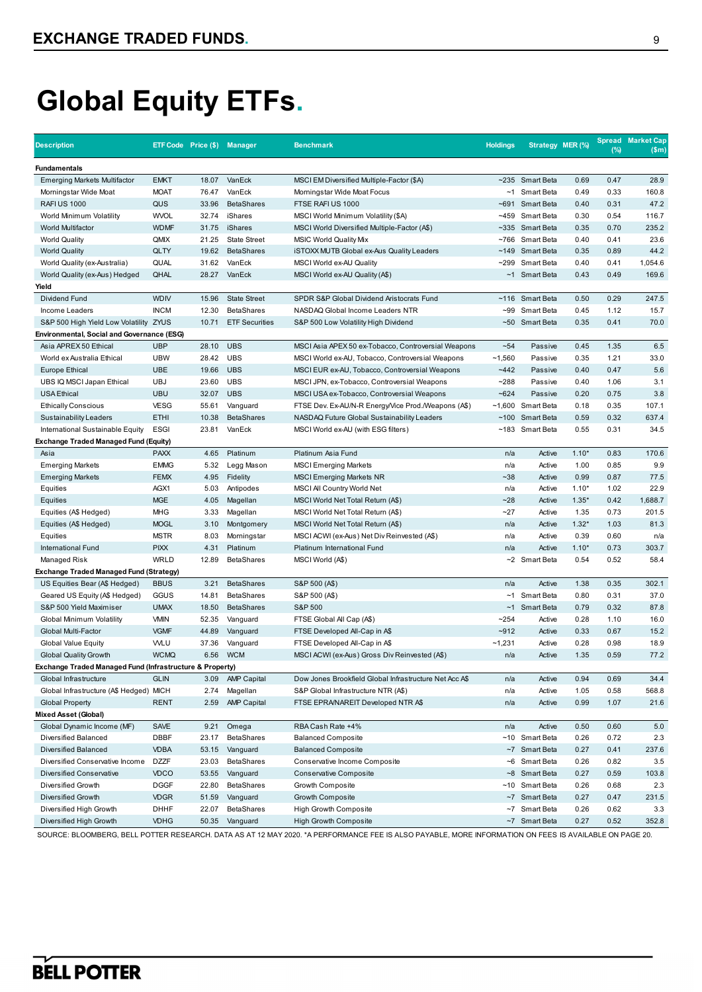| <b>Description</b>                                       |             | ETF Code Price (\$) Manager |                       | <b>Benchmark</b>                                       | <b>Holdings</b> | Strategy MER (%)    |         | (%)  | <b>Spread Market Cap</b><br>\$m\$ |
|----------------------------------------------------------|-------------|-----------------------------|-----------------------|--------------------------------------------------------|-----------------|---------------------|---------|------|-----------------------------------|
| <b>Fundamentals</b>                                      |             |                             |                       |                                                        |                 |                     |         |      |                                   |
| <b>Emerging Markets Multifactor</b>                      | <b>EMKT</b> | 18.07                       | VanEck                | MSCI EM Diversified Multiple-Factor (\$A)              |                 | ~235 Smart Beta     | 0.69    | 0.47 | 28.9                              |
| Morningstar Wide Moat                                    | <b>MOAT</b> | 76.47                       | VanEck                | Morningstar Wide Moat Focus                            |                 | ~1 Smart Beta       | 0.49    | 0.33 | 160.8                             |
| <b>RAFIUS 1000</b>                                       | QUS         | 33.96                       | <b>BetaShares</b>     | FTSE RAFIUS 1000                                       |                 | ~691 Smart Beta     | 0.40    | 0.31 | 47.2                              |
| World Minimum Volatility                                 | <b>WVOL</b> | 32.74                       | iShares               | MSCI World Minimum Volatility (\$A)                    |                 | ~459 Smart Beta     | 0.30    | 0.54 | 116.7                             |
| World Multifactor                                        | <b>WDMF</b> | 31.75                       | iShares               | MSCI World Diversified Multiple-Factor (A\$)           |                 | ~335 Smart Beta     | 0.35    | 0.70 | 235.2                             |
| <b>World Quality</b>                                     | QMIX        | 21.25                       | <b>State Street</b>   | <b>MSIC World Quality Mix</b>                          |                 | ~766 Smart Beta     | 0.40    | 0.41 | 23.6                              |
| <b>World Quality</b>                                     | <b>QLTY</b> | 19.62                       | <b>BetaShares</b>     | <b>iSTOXX MUTB Global ex-Aus Quality Leaders</b>       |                 | ~149 Smart Beta     | 0.35    | 0.89 | 44.2                              |
| World Quality (ex-Australia)                             | QUAL        | 31.62                       | VanEck                | MSCI World ex-AU Quality                               |                 | ~299 Smart Beta     | 0.40    | 0.41 | 1,054.6                           |
| World Quality (ex-Aus) Hedged                            | QHAL        | 28.27                       | VanEck                | MSCI World ex-AU Quality (A\$)                         |                 | ~1 Smart Beta       | 0.43    | 0.49 | 169.6                             |
| Yield                                                    |             |                             |                       |                                                        |                 |                     |         |      |                                   |
| Dividend Fund                                            | <b>WDIV</b> | 15.96                       | <b>State Street</b>   | SPDR S&P Global Dividend Aristocrats Fund              | ~116            | Smart Beta          | 0.50    | 0.29 | 247.5                             |
| Income Leaders                                           | <b>INCM</b> | 12.30                       | <b>BetaShares</b>     | NASDAQ Global Income Leaders NTR                       |                 | ~99 Smart Beta      | 0.45    | 1.12 | 15.7                              |
| S&P 500 High Yield Low Volatility ZYUS                   |             | 10.71                       | <b>ETF Securities</b> | S&P 500 Low Volatility High Dividend                   |                 | ~50 Smart Beta      | 0.35    | 0.41 | 70.0                              |
| Environmental, Social and Governance (ESG)               |             |                             |                       |                                                        |                 |                     |         |      |                                   |
| Asia APREX 50 Ethical                                    | <b>UBP</b>  | 28.10                       | <b>UBS</b>            | MSCI Asia APEX 50 ex-Tobacco, Controversial Weapons    | $-54$           | Passive             | 0.45    | 1.35 | 6.5                               |
| World ex Australia Ethical                               | <b>UBW</b>  | 28.42                       | <b>UBS</b>            | MSCI World ex-AU, Tobacco, Controversial Weapons       | ~1,560          | Passive             | 0.35    | 1.21 | 33.0                              |
| Europe Ethical                                           | <b>UBE</b>  | 19.66                       | <b>UBS</b>            | MSCI EUR ex-AU, Tobacco, Controversial Weapons         | ~442            | Passive             | 0.40    | 0.47 | 5.6                               |
| UBS IQ MSCI Japan Ethical                                | <b>UBJ</b>  | 23.60                       | <b>UBS</b>            | MSCI JPN, ex-Tobacco, Controversial Weapons            | ~288            | Passive             | 0.40    | 1.06 | 3.1                               |
| <b>USA Ethical</b>                                       | <b>UBU</b>  | 32.07                       | <b>UBS</b>            | MSCI USA ex-Tobacco, Controversial Weapons             | $-624$          | Passive             | 0.20    | 0.75 | 3.8                               |
| <b>Ethically Conscious</b>                               | <b>VESG</b> | 55.61                       | Vanguard              | FTSE Dev. Ex-AU/N-R Energy/Vice Prod./Weapons (A\$)    |                 | $~1,600$ Smart Beta | 0.18    | 0.35 | 107.1                             |
| Sustainability Leaders                                   | <b>ETHI</b> | 10.38                       | <b>BetaShares</b>     | NASDAQ Future Global Sustainability Leaders            |                 | ~100 Smart Beta     | 0.59    | 0.32 | 637.4                             |
| International Sustainable Equity                         | <b>ESGI</b> | 23.81                       | VanEck                | MSCI World ex-AU (with ESG filters)                    |                 | ~183 Smart Beta     | 0.55    | 0.31 | 34.5                              |
| <b>Exchange Traded Managed Fund (Equity)</b>             |             |                             |                       |                                                        |                 |                     |         |      |                                   |
| Asia                                                     | <b>PAXX</b> | 4.65                        | Platinum              | Platinum Asia Fund                                     | n/a             | Active              | $1.10*$ | 0.83 | 170.6                             |
| <b>Emerging Markets</b>                                  | <b>EMMG</b> | 5.32                        | Legg Mason            | <b>MSCI Emerging Markets</b>                           | n/a             | Active              | 1.00    | 0.85 | 9.9                               |
| <b>Emerging Markets</b>                                  | <b>FEMX</b> | 4.95                        | Fidelity              | <b>MSCI Emerging Markets NR</b>                        | $-38$           | Active              | 0.99    | 0.87 | 77.5                              |
| Equities                                                 | AGX1        | 5.03                        | Antipodes             | MSCI All Country World Net                             | n/a             | Active              | $1.10*$ | 1.02 | 22.9                              |
| Equities                                                 | <b>MGE</b>  | 4.05                        | Magellan              | MSCI World Net Total Return (A\$)                      | $-28$           | Active              | $1.35*$ | 0.42 | 1,688.7                           |
| Equities (A\$ Hedged)                                    | <b>MHG</b>  | 3.33                        | Magellan              | MSCI World Net Total Return (A\$)                      | $-27$           | Active              | 1.35    | 0.73 | 201.5                             |
| Equities (A\$ Hedged)                                    | <b>MOGL</b> | 3.10                        | Montgomery            | MSCI World Net Total Return (A\$)                      | n/a             | Active              | $1.32*$ | 1.03 | 81.3                              |
| Equities                                                 | <b>MSTR</b> | 8.03                        | Morningstar           | MSCI ACWI (ex-Aus) Net Div Reinvested (A\$)            | n/a             | Active              | 0.39    | 0.60 | n/a                               |
| International Fund                                       | <b>PIXX</b> | 4.31                        | Platinum              | Platinum International Fund                            | n/a             | Active              | $1.10*$ | 0.73 | 303.7                             |
| Managed Risk                                             | <b>WRLD</b> | 12.89                       | <b>BetaShares</b>     | MSCI World (A\$)                                       |                 | ~2 Smart Beta       | 0.54    | 0.52 | 58.4                              |
| <b>Exchange Traded Managed Fund (Strategy)</b>           |             |                             |                       |                                                        |                 |                     |         |      |                                   |
| US Equities Bear (A\$ Hedged)                            | <b>BBUS</b> | 3.21                        | <b>BetaShares</b>     | S&P 500 (A\$)                                          | n/a             | Active              | 1.38    | 0.35 | 302.1                             |
| Geared US Equity (A\$ Hedged)                            | GGUS        | 14.81                       | <b>BetaShares</b>     | S&P 500 (A\$)                                          |                 | ~1 Smart Beta       | 0.80    | 0.31 | 37.0                              |
| S&P 500 Yield Maximiser                                  | <b>UMAX</b> | 18.50                       | <b>BetaShares</b>     | S&P 500                                                |                 | ~1 Smart Beta       | 0.79    | 0.32 | 87.8                              |
| Global Minimum Volatility                                | <b>VMIN</b> | 52.35                       | Vanguard              | FTSE Global All Cap (A\$)                              | $-254$          | Active              | 0.28    | 1.10 | 16.0                              |
| Global Multi-Factor                                      | <b>VGMF</b> | 44.89                       | Vanguard              | FTSE Developed All-Cap in A\$                          | $-912$          | Active              | 0.33    | 0.67 | 15.2                              |
|                                                          | <b>WLU</b>  | 37.36                       | Vanguard              | FTSE Developed All-Cap in A\$                          | ~1,231          | Active              | 0.28    | 0.98 | 18.9                              |
| <b>Global Value Equity</b>                               | <b>WCMQ</b> | 6.56                        | <b>WCM</b>            |                                                        | n/a             | Active              | 1.35    | 0.59 | 77.2                              |
| <b>Global Quality Growth</b>                             |             |                             |                       | MSCI ACWI (ex-Aus) Gross Div Reinvested (A\$)          |                 |                     |         |      |                                   |
| Exchange Traded Managed Fund (Infrastructure & Property) |             |                             |                       |                                                        |                 |                     |         |      |                                   |
| Global Infrastructure                                    | <b>GLIN</b> | 3.09                        | <b>AMP Capital</b>    | Dow Jones Brookfield Global Infrastructure Net Acc A\$ | n/a             | Active              | 0.94    | 0.69 | 34.4                              |
| Global Infrastructure (A\$ Hedged) MICH                  |             | 2.74                        | Magellan              | S&P Global Infrastructure NTR (A\$)                    | n/a             | Active              | 1.05    | 0.58 | 568.8                             |
| <b>Global Property</b>                                   | <b>RENT</b> | 2.59                        | <b>AMP Capital</b>    | FTSE EPRA/NAREIT Developed NTR A\$                     | n/a             | Active              | 0.99    | 1.07 | 21.6                              |
| Mixed Asset (Global)                                     |             |                             |                       |                                                        |                 |                     |         |      |                                   |
| Global Dynamic Income (MF)                               | SAVE        | 9.21                        | Omega                 | RBA Cash Rate +4%                                      | n/a             | Active              | 0.50    | 0.60 | 5.0                               |
| Diversified Balanced                                     | <b>DBBF</b> | 23.17                       | <b>BetaShares</b>     | <b>Balanced Composite</b>                              |                 | ~10 Smart Beta      | 0.26    | 0.72 | 2.3                               |
| <b>Diversified Balanced</b>                              | <b>VDBA</b> | 53.15                       | Vanguard              | <b>Balanced Composite</b>                              |                 | ~7 Smart Beta       | 0.27    | 0.41 | 237.6                             |
| Diversified Conservative Income                          | <b>DZZF</b> | 23.03                       | <b>BetaShares</b>     | Conservative Income Composite                          |                 | ~6 Smart Beta       | 0.26    | 0.82 | 3.5                               |
| Diversified Conservative                                 | <b>VDCO</b> | 53.55                       | Vanguard              | <b>Conservative Composite</b>                          |                 | ~8 Smart Beta       | 0.27    | 0.59 | 103.8                             |
| Diversified Growth                                       | <b>DGGF</b> | 22.80                       | <b>BetaShares</b>     | Growth Composite                                       |                 | ~10 Smart Beta      | 0.26    | 0.68 | 2.3                               |
| Diversified Growth                                       | <b>VDGR</b> | 51.59                       | Vanguard              | Growth Composite                                       |                 | ~7 Smart Beta       | 0.27    | 0.47 | 231.5                             |
| Diversified High Growth                                  | <b>DHHF</b> | 22.07                       | <b>BetaShares</b>     | High Growth Composite                                  |                 | ~7 Smart Beta       | 0.26    | 0.62 | 3.3                               |
| Diversified High Growth                                  | <b>VDHG</b> | 50.35                       | Vanguard              | <b>High Growth Composite</b>                           |                 | ~7 Smart Beta       | 0.27    | 0.52 | 352.8                             |

SOURCE: BLOOMBERG, BELL POTTER RESEARCH. DATA AS AT 12 MAY 2020. \*A PERFORMANCE FEE IS ALSO PAYABLE, MORE INFORMATION ON FEES IS AVAILABLE ON PAGE 20.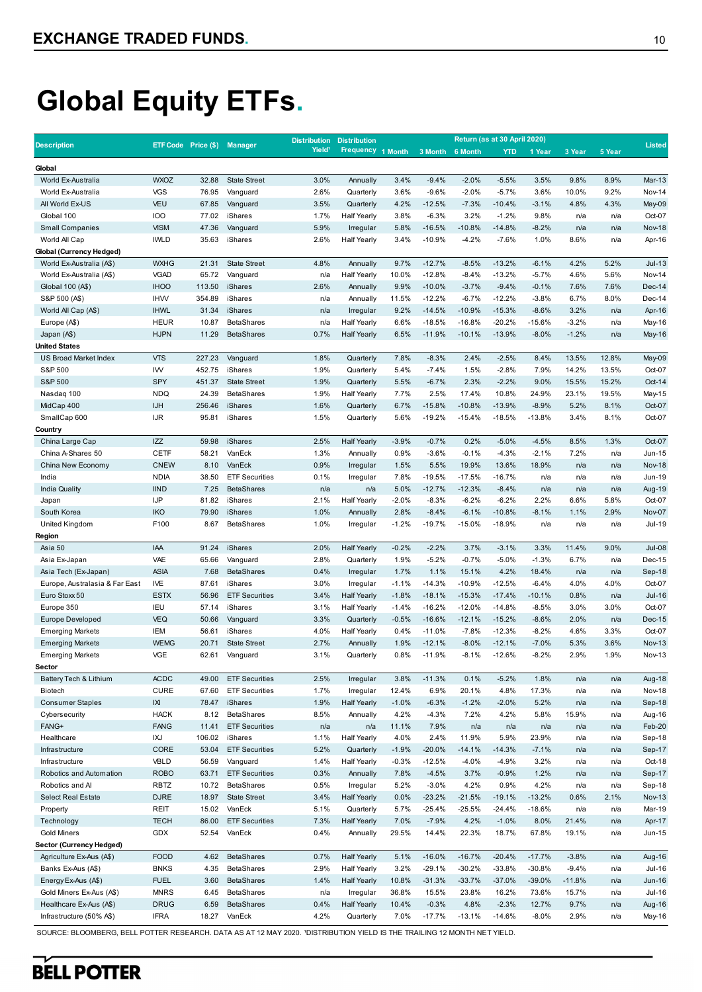|                                   |                                   |                             |                                | <b>Distribution</b> | <b>Distribution</b>    |              |                      |                    | Return (as at 30 April 2020) |                    |                |                |                         |
|-----------------------------------|-----------------------------------|-----------------------------|--------------------------------|---------------------|------------------------|--------------|----------------------|--------------------|------------------------------|--------------------|----------------|----------------|-------------------------|
| <b>Description</b>                |                                   | ETF Code Price (\$) Manager |                                | Yield <sup>1</sup>  | <b>Frequency</b>       | 1 Month      | 3 Month              | 6 Month            | <b>YTD</b>                   | 1 Year             | 3 Year         | 5 Year         | <b>Listed</b>           |
| Global                            |                                   |                             |                                |                     |                        |              |                      |                    |                              |                    |                |                |                         |
| World Ex-Australia                | <b>WXOZ</b>                       | 32.88                       | <b>State Street</b>            | 3.0%                | Annually               | 3.4%         | $-9.4%$              | $-2.0%$            | $-5.5%$                      | 3.5%               | 9.8%           | 8.9%           | Mar-13                  |
| World Ex-Australia                | <b>VGS</b>                        | 76.95                       | Vanguard                       | 2.6%                | Quarterly              | 3.6%         | $-9.6%$              | $-2.0%$            | $-5.7%$                      | 3.6%               | 10.0%          | 9.2%           | <b>Nov-14</b>           |
| All World Ex-US                   | <b>VEU</b>                        | 67.85                       | Vanguard                       | 3.5%                | Quarterly              | 4.2%         | $-12.5%$             | $-7.3%$            | $-10.4%$                     | $-3.1%$            | 4.8%           | 4.3%           | May-09                  |
| Global 100                        | <b>IOO</b>                        | 77.02                       | iShares                        | 1.7%                | <b>Half Yearly</b>     | 3.8%         | $-6.3%$              | 3.2%               | $-1.2%$                      | 9.8%               | n/a            | n/a            | Oct-07                  |
| <b>Small Companies</b>            | <b>VISM</b>                       | 47.36                       | Vanguard                       | 5.9%                | Irregular              | 5.8%         | $-16.5%$             | $-10.8%$           | $-14.8%$                     | $-8.2%$            | n/a            | n/a            | <b>Nov-18</b>           |
| World All Cap                     | <b>IWLD</b>                       | 35.63                       | iShares                        | 2.6%                | <b>Half Yearly</b>     | 3.4%         | $-10.9%$             | $-4.2%$            | $-7.6%$                      | 1.0%               | 8.6%           | n/a            | Apr-16                  |
| Global (Currency Hedged)          |                                   |                             |                                |                     |                        |              |                      |                    |                              |                    |                |                |                         |
| World Ex-Australia (A\$)          | <b>WXHG</b>                       | 21.31                       | <b>State Street</b>            | 4.8%                | Annually               | 9.7%         | $-12.7%$             | $-8.5%$            | $-13.2%$                     | $-6.1%$            | 4.2%           | 5.2%           | $Jul-13$                |
| World Ex-Australia (A\$)          | <b>VGAD</b>                       | 65.72                       | Vanguard                       | n/a                 | <b>Half Yearly</b>     | 10.0%        | $-12.8%$             | $-8.4%$            | $-13.2%$                     | $-5.7%$            | 4.6%           | 5.6%           | <b>Nov-14</b>           |
| Global 100 (A\$)                  | <b>IHOO</b>                       | 113.50                      | <b>iShares</b>                 | 2.6%                | Annually               | 9.9%         | $-10.0%$             | $-3.7%$            | $-9.4%$                      | $-0.1%$            | 7.6%           | 7.6%           | $Dec-14$                |
| S&P 500 (A\$)                     | <b>IHW</b>                        | 354.89                      | iShares                        | n/a                 | Annually               | 11.5%        | $-12.2%$             | $-6.7%$            | $-12.2%$                     | $-3.8%$            | 6.7%           | 8.0%           | Dec-14                  |
| World All Cap (A\$)               | <b>IHWL</b>                       | 31.34                       | iShares                        | n/a                 | Irregular              | 9.2%         | $-14.5%$             | $-10.9%$           | $-15.3%$                     | $-8.6%$            | 3.2%           | n/a            | Apr-16                  |
| Europe (A\$)                      | <b>HEUR</b>                       | 10.87                       | <b>BetaShares</b>              | n/a                 | <b>Half Yearly</b>     | 6.6%         | $-18.5%$             | $-16.8%$           | $-20.2%$                     | $-15.6%$           | $-3.2%$        | n/a            | May-16                  |
| Japan (A\$)                       | <b>HJPN</b>                       | 11.29                       | <b>BetaShares</b>              | 0.7%                | <b>Half Yearly</b>     | 6.5%         | $-11.9%$             | $-10.1%$           | $-13.9%$                     | $-8.0%$            | $-1.2%$        | n/a            | May-16                  |
| <b>United States</b>              |                                   |                             |                                |                     |                        |              |                      |                    |                              |                    |                |                |                         |
| US Broad Market Index<br>S&P 500  | <b>VTS</b>                        | 227.23                      | Vanguard                       | 1.8%<br>1.9%        | Quarterly              | 7.8%         | $-8.3%$              | 2.4%<br>1.5%       | $-2.5%$<br>$-2.8%$           | 8.4%<br>7.9%       | 13.5%          | 12.8%          | May-09                  |
| S&P 500                           | IW<br>SPY                         | 452.75<br>451.37            | iShares<br><b>State Street</b> | 1.9%                | Quarterly<br>Quarterly | 5.4%<br>5.5% | $-7.4%$<br>$-6.7%$   | 2.3%               | $-2.2%$                      | 9.0%               | 14.2%<br>15.5% | 13.5%<br>15.2% | Oct-07<br>Oct-14        |
| Nasdaq 100                        | <b>NDQ</b>                        | 24.39                       | <b>BetaShares</b>              | 1.9%                | <b>Half Yearly</b>     | 7.7%         | 2.5%                 | 17.4%              | 10.8%                        | 24.9%              | 23.1%          | 19.5%          | May-15                  |
| MidCap 400                        | <b>IJH</b>                        | 256.46                      | iShares                        | 1.6%                | Quarterly              | 6.7%         | $-15.8%$             | $-10.8%$           | $-13.9%$                     | $-8.9%$            | 5.2%           | 8.1%           | Oct-07                  |
| SmallCap 600                      | <b>IJR</b>                        | 95.81                       | iShares                        | 1.5%                | Quarterly              | 5.6%         | $-19.2%$             | $-15.4%$           | $-18.5%$                     | $-13.8%$           | 3.4%           | 8.1%           | Oct-07                  |
| Country                           |                                   |                             |                                |                     |                        |              |                      |                    |                              |                    |                |                |                         |
| China Large Cap                   | <b>IZZ</b>                        | 59.98                       | iShares                        | 2.5%                | <b>Half Yearly</b>     | $-3.9%$      | $-0.7%$              | 0.2%               | $-5.0%$                      | $-4.5%$            | 8.5%           | 1.3%           | Oct-07                  |
| China A-Shares 50                 | <b>CETF</b>                       | 58.21                       | VanEck                         | 1.3%                | Annually               | 0.9%         | $-3.6%$              | $-0.1%$            | $-4.3%$                      | $-2.1%$            | 7.2%           | n/a            | Jun-15                  |
| China New Economy                 | <b>CNEW</b>                       | 8.10                        | VanEck                         | 0.9%                | Irregular              | 1.5%         | 5.5%                 | 19.9%              | 13.6%                        | 18.9%              | n/a            | n/a            | <b>Nov-18</b>           |
| India                             | <b>NDIA</b>                       | 38.50                       | <b>ETF Securities</b>          | 0.1%                | Irregular              | 7.8%         | $-19.5%$             | $-17.5%$           | $-16.7%$                     | n/a                | n/a            | n/a            | Jun-19                  |
| <b>India Quality</b>              | <b>IIND</b>                       | 7.25                        | <b>BetaShares</b>              | n/a                 | n/a                    | 5.0%         | $-12.7%$             | $-12.3%$           | $-8.4%$                      | n/a                | n/a            | n/a            | Aug-19                  |
| Japan                             | IJP                               | 81.82                       | iShares                        | 2.1%                | <b>Half Yearly</b>     | $-2.0%$      | $-8.3%$              | $-6.2%$            | $-6.2%$                      | 2.2%               | 6.6%           | 5.8%           | Oct-07                  |
| South Korea                       | <b>IKO</b>                        | 79.90                       | iShares                        | 1.0%                | Annually               | 2.8%         | $-8.4%$              | $-6.1%$            | $-10.8%$                     | $-8.1%$            | 1.1%           | 2.9%           | Nov-07                  |
| United Kingdom                    | F100                              | 8.67                        | <b>BetaShares</b>              | 1.0%                | Irregular              | $-1.2%$      | $-19.7%$             | $-15.0%$           | $-18.9%$                     | n/a                | n/a            | n/a            | <b>Jul-19</b>           |
| Region                            |                                   |                             |                                |                     |                        |              |                      |                    |                              |                    |                |                |                         |
| Asia 50                           | <b>IAA</b>                        | 91.24                       | iShares                        | 2.0%                | <b>Half Yearly</b>     | $-0.2%$      | $-2.2%$              | 3.7%               | $-3.1%$                      | 3.3%               | 11.4%          | 9.0%           | <b>Jul-08</b>           |
| Asia Ex-Japan                     | VAE                               | 65.66                       | Vanguard                       | 2.8%                | Quarterly              | 1.9%         | $-5.2%$              | $-0.7%$            | $-5.0%$                      | $-1.3%$            | 6.7%           | n/a            | Dec-15                  |
| Asia Tech (Ex-Japan)              | <b>ASIA</b>                       | 7.68                        | <b>BetaShares</b>              | 0.4%                | Irregular              | 1.7%         | 1.1%                 | 15.1%              | 4.2%                         | 18.4%              | n/a            | n/a            | Sep-18                  |
| Europe, Australasia & Far East    | <b>IVE</b>                        | 87.61                       | iShares                        | 3.0%                | Irregular              | $-1.1%$      | $-14.3%$             | $-10.9%$           | $-12.5%$                     | $-6.4%$            | 4.0%           | 4.0%           | Oct-07                  |
| Euro Stoxx 50                     | <b>ESTX</b>                       | 56.96                       | <b>ETF Securities</b>          | 3.4%                | <b>Half Yearly</b>     | $-1.8%$      | $-18.1%$             | $-15.3%$           | $-17.4%$                     | $-10.1%$           | 0.8%           | n/a            | <b>Jul-16</b>           |
| Europe 350                        | <b>IEU</b>                        | 57.14                       | iShares                        | 3.1%                | <b>Half Yearly</b>     | $-1.4%$      | $-16.2%$             | $-12.0%$           | $-14.8%$                     | $-8.5%$            | 3.0%           | 3.0%           | Oct-07                  |
| <b>Europe Developed</b>           | <b>VEQ</b>                        | 50.66                       | Vanguard                       | 3.3%                | Quarterly              | $-0.5%$      | $-16.6%$             | $-12.1%$           | $-15.2%$                     | $-8.6%$            | 2.0%           | n/a            | Dec-15                  |
| <b>Emerging Markets</b>           | <b>IEM</b><br><b>WEMG</b>         | 56.61                       | iShares<br><b>State Street</b> | 4.0%<br>2.7%        | <b>Half Yearly</b>     | 0.4%<br>1.9% | $-11.0%$<br>$-12.1%$ | $-7.8%$<br>$-8.0%$ | $-12.3%$<br>$-12.1%$         | $-8.2%$<br>$-7.0%$ | 4.6%<br>5.3%   | 3.3%           | Oct-07<br><b>Nov-13</b> |
| <b>Emerging Markets</b>           | <b>VGE</b>                        | 20.71<br>62.61              | Vanguard                       | 3.1%                | Annually<br>Quarterly  | 0.8%         | $-11.9%$             | $-8.1%$            | $-12.6%$                     | $-8.2%$            | 2.9%           | 3.6%<br>1.9%   | <b>Nov-13</b>           |
| <b>Emerging Markets</b><br>Sector |                                   |                             |                                |                     |                        |              |                      |                    |                              |                    |                |                |                         |
| Battery Tech & Lithium            | <b>ACDC</b>                       | 49.00                       | <b>ETF Securities</b>          | 2.5%                | Irregular              | 3.8%         | $-11.3%$             | 0.1%               | $-5.2%$                      | 1.8%               | n/a            | n/a            | Aug-18                  |
| Biotech                           | <b>CURE</b>                       | 67.60                       | <b>ETF Securities</b>          | 1.7%                | Irregular              | 12.4%        | 6.9%                 | 20.1%              | 4.8%                         | 17.3%              | n/a            | n/a            | <b>Nov-18</b>           |
| <b>Consumer Staples</b>           | $\ensuremath{\mathsf{IX}}\xspace$ | 78.47                       | iShares                        | 1.9%                | <b>Half Yearly</b>     | $-1.0%$      | $-6.3%$              | $-1.2%$            | $-2.0%$                      | 5.2%               | n/a            | n/a            | Sep-18                  |
| Cybersecurity                     | <b>HACK</b>                       | 8.12                        | <b>BetaShares</b>              | 8.5%                | Annually               | 4.2%         | $-4.3%$              | 7.2%               | 4.2%                         | 5.8%               | 15.9%          | n/a            | Aug-16                  |
| FANG+                             | <b>FANG</b>                       | 11.41                       | <b>ETF Securities</b>          | n/a                 | n/a                    | 11.1%        | 7.9%                 | n/a                | n/a                          | n/a                | n/a            | n/a            | Feb-20                  |
| Healthcare                        | IXJ                               | 106.02                      | iShares                        | 1.1%                | <b>Half Yearly</b>     | 4.0%         | 2.4%                 | 11.9%              | 5.9%                         | 23.9%              | n/a            | n/a            | Sep-18                  |
| Infrastructure                    | CORE                              | 53.04                       | <b>ETF Securities</b>          | 5.2%                | Quarterly              | $-1.9%$      | $-20.0%$             | $-14.1%$           | $-14.3%$                     | $-7.1%$            | n/a            | n/a            | Sep-17                  |
| Infrastructure                    | VBLD                              | 56.59                       | Vanguard                       | 1.4%                | <b>Half Yearly</b>     | $-0.3%$      | $-12.5%$             | $-4.0%$            | $-4.9%$                      | 3.2%               | n/a            | n/a            | Oct-18                  |
| Robotics and Automation           | <b>ROBO</b>                       | 63.71                       | <b>ETF Securities</b>          | 0.3%                | Annually               | 7.8%         | $-4.5%$              | 3.7%               | $-0.9%$                      | 1.2%               | n/a            | n/a            | Sep-17                  |
| Robotics and Al                   | <b>RBTZ</b>                       | 10.72                       | <b>BetaShares</b>              | 0.5%                | Irregular              | 5.2%         | $-3.0%$              | 4.2%               | 0.9%                         | 4.2%               | n/a            | n/a            | Sep-18                  |
| <b>Select Real Estate</b>         | <b>DJRE</b>                       | 18.97                       | <b>State Street</b>            | 3.4%                | <b>Half Yearly</b>     | 0.0%         | $-23.2%$             | $-21.5%$           | $-19.1%$                     | $-13.2%$           | 0.6%           | 2.1%           | <b>Nov-13</b>           |
| Property                          | REIT                              | 15.02                       | VanEck                         | 5.1%                | Quarterly              | 5.7%         | $-25.4%$             | $-25.5%$           | $-24.4%$                     | $-18.6%$           | n/a            | n/a            | Mar-19                  |
| Technology                        | <b>TECH</b>                       | 86.00                       | <b>ETF Securities</b>          | 7.3%                | <b>Half Yearly</b>     | 7.0%         | $-7.9%$              | 4.2%               | $-1.0%$                      | 8.0%               | 21.4%          | n/a            | Apr-17                  |
| <b>Gold Miners</b>                | <b>GDX</b>                        | 52.54                       | VanEck                         | 0.4%                | Annually               | 29.5%        | 14.4%                | 22.3%              | 18.7%                        | 67.8%              | 19.1%          | n/a            | Jun-15                  |
| Sector (Currency Hedged)          |                                   |                             |                                |                     |                        |              |                      |                    |                              |                    |                |                |                         |
| Agriculture Ex-Aus (A\$)          | <b>FOOD</b>                       | 4.62                        | <b>BetaShares</b>              | 0.7%                | <b>Half Yearly</b>     | 5.1%         | $-16.0%$             | $-16.7%$           | $-20.4%$                     | $-17.7%$           | $-3.8%$        | n/a            | Aug-16                  |
| Banks Ex-Aus (A\$)                | <b>BNKS</b>                       | 4.35                        | <b>BetaShares</b>              | 2.9%                | <b>Half Yearly</b>     | 3.2%         | $-29.1%$             | $-30.2%$           | $-33.8%$                     | $-30.8%$           | $-9.4%$        | n/a            | Jul-16                  |
| Energy Ex-Aus (A\$)               | <b>FUEL</b>                       | 3.60                        | <b>BetaShares</b>              | 1.4%                | <b>Half Yearly</b>     | 10.8%        | $-31.3%$             | $-33.7%$           | $-37.0%$                     | $-39.0%$           | $-11.8%$       | n/a            | Jun-16                  |
| Gold Miners Ex-Aus (A\$)          | <b>MNRS</b>                       | 6.45                        | <b>BetaShares</b>              | n/a                 | Irregular              | 36.8%        | 15.5%                | 23.8%              | 16.2%                        | 73.6%              | 15.7%          | n/a            | Jul-16                  |
| Healthcare Ex-Aus (A\$)           | <b>DRUG</b>                       | 6.59                        | <b>BetaShares</b>              | 0.4%                | <b>Half Yearly</b>     | 10.4%        | $-0.3%$              | 4.8%               | $-2.3%$                      | 12.7%              | 9.7%           | n/a            | Aug-16                  |
| Infrastructure (50% A\$)          | <b>IFRA</b>                       | 18.27                       | VanEck                         | 4.2%                | Quarterly              | 7.0%         | $-17.7%$             | $-13.1%$           | $-14.6%$                     | $-8.0%$            | 2.9%           | n/a            | May-16                  |

SOURCE: BLOOMBERG, BELL POTTER RESEARCH. DATA AS AT 12 MAY 2020. 'DISTRIBUTION YIELD IS THE TRAILING 12 MONTH NET YIELD.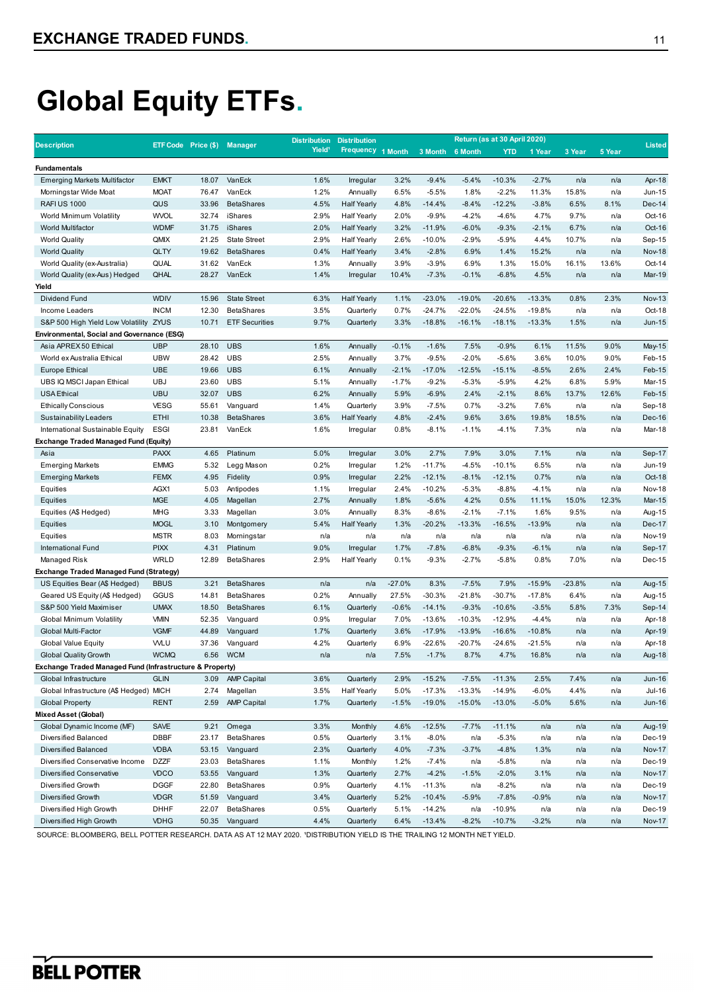|                                                          |             |                             |                       | <b>Distribution</b> | <b>Distribution</b> |          |          |          | Return (as at 30 April 2020) |          |          |        |               |
|----------------------------------------------------------|-------------|-----------------------------|-----------------------|---------------------|---------------------|----------|----------|----------|------------------------------|----------|----------|--------|---------------|
| <b>Description</b>                                       |             | ETF Code Price (\$) Manager |                       | Yield <sup>1</sup>  | <b>Frequency</b>    | 1 Month  | 3 Month  | 6 Month  | <b>YTD</b>                   | 1 Year   | 3 Year   | 5 Year | <b>Listed</b> |
| <b>Fundamentals</b>                                      |             |                             |                       |                     |                     |          |          |          |                              |          |          |        |               |
| <b>Emerging Markets Multifactor</b>                      | <b>EMKT</b> | 18.07                       | VanEck                | 1.6%                | Irregular           | 3.2%     | $-9.4%$  | $-5.4%$  | $-10.3%$                     | $-2.7%$  | n/a      | n/a    | Apr-18        |
| Morningstar Wide Moat                                    | <b>MOAT</b> | 76.47                       | VanEck                | 1.2%                | Annually            | 6.5%     | $-5.5%$  | 1.8%     | $-2.2%$                      | 11.3%    | 15.8%    | n/a    | Jun-15        |
| <b>RAFI US 1000</b>                                      | QUS         | 33.96                       | <b>BetaShares</b>     | 4.5%                | <b>Half Yearly</b>  | 4.8%     | $-14.4%$ | $-8.4%$  | $-12.2%$                     | $-3.8%$  | 6.5%     | 8.1%   | Dec-14        |
| World Minimum Volatility                                 | <b>WVOL</b> | 32.74                       | iShares               | 2.9%                | <b>Half Yearly</b>  | 2.0%     | $-9.9%$  | $-4.2%$  | $-4.6%$                      | 4.7%     | 9.7%     | n/a    | Oct-16        |
| World Multifactor                                        | <b>WDMF</b> | 31.75                       | iShares               | 2.0%                | <b>Half Yearly</b>  | 3.2%     | $-11.9%$ | $-6.0%$  | $-9.3%$                      | $-2.1%$  | 6.7%     | n/a    | Oct-16        |
| <b>World Quality</b>                                     | QMIX        | 21.25                       | <b>State Street</b>   | 2.9%                | <b>Half Yearly</b>  | 2.6%     | $-10.0%$ | $-2.9%$  | $-5.9%$                      | 4.4%     | 10.7%    | n/a    | Sep-15        |
| <b>World Quality</b>                                     | QLTY        | 19.62                       | <b>BetaShares</b>     | 0.4%                | <b>Half Yearly</b>  | 3.4%     | $-2.8%$  | 6.9%     | 1.4%                         | 15.2%    | n/a      | n/a    | <b>Nov-18</b> |
| World Quality (ex-Australia)                             | QUAL        | 31.62                       | VanEck                | 1.3%                | Annually            | 3.9%     | $-3.9%$  | 6.9%     | 1.3%                         | 15.0%    | 16.1%    | 13.6%  | Oct-14        |
| World Quality (ex-Aus) Hedged                            | QHAL        | 28.27                       | VanEck                | 1.4%                | Irregular           | 10.4%    | $-7.3%$  | $-0.1%$  | $-6.8%$                      | 4.5%     | n/a      | n/a    | Mar-19        |
| Yield                                                    |             |                             |                       |                     |                     |          |          |          |                              |          |          |        |               |
| <b>Dividend Fund</b>                                     | <b>WDIV</b> | 15.96                       | <b>State Street</b>   | 6.3%                | <b>Half Yearly</b>  | 1.1%     | $-23.0%$ | $-19.0%$ | $-20.6%$                     | $-13.3%$ | 0.8%     | 2.3%   | <b>Nov-13</b> |
| Income Leaders                                           | <b>INCM</b> | 12.30                       | <b>BetaShares</b>     | 3.5%                | Quarterly           | 0.7%     | $-24.7%$ | $-22.0%$ | $-24.5%$                     | $-19.8%$ | n/a      | n/a    | Oct-18        |
| S&P 500 High Yield Low Volatility ZYUS                   |             | 10.71                       | <b>ETF Securities</b> | 9.7%                | Quarterly           | 3.3%     | $-18.8%$ | $-16.1%$ | $-18.1%$                     | $-13.3%$ | 1.5%     | n/a    | Jun-15        |
| Environmental, Social and Governance (ESG)               |             |                             |                       |                     |                     |          |          |          |                              |          |          |        |               |
| Asia APREX 50 Ethical                                    | <b>UBP</b>  | 28.10                       | <b>UBS</b>            | 1.6%                | Annually            | $-0.1%$  | $-1.6%$  | 7.5%     | $-0.9%$                      | 6.1%     | 11.5%    | 9.0%   | May-15        |
| World ex Australia Ethical                               | <b>UBW</b>  | 28.42                       | <b>UBS</b>            | 2.5%                | Annually            | 3.7%     | $-9.5%$  | $-2.0%$  | $-5.6%$                      | 3.6%     | 10.0%    | 9.0%   | Feb-15        |
| <b>Europe Ethical</b>                                    | <b>UBE</b>  | 19.66                       | <b>UBS</b>            | 6.1%                | Annually            | $-2.1%$  | $-17.0%$ | $-12.5%$ | $-15.1%$                     | $-8.5%$  | 2.6%     | 2.4%   | Feb-15        |
| UBS IQ MSCI Japan Ethical                                | <b>UBJ</b>  | 23.60                       | <b>UBS</b>            | 5.1%                | Annually            | $-1.7%$  | $-9.2%$  | $-5.3%$  | $-5.9%$                      | 4.2%     | 6.8%     | 5.9%   | Mar-15        |
| <b>USA Ethical</b>                                       | <b>UBU</b>  | 32.07                       | <b>UBS</b>            | 6.2%                | Annually            | 5.9%     | $-6.9%$  | 2.4%     | $-2.1%$                      | 8.6%     | 13.7%    | 12.6%  | Feb-15        |
| <b>Ethically Conscious</b>                               | <b>VESG</b> | 55.61                       | Vanguard              | 1.4%                | Quarterly           | 3.9%     | $-7.5%$  | 0.7%     | $-3.2%$                      | 7.6%     | n/a      | n/a    | Sep-18        |
| Sustainability Leaders                                   | <b>ETHI</b> | 10.38                       | <b>BetaShares</b>     | 3.6%                | <b>Half Yearly</b>  | 4.8%     | $-2.4%$  | 9.6%     | 3.6%                         | 19.8%    | 18.5%    | n/a    | Dec-16        |
| International Sustainable Equity                         | <b>ESGI</b> | 23.81                       | VanEck                | 1.6%                | Irregular           | 0.8%     | $-8.1%$  | $-1.1%$  | $-4.1%$                      | 7.3%     | n/a      | n/a    | Mar-18        |
| Exchange Traded Managed Fund (Equity)                    |             |                             |                       |                     |                     |          |          |          |                              |          |          |        |               |
| Asia                                                     | <b>PAXX</b> | 4.65                        | Platinum              | 5.0%                | Irregular           | 3.0%     | 2.7%     | 7.9%     | 3.0%                         | 7.1%     | n/a      | n/a    | Sep-17        |
| <b>Emerging Markets</b>                                  | <b>EMMG</b> | 5.32                        | Legg Mason            | 0.2%                | Irregular           | 1.2%     | $-11.7%$ | $-4.5%$  | $-10.1%$                     | 6.5%     | n/a      | n/a    | Jun-19        |
| <b>Emerging Markets</b>                                  | <b>FEMX</b> | 4.95                        | Fidelity              | 0.9%                | Irregular           | 2.2%     | $-12.1%$ | $-8.1%$  | $-12.1%$                     | 0.7%     | n/a      | n/a    | Oct-18        |
| Equities                                                 | AGX1        | 5.03                        | Antipodes             | 1.1%                | Irregular           | 2.4%     | $-10.2%$ | $-5.3%$  | $-8.8%$                      | $-4.1%$  | n/a      | n/a    | <b>Nov-18</b> |
| Equities                                                 | <b>MGE</b>  | 4.05                        | Magellan              | 2.7%                | Annually            | 1.8%     | $-5.6%$  | 4.2%     | 0.5%                         | 11.1%    | 15.0%    | 12.3%  | Mar-15        |
| Equities (A\$ Hedged)                                    | <b>MHG</b>  | 3.33                        | Magellan              | 3.0%                | Annually            | 8.3%     | $-8.6%$  | $-2.1%$  | $-7.1%$                      | 1.6%     | 9.5%     | n/a    | Aug-15        |
| Equities                                                 | <b>MOGL</b> | 3.10                        | Montgomery            | 5.4%                | <b>Half Yearly</b>  | 1.3%     | $-20.2%$ | $-13.3%$ | $-16.5%$                     | $-13.9%$ | n/a      | n/a    | Dec-17        |
| Equities                                                 | <b>MSTR</b> | 8.03                        | Morningstar           | n/a                 | n/a                 | n/a      | n/a      | n/a      | n/a                          | n/a      | n/a      | n/a    | <b>Nov-19</b> |
| <b>International Fund</b>                                | <b>PIXX</b> | 4.31                        | Platinum              | 9.0%                | Irregular           | 1.7%     | $-7.8%$  | $-6.8%$  | $-9.3%$                      | $-6.1%$  | n/a      | n/a    | Sep-17        |
| Managed Risk                                             | <b>WRLD</b> | 12.89                       | <b>BetaShares</b>     | 2.9%                | <b>Half Yearly</b>  | 0.1%     | $-9.3%$  | $-2.7%$  | $-5.8%$                      | 0.8%     | 7.0%     | n/a    | Dec-15        |
| Exchange Traded Managed Fund (Strategy)                  |             |                             |                       |                     |                     |          |          |          |                              |          |          |        |               |
| US Equities Bear (A\$ Hedged)                            | <b>BBUS</b> | 3.21                        | <b>BetaShares</b>     | n/a                 | n/a                 | $-27.0%$ | 8.3%     | $-7.5%$  | 7.9%                         | $-15.9%$ | $-23.8%$ | n/a    | Aug-15        |
| Geared US Equity (A\$ Hedged)                            | GGUS        | 14.81                       | <b>BetaShares</b>     | 0.2%                | Annually            | 27.5%    | $-30.3%$ | $-21.8%$ | $-30.7%$                     | $-17.8%$ | 6.4%     | n/a    | Aug-15        |
| S&P 500 Yield Maximiser                                  | <b>UMAX</b> | 18.50                       | <b>BetaShares</b>     | 6.1%                | Quarterly           | $-0.6%$  | $-14.1%$ | $-9.3%$  | $-10.6%$                     | $-3.5%$  | 5.8%     | 7.3%   | Sep-14        |
| <b>Global Minimum Volatility</b>                         | <b>VMIN</b> | 52.35                       | Vanguard              | 0.9%                | Irregular           | 7.0%     | $-13.6%$ | $-10.3%$ | $-12.9%$                     | $-4.4%$  | n/a      | n/a    | Apr-18        |
| Global Multi-Factor                                      | <b>VGMF</b> | 44.89                       | Vanguard              | 1.7%                | Quarterly           | 3.6%     | $-17.9%$ | $-13.9%$ | $-16.6%$                     | $-10.8%$ | n/a      | n/a    | Apr-19        |
| <b>Global Value Equity</b>                               | <b>WLU</b>  | 37.36                       | Vanguard              | 4.2%                | Quarterly           | 6.9%     | $-22.6%$ | $-20.7%$ | $-24.6%$                     | $-21.5%$ | n/a      | n/a    | Apr-18        |
| <b>Global Quality Growth</b>                             | <b>WCMQ</b> | 6.56                        | <b>WCM</b>            | n/a                 | n/a                 | 7.5%     | $-1.7%$  | 8.7%     | 4.7%                         | 16.8%    | n/a      | n/a    | <b>Aug-18</b> |
| Exchange Traded Managed Fund (Infrastructure & Property) |             |                             |                       |                     |                     |          |          |          |                              |          |          |        |               |
| Global Infrastructure                                    | <b>GLIN</b> | 3.09                        | <b>AMP Capital</b>    | 3.6%                | Quarterly           | 2.9%     | $-15.2%$ | $-7.5%$  | $-11.3%$                     | 2.5%     | 7.4%     | n/a    | <b>Jun-16</b> |
| Global Infrastructure (A\$ Hedged) MICH                  |             | 2.74                        | Magellan              | 3.5%                | <b>Half Yearly</b>  | 5.0%     | $-17.3%$ | $-13.3%$ | $-14.9%$                     | $-6.0%$  | 4.4%     | n/a    | <b>Jul-16</b> |
| <b>Global Property</b>                                   | <b>RENT</b> | 2.59                        | <b>AMP Capital</b>    | 1.7%                | Quarterly           | $-1.5%$  | $-19.0%$ | $-15.0%$ | $-13.0%$                     | $-5.0%$  | 5.6%     | n/a    | <b>Jun-16</b> |
| Mixed Asset (Global)                                     |             |                             |                       |                     |                     |          |          |          |                              |          |          |        |               |
| Global Dynamic Income (MF)                               | <b>SAVE</b> | 9.21                        | Omega                 | 3.3%                | Monthly             | 4.6%     | $-12.5%$ | $-7.7%$  | $-11.1%$                     | n/a      | n/a      | n/a    | Aug-19        |
| Diversified Balanced                                     | DBBF        | 23.17                       | <b>BetaShares</b>     | 0.5%                | Quarterly           | 3.1%     | $-8.0%$  | n/a      | $-5.3%$                      | n/a      | n/a      | n/a    | Dec-19        |
| Diversified Balanced                                     | <b>VDBA</b> | 53.15                       | Vanguard              | 2.3%                | Quarterly           | 4.0%     | $-7.3%$  | $-3.7%$  | $-4.8%$                      | 1.3%     | n/a      | n/a    | <b>Nov-17</b> |
| Diversified Conservative Income                          | <b>DZZF</b> | 23.03                       | <b>BetaShares</b>     | 1.1%                | Monthly             | 1.2%     | $-7.4%$  | n/a      | $-5.8%$                      | n/a      | n/a      | n/a    | Dec-19        |
| Diversified Conservative                                 | VDCO        | 53.55                       | Vanguard              | 1.3%                | Quarterly           | 2.7%     | $-4.2%$  | $-1.5%$  | $-2.0%$                      | 3.1%     | n/a      | n/a    | <b>Nov-17</b> |
| Diversified Growth                                       | <b>DGGF</b> | 22.80                       | <b>BetaShares</b>     | 0.9%                | Quarterly           | 4.1%     | $-11.3%$ | n/a      | $-8.2%$                      | n/a      | n/a      | n/a    | Dec-19        |
| Diversified Growth                                       | <b>VDGR</b> | 51.59                       | Vanguard              | 3.4%                | Quarterly           | 5.2%     | $-10.4%$ | $-5.9%$  | $-7.8%$                      | $-0.9%$  | n/a      | n/a    | <b>Nov-17</b> |
| Diversified High Growth                                  | DHHF        | 22.07                       | <b>BetaShares</b>     | 0.5%                | Quarterly           | 5.1%     | $-14.2%$ | n/a      | $-10.9%$                     | n/a      | n/a      | n/a    | Dec-19        |
| Diversified High Growth                                  | <b>VDHG</b> | 50.35                       | Vanguard              | 4.4%                | Quarterly           | 6.4%     | $-13.4%$ | $-8.2%$  | $-10.7%$                     | $-3.2%$  | n/a      | n/a    | <b>Nov-17</b> |
|                                                          |             |                             |                       |                     |                     |          |          |          |                              |          |          |        |               |

SOURCE: BLOOMBERG, BELL POTTER RESEARCH. DATA AS AT 12 MAY 2020. 'DISTRIBUTION YIELD IS THE TRAILING 12 MONTH NET YIELD.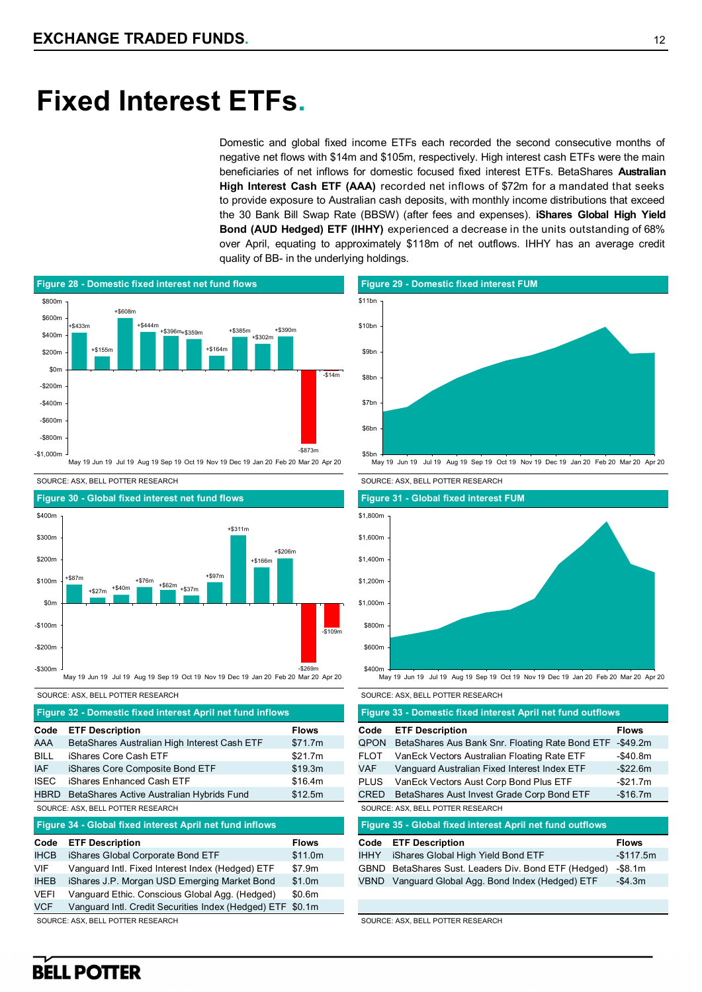## **Fixed Interest ETFs.**

Domestic and global fixed income ETFs each recorded the second consecutive months of negative net flows with \$14m and \$105m, respectively. High interest cash ETFs were the main beneficiaries of net inflows for domestic focused fixed interest ETFs. BetaShares **Australian High Interest Cash ETF (AAA)** recorded net inflows of \$72m for a mandated that seeks to provide exposure to Australian cash deposits, with monthly income distributions that exceed the 30 Bank Bill Swap Rate (BBSW) (after fees and expenses). **iShares Global High Yield Bond (AUD Hedged) ETF (IHHY)** experienced a decrease in the units outstanding of 68% over April, equating to approximately \$118m of net outflows. IHHY has an average credit quality of BB- in the underlying holdings.





#### SOURCE: ASX, BELL POTTER RESEARCH SOURCE: ASX, BELL POTTER RESEARCH

**Code ETF Description Flows** AAA BetaShares Australian High Interest Cash ETF \$71.7m BILL iShares Core Cash ETF \$21.7m IAF iShares Core Composite Bond ETF \$19.3m **ISEC** iShares Enhanced Cash ETF \$16.4m HBRD BetaShares Active Australian Hybrids Fund \$12.5m **Figure 32 - Domestic fixed interest April net fund inflows**

### SOURCE: ASX, BELL POTTER RESEARCH

**Figure 34 - Global fixed interest April net fund inflows**

| Code        | <b>ETF Description</b>                                     | <b>Flows</b> |
|-------------|------------------------------------------------------------|--------------|
| <b>IHCB</b> | iShares Global Corporate Bond ETF                          | \$11.0m      |
| <b>VIF</b>  | Vanguard Intl. Fixed Interest Index (Hedged) ETF           | \$7.9m       |
| <b>IHEB</b> | iShares J.P. Morgan USD Emerging Market Bond               | \$1.0m       |
| <b>VEFI</b> | Vanguard Ethic. Conscious Global Agg. (Hedged)             | \$0.6m       |
| <b>VCF</b>  | Vanguard Intl. Credit Securities Index (Hedged) ETF \$0.1m |              |

SOURCE: ASX, BELL POTTER RESEARCH



SOURCE: ASX, BELL POTTER RESEARCH SOURCE: ASX, BELL POTTER RESEARCH



#### May 19 Jun 19 Jul 19 Aug 19 Sep 19 Oct 19 Nov 19 Dec 19 Jan 20 Feb 20 Mar 20 Apr 20

|             | Figure 33 - Domestic fixed interest April net fund outflows |              |
|-------------|-------------------------------------------------------------|--------------|
| Code        | <b>ETF Description</b>                                      | <b>Flows</b> |
| QPON        | BetaShares Aus Bank Snr. Floating Rate Bond ETF             | -\$49.2m     |
| FLOT        | VanEck Vectors Australian Floating Rate ETF                 | $-$40.8m$    |
| VAF         | Vanguard Australian Fixed Interest Index ETF                | -\$22.6m     |
| PLUS        | VanEck Vectors Aust Corp Bond Plus ETF                      | -\$21.7m     |
| CRED        | BetaShares Aust Invest Grade Corp Bond ETF                  | $-$16.7m$    |
|             | SOURCE: ASX, BELL POTTER RESEARCH                           |              |
|             | Figure 35 - Global fixed interest April net fund outflows   |              |
| Code        | <b>ETF Description</b>                                      | <b>Flows</b> |
| <b>IHHY</b> | iShares Global High Yield Bond ETF                          | $-$117.5m$   |
| GBND        | BetaShares Sust. Leaders Div. Bond ETF (Hedged)             | -\$8.1m      |
| VBND        | Vanguard Global Agg. Bond Index (Hedged) ETF                | -\$4.3m      |
|             |                                                             |              |
|             |                                                             |              |

SOURCE: ASX, BELL POTTER RESEARCH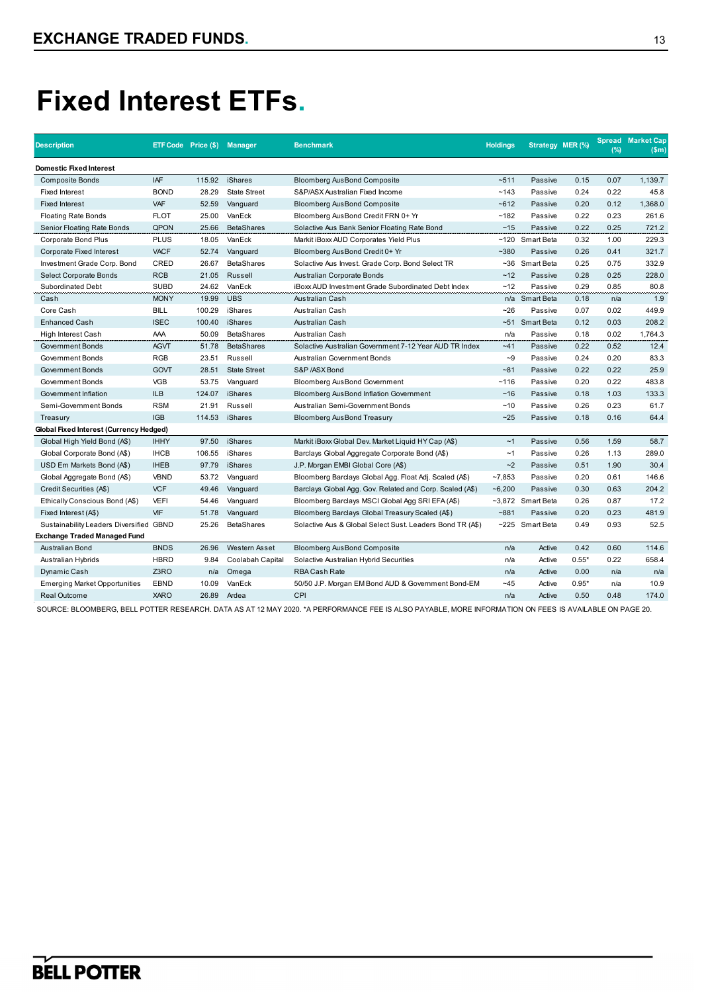# **Fixed Interest ETFs.**

| <b>Description</b>                      |             | ETF Code Price (\$) Manager |                     | <b>Benchmark</b>                                          | <b>Holdings</b> | Strategy MER (%)  |         | (%)  | <b>Spread Market Cap</b><br>(Sm) |
|-----------------------------------------|-------------|-----------------------------|---------------------|-----------------------------------------------------------|-----------------|-------------------|---------|------|----------------------------------|
| Domestic Fixed Interest                 |             |                             |                     |                                                           |                 |                   |         |      |                                  |
| <b>Composite Bonds</b>                  | <b>IAF</b>  | 115.92                      | iShares             | <b>Bloomberg AusBond Composite</b>                        | $-511$          | Passive           | 0.15    | 0.07 | 1,139.7                          |
| <b>Fixed Interest</b>                   | <b>BOND</b> | 28.29                       | <b>State Street</b> | S&P/ASX Australian Fixed Income                           | ~143            | Passive           | 0.24    | 0.22 | 45.8                             |
| <b>Fixed Interest</b>                   | <b>VAF</b>  | 52.59                       | Vanguard            | <b>Bloomberg AusBond Composite</b>                        | $-612$          | Passive           | 0.20    | 0.12 | 1,368.0                          |
| <b>Floating Rate Bonds</b>              | <b>FLOT</b> | 25.00                       | VanEck              | Bloomberg AusBond Credit FRN 0+ Yr                        | ~182            | Passive           | 0.22    | 0.23 | 261.6                            |
| Senior Floating Rate Bonds              | QPON        | 25.66                       | <b>BetaShares</b>   | Solactive Aus Bank Senior Floating Rate Bond              | ~15             | Passive           | 0.22    | 0.25 | 721.2                            |
| Corporate Bond Plus                     | <b>PLUS</b> | 18.05                       | VanEck              | Markit iBoxx AUD Corporates Yield Plus                    |                 | ~120 Smart Beta   | 0.32    | 1.00 | 229.3                            |
| Corporate Fixed Interest                | <b>VACF</b> | 52.74                       | Vanguard            | Bloomberg AusBond Credit 0+ Yr                            | $-380$          | Passive           | 0.26    | 0.41 | 321.7                            |
| Investment Grade Corp. Bond             | CRED        | 26.67                       | <b>BetaShares</b>   | Solactive Aus Invest. Grade Corp. Bond Select TR          |                 | $~5$ 6 Smart Beta | 0.25    | 0.75 | 332.9                            |
| Select Corporate Bonds                  | <b>RCB</b>  | 21.05                       | Russell             | Australian Corporate Bonds                                | $~12$           | Passive           | 0.28    | 0.25 | 228.0                            |
| <b>Subordinated Debt</b>                | <b>SUBD</b> | 24.62                       | VanEck              | iBoxx AUD Investment Grade Subordinated Debt Index        | ~12             | Passive           | 0.29    | 0.85 | 80.8                             |
| Cash                                    | <b>MONY</b> | 19.99                       | <b>UBS</b>          | Australian Cash                                           |                 | n/a Smart Beta    | 0.18    | n/a  | 1.9                              |
| Core Cash                               | <b>BILL</b> | 100.29                      | <b>iShares</b>      | Australian Cash                                           | ~26             | Passive           | 0.07    | 0.02 | 449.9                            |
| <b>Enhanced Cash</b>                    | <b>ISEC</b> | 100.40                      | iShares             | Australian Cash                                           |                 | ~51 Smart Beta    | 0.12    | 0.03 | 208.2                            |
| High Interest Cash                      | AAA         | 50.09                       | <b>BetaShares</b>   | Australian Cash                                           | n/a             | Passive           | 0.18    | 0.02 | 1,764.3                          |
| Government Bonds                        | <b>AGVT</b> | 51.78                       | <b>BetaShares</b>   | Solactive Australian Government 7-12 Year AUD TR Index    | $-41$           | Passive           | 0.22    | 0.52 | 12.4                             |
| Government Bonds                        | <b>RGB</b>  | 23.51                       | Russell             | Australian Government Bonds                               | $-9$            | Passive           | 0.24    | 0.20 | 83.3                             |
| Government Bonds                        | <b>GOVT</b> | 28.51                       | <b>State Street</b> | S&P /ASX Bond                                             | $-81$           | Passive           | 0.22    | 0.22 | 25.9                             |
| Government Bonds                        | <b>VGB</b>  | 53.75                       | Vanguard            | Bloomberg AusBond Government                              | ~116            | Passive           | 0.20    | 0.22 | 483.8                            |
| Government Inflation                    | <b>ILB</b>  | 124.07                      | <b>iShares</b>      | <b>Bloomberg AusBond Inflation Government</b>             | ~16             | Passive           | 0.18    | 1.03 | 133.3                            |
| Semi-Government Bonds                   | <b>RSM</b>  | 21.91                       | Russell             | Australian Semi-Government Bonds                          | ~10             | Passive           | 0.26    | 0.23 | 61.7                             |
| Treasury                                | <b>IGB</b>  | 114.53                      | iShares             | Bloomberg AusBond Treasury                                | ~25             | Passive           | 0.18    | 0.16 | 64.4                             |
| Global Fixed Interest (Currency Hedged) |             |                             |                     |                                                           |                 |                   |         |      |                                  |
| Global High Yield Bond (A\$)            | <b>IHHY</b> | 97.50                       | <b>iShares</b>      | Markit iBoxx Global Dev. Market Liquid HY Cap (A\$)       | ~1              | Passive           | 0.56    | 1.59 | 58.7                             |
| Global Corporate Bond (A\$)             | <b>IHCB</b> | 106.55                      | iShares             | Barclays Global Aggregate Corporate Bond (A\$)            | ~1              | Passive           | 0.26    | 1.13 | 289.0                            |
| USD Em Markets Bond (A\$)               | <b>IHEB</b> | 97.79                       | <b>iShares</b>      | J.P. Morgan EMBI Global Core (A\$)                        | ~2              | Passive           | 0.51    | 1.90 | 30.4                             |
| Global Aggregate Bond (A\$)             | <b>VBND</b> | 53.72                       | Vanguard            | Bloomberg Barclays Global Agg. Float Adj. Scaled (A\$)    | ~27,853         | Passive           | 0.20    | 0.61 | 146.6                            |
| Credit Securities (A\$)                 | <b>VCF</b>  | 49.46                       | Vanguard            | Barclays Global Agg. Gov. Related and Corp. Scaled (A\$)  | $-6,200$        | Passive           | 0.30    | 0.63 | 204.2                            |
| Ethically Conscious Bond (A\$)          | <b>VEFI</b> | 54.46                       | Vanguard            | Bloomberg Barclays MSCI Global Agg SRI EFA (A\$)          |                 | ~3,872 Smart Beta | 0.26    | 0.87 | 17.2                             |
| Fixed Interest (A\$)                    | VIF         | 51.78                       | Vanguard            | Bloomberg Barclays Global Treasury Scaled (A\$)           | $-881$          | Passive           | 0.20    | 0.23 | 481.9                            |
| Sustainability Leaders Diversified GBND |             | 25.26                       | <b>BetaShares</b>   | Solactive Aus & Global Select Sust. Leaders Bond TR (A\$) |                 | ~225 Smart Beta   | 0.49    | 0.93 | 52.5                             |
| Exchange Traded Managed Fund            |             |                             |                     |                                                           |                 |                   |         |      |                                  |
| Australian Bond                         | <b>BNDS</b> | 26.96                       | Western Asset       | <b>Bloomberg AusBond Composite</b>                        | n/a             | Active            | 0.42    | 0.60 | 114.6                            |
| Australian Hybrids                      | <b>HBRD</b> | 9.84                        | Coolabah Capital    | Solactive Australian Hybrid Securities                    | n/a             | Active            | $0.55*$ | 0.22 | 658.4                            |
| Dynamic Cash                            | Z3RO        | n/a                         | Omega               | <b>RBA Cash Rate</b>                                      | n/a             | Active            | 0.00    | n/a  | n/a                              |
| <b>Emerging Market Opportunities</b>    | <b>EBND</b> | 10.09                       | VanEck              | 50/50 J.P. Morgan EM Bond AUD & Government Bond-EM        | ~145            | Active            | $0.95*$ | n/a  | 10.9                             |
| <b>Real Outcome</b>                     | <b>XARO</b> | 26.89                       | Ardea               | CPI                                                       | n/a             | Active            | 0.50    | 0.48 | 174.0                            |

SOURCE: BLOOMBERG, BELL POTTER RESEARCH. DATA AS AT 12 MAY 2020. \*A PERFORMANCE FEE IS ALSO PAYABLE, MORE INFORMATION ON FEES IS AVAILABLE ON PAGE 20.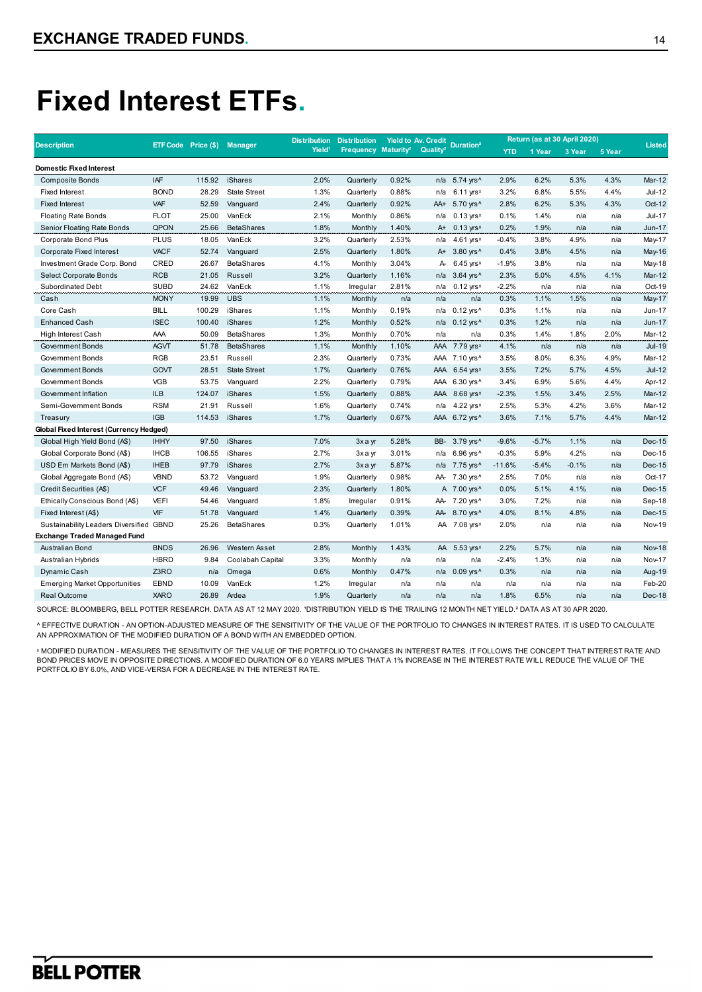# **Fixed Interest ETFs.**

|                                         |             |                             |                     | <b>Distribution</b> | <b>Distribution</b>                   |       | <b>Yield to Av. Credit</b> | Duration <sup>2</sup>                     |            |         | Return (as at 30 April 2020) |        | <b>Listed</b> |
|-----------------------------------------|-------------|-----------------------------|---------------------|---------------------|---------------------------------------|-------|----------------------------|-------------------------------------------|------------|---------|------------------------------|--------|---------------|
| <b>Description</b>                      |             | ETF Code Price (\$) Manager |                     | Yield <sup>1</sup>  | <b>Frequency Maturity<sup>2</sup></b> |       | Quality <sup>2</sup>       |                                           | <b>YTD</b> | 1 Year  | 3 Year                       | 5 Year |               |
| <b>Domestic Fixed Interest</b>          |             |                             |                     |                     |                                       |       |                            |                                           |            |         |                              |        |               |
| <b>Composite Bonds</b>                  | <b>IAF</b>  | 115.92                      | iShares             | 2.0%                | Quarterly                             | 0.92% |                            | n/a 5.74 yrs <sup>^</sup>                 | 2.9%       | 6.2%    | 5.3%                         | 4.3%   | Mar-12        |
| <b>Fixed Interest</b>                   | <b>BOND</b> | 28.29                       | <b>State Street</b> | 1.3%                | Quarterly                             | 0.88% | n/a                        | $6.11$ yrs <sup>x</sup>                   | 3.2%       | 6.8%    | 5.5%                         | 4.4%   | <b>Jul-12</b> |
| <b>Fixed Interest</b>                   | <b>VAF</b>  | 52.59                       | Vanguard            | 2.4%                | Quarterly                             | 0.92% | AA+                        | 5.70 yrs^                                 | 2.8%       | 6.2%    | 5.3%                         | 4.3%   | Oct-12        |
| <b>Floating Rate Bonds</b>              | <b>FLOT</b> | 25.00                       | VanEck              | 2.1%                | Monthly                               | 0.86% | n/a                        | $0.13$ yrs $x$                            | 0.1%       | 1.4%    | n/a                          | n/a    | <b>Jul-17</b> |
| Senior Floating Rate Bonds              | QPON        | 25.66                       | <b>BetaShares</b>   | 1.8%                | Monthly                               | 1.40% |                            | $A+ 0.13$ yrs <sup>x</sup>                | 0.2%       | 1.9%    | n/a                          | n/a    | <b>Jun-17</b> |
| Corporate Bond Plus                     | <b>PLUS</b> | 18.05                       | VanEck              | 3.2%                | Quarterly                             | 2.53% |                            | $n/a$ 4.61 yrs <sup>x</sup>               | $-0.4%$    | 3.8%    | 4.9%                         | n/a    | May-17        |
| Corporate Fixed Interest                | <b>VACF</b> | 52.74                       | Vanguard            | 2.5%                | Quarterly                             | 1.80% |                            | A+ 3.80 yrs <sup>^</sup>                  | 0.4%       | 3.8%    | 4.5%                         | n/a    | May-16        |
| Investment Grade Corp. Bond             | CRED        | 26.67                       | <b>BetaShares</b>   | 4.1%                | Monthly                               | 3.04% |                            | A- 6.45 yrs <sup>x</sup>                  | $-1.9%$    | 3.8%    | n/a                          | n/a    | May-18        |
| <b>Select Corporate Bonds</b>           | <b>RCB</b>  | 21.05                       | Russell             | 3.2%                | Quarterly                             | 1.16% | n/a                        | $3.64$ yrs <sup><math>\wedge</math></sup> | 2.3%       | 5.0%    | 4.5%                         | 4.1%   | Mar-12        |
| <b>Subordinated Debt</b>                | <b>SUBD</b> | 24.62                       | VanEck              | 1.1%                | Irregular                             | 2.81% | n/a                        | $0.12$ yrs <sup>x</sup>                   | $-2.2%$    | n/a     | n/a                          | n/a    | Oct-19        |
| Cash                                    | <b>MONY</b> | 19.99                       | <b>UBS</b>          | 1.1%                | Monthly                               | n/a   | n/a                        | n/a                                       | 0.3%       | 1.1%    | 1.5%                         | n/a    | May-17        |
| Core Cash                               | <b>BILL</b> | 100.29                      | iShares             | 1.1%                | Monthly                               | 0.19% | n/a                        | $0.12$ yrs <sup><math>\wedge</math></sup> | 0.3%       | 1.1%    | n/a                          | n/a    | Jun-17        |
| <b>Enhanced Cash</b>                    | <b>ISEC</b> | 100.40                      | iShares             | 1.2%                | Monthly                               | 0.52% | n/a                        | $0.12$ yrs <sup><math>\wedge</math></sup> | 0.3%       | 1.2%    | n/a                          | n/a    | Jun-17        |
| High Interest Cash                      | AAA         | 50.09                       | <b>BetaShares</b>   | 1.3%                | Monthly                               | 0.70% | n/a                        | n/a                                       | 0.3%       | 1.4%    | 1.8%                         | 2.0%   | Mar-12        |
| Government Bonds                        | <b>AGVT</b> | 51.78                       | <b>BetaShares</b>   | 1.1%                | Monthly                               | 1.10% |                            | AAA 7.79 yrs <sup>x</sup>                 | 4.1%       | n/a     | n/a                          | n/a    | <b>Jul-19</b> |
| Government Bonds                        | <b>RGB</b>  | 23.51                       | Russell             | 2.3%                | Quarterly                             | 0.73% |                            | AAA 7.10 yrs <sup>^</sup>                 | 3.5%       | 8.0%    | 6.3%                         | 4.9%   | Mar-12        |
| Government Bonds                        | <b>GOVT</b> | 28.51                       | <b>State Street</b> | 1.7%                | Quarterly                             | 0.76% |                            | AAA $6.54$ yrs <sup>x</sup>               | 3.5%       | 7.2%    | 5.7%                         | 4.5%   | $Jul-12$      |
| Government Bonds                        | <b>VGB</b>  | 53.75                       | Vanguard            | 2.2%                | Quarterly                             | 0.79% |                            | AAA 6.30 yrs <sup>^</sup>                 | 3.4%       | 6.9%    | 5.6%                         | 4.4%   | Apr-12        |
| Government Inflation                    | <b>ILB</b>  | 124.07                      | <b>iShares</b>      | 1.5%                | Quarterly                             | 0.88% |                            | AAA 8.68 yrs <sup>x</sup>                 | $-2.3%$    | 1.5%    | 3.4%                         | 2.5%   | <b>Mar-12</b> |
| Semi-Government Bonds                   | <b>RSM</b>  | 21.91                       | Russell             | 1.6%                | Quarterly                             | 0.74% | n/a                        | $4.22$ yrs <sup>x</sup>                   | 2.5%       | 5.3%    | 4.2%                         | 3.6%   | Mar-12        |
| Treasury                                | <b>IGB</b>  | 114.53                      | iShares             | 1.7%                | Quarterly                             | 0.67% |                            | AAA 6.72 yrs^                             | 3.6%       | 7.1%    | 5.7%                         | 4.4%   | Mar-12        |
| Global Fixed Interest (Currency Hedged) |             |                             |                     |                     |                                       |       |                            |                                           |            |         |                              |        |               |
| Global High Yield Bond (A\$)            | <b>IHHY</b> | 97.50                       | iShares             | 7.0%                | 3xa yr                                | 5.28% |                            | BB- 3.79 yrs <sup>^</sup>                 | $-9.6%$    | $-5.7%$ | 1.1%                         | n/a    | Dec-15        |
| Global Corporate Bond (A\$)             | <b>IHCB</b> | 106.55                      | iShares             | 2.7%                | 3xayr                                 | 3.01% | n/a                        | 6.96 yrs^                                 | $-0.3%$    | 5.9%    | 4.2%                         | n/a    | Dec-15        |
| USD Em Markets Bond (A\$)               | <b>IHEB</b> | 97.79                       | <b>iShares</b>      | 2.7%                | 3xa yr                                | 5.87% | n/a                        | 7.75 yrs^                                 | $-11.6%$   | $-5.4%$ | $-0.1%$                      | n/a    | Dec-15        |
| Global Aggregate Bond (A\$)             | <b>VBND</b> | 53.72                       | Vanguard            | 1.9%                | Quarterly                             | 0.98% | AA-                        | 7.30 yrs^                                 | 2.5%       | 7.0%    | n/a                          | n/a    | Oct-17        |
| Credit Securities (A\$)                 | <b>VCF</b>  | 49.46                       | Vanguard            | 2.3%                | Quarterly                             | 1.80% |                            | A 7.00 yrs <sup>^</sup>                   | 0.0%       | 5.1%    | 4.1%                         | n/a    | Dec-15        |
| Ethically Conscious Bond (A\$)          | <b>VEFI</b> | 54.46                       | Vanguard            | 1.8%                | Irregular                             | 0.91% |                            | AA- 7.20 yrs^                             | 3.0%       | 7.2%    | n/a                          | n/a    | Sep-18        |
| Fixed Interest (A\$)                    | <b>VIF</b>  | 51.78                       | Vanguard            | 1.4%                | Quarterly                             | 0.39% |                            | AA- 8.70 yrs <sup>^</sup>                 | 4.0%       | 8.1%    | 4.8%                         | n/a    | Dec-15        |
| Sustainability Leaders Diversified GBND |             | 25.26                       | <b>BetaShares</b>   | 0.3%                | Quarterly                             | 1.01% |                            | AA 7.08 yrs <sup>x</sup>                  | 2.0%       | n/a     | n/a                          | n/a    | Nov-19        |
| Exchange Traded Managed Fund            |             |                             |                     |                     |                                       |       |                            |                                           |            |         |                              |        |               |
| Australian Bond                         | <b>BNDS</b> | 26.96                       | Western Asset       | 2.8%                | Monthly                               | 1.43% |                            | AA 5.53 yrs <sup>x</sup>                  | 2.2%       | 5.7%    | n/a                          | n/a    | <b>Nov-18</b> |
| Australian Hybrids                      | <b>HBRD</b> | 9.84                        | Coolabah Capital    | 3.3%                | Monthly                               | n/a   | n/a                        | n/a                                       | $-2.4%$    | 1.3%    | n/a                          | n/a    | Nov-17        |
| Dynamic Cash                            | Z3RO        | n/a                         | Omega               | 0.6%                | Monthly                               | 0.47% | n/a                        | $0.09$ yrs <sup><math>\wedge</math></sup> | 0.3%       | n/a     | n/a                          | n/a    | Aug-19        |
| <b>Emerging Market Opportunities</b>    | <b>EBND</b> | 10.09                       | VanEck              | 1.2%                | Irregular                             | n/a   | n/a                        | n/a                                       | n/a        | n/a     | n/a                          | n/a    | Feb-20        |
| <b>Real Outcome</b>                     | <b>XARO</b> | 26.89                       | Ardea               | 1.9%                | Quarterly                             | n/a   | n/a                        | n/a                                       | 1.8%       | 6.5%    | n/a                          | n/a    | Dec-18        |

SOURCE: BLOOMBERG, BELL POTTER RESEARCH, DATA AS AT 12 MAY 2020. 'DISTRIBUTION YIELD IS THE TRAILING 12 MONTH NET YIELD.<sup>2</sup> DATA AS AT 30 APR 2020.

^ EFFECTIVE DURATION - AN OPTION-ADJUSTED MEASURE OF THE SENSITIVITY OF THE VALUE OF THE PORTFOLIO TO CHANGES IN INTEREST RATES. IT IS USED TO CALCULATE AN APPROXIMATION OF THE MODIFIED DURATION OF A BOND WITH AN EMBEDDED OPTION.

ˣ MODIFIED DURATION - MEASURES THE SENSITIVITY OF THE VALUE OF THE PORTFOLIO TO CHANGES IN INTEREST RATES. IT FOLLOWS THE CONCEPT THAT INTEREST RATE AND BOND PRICES MOVE IN OPPOSITE DIRECTIONS. A MODIFIED DURATION OF 6.0 YEARS IMPLIES THAT A 1% INCREASE IN THE INTEREST RATE WILL REDUCE THE VALUE OF THE<br>PORTFOLIO BY 6.0%, AND VICE-VERSA FOR A DECREASE IN THE INTEREST RATE.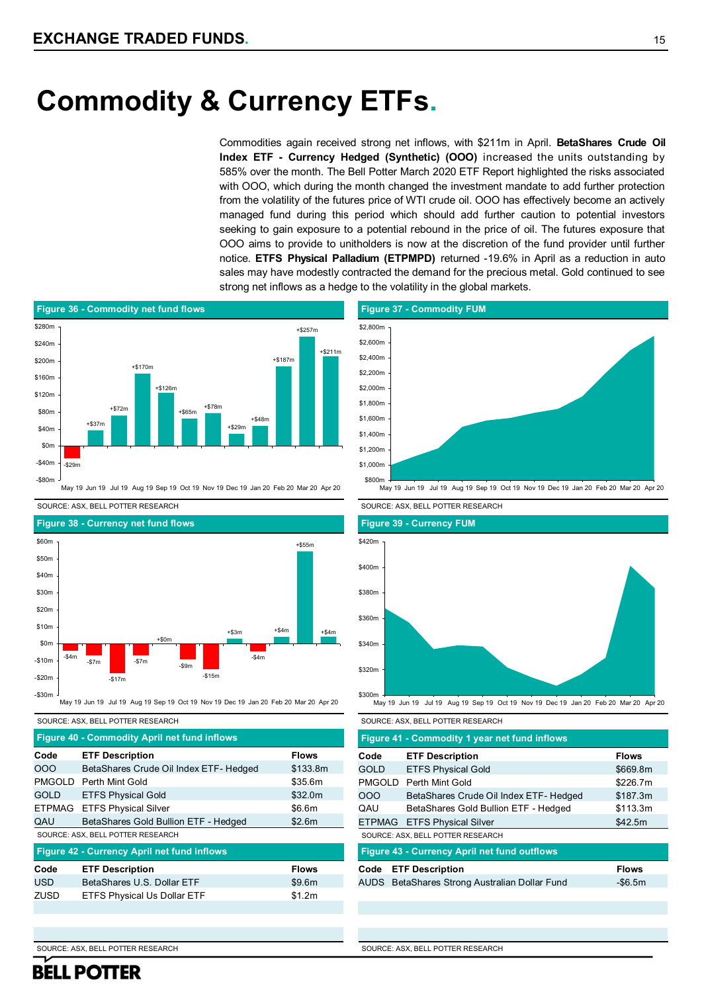## **Commodity & Currency ETFs.**

Commodities again received strong net inflows, with \$211m in April. **BetaShares Crude Oil Index ETF - Currency Hedged (Synthetic) (OOO)** increased the units outstanding by 585% over the month. The Bell Potter March 2020 ETF Report highlighted the risks associated with OOO, which during the month changed the investment mandate to add further protection from the volatility of the futures price of WTI crude oil. OOO has effectively become an actively managed fund during this period which should add further caution to potential investors seeking to gain exposure to a potential rebound in the price of oil. The futures exposure that OOO aims to provide to unitholders is now at the discretion of the fund provider until further notice. **ETFS Physical Palladium (ETPMPD)** returned -19.6% in April as a reduction in auto sales may have modestly contracted the demand for the precious metal. Gold continued to see strong net inflows as a hedge to the volatility in the global markets.



SOURCE: ASX, BELL POTTER RESEARCH SOURCE: ASX, BELL POTTER RESEARCH



#### SOURCE: ASX, BELL POTTER RESEARCH SOURCE: ASX, BELL POTTER RESEARCH

|               | <b>Figure 40 - Commodity April net fund inflows</b> |              |             | Figure 41 - Commodity 1 year net fund inflows       |
|---------------|-----------------------------------------------------|--------------|-------------|-----------------------------------------------------|
| Code          | <b>ETF Description</b>                              | <b>Flows</b> | Code        | <b>ETF Description</b>                              |
| 000           | BetaShares Crude Oil Index ETF- Hedged              | \$133.8m     | <b>GOLD</b> | <b>ETFS Physical Gold</b>                           |
| <b>PMGOLD</b> | Perth Mint Gold                                     | \$35.6m      | PMGOLD      | Perth Mint Gold                                     |
| <b>GOLD</b>   | <b>ETFS Physical Gold</b>                           | \$32.0m      | OOO         | BetaShares Crude Oil Index ETF- Hed                 |
| <b>ETPMAG</b> | <b>ETFS Physical Silver</b>                         | \$6.6m       | QAU         | BetaShares Gold Bullion ETF - Hedge                 |
| QAU           | BetaShares Gold Bullion ETF - Hedged                | \$2.6m       |             | ETPMAG ETFS Physical Silver                         |
|               | SOURCE: ASX, BELL POTTER RESEARCH                   |              |             | SOURCE: ASX, BELL POTTER RESEARCH                   |
|               | <b>Figure 42 - Currency April net fund inflows</b>  |              |             | <b>Figure 43 - Currency April net fund outflows</b> |
| Code          | <b>ETF Description</b>                              | <b>Flows</b> | Code        | <b>ETF Description</b>                              |
| <b>USD</b>    | BetaShares U.S. Dollar ETF                          | \$9.6m       |             | AUDS BetaShares Strong Australian Dollar Fund       |
| <b>ZUSD</b>   | <b>ETFS Physical Us Dollar ETF</b>                  | \$1.2m       |             |                                                     |
|               |                                                     |              |             |                                                     |
|               |                                                     |              |             |                                                     |



May 19 Jun 19 Jul 19 Aug 19 Sep 19 Oct 19 Nov 19 Dec 19 Jan 20 Feb 20 Mar 20 Apr 20







May 19 Jun 19 Jul 19 Aug 19 Sep 19 Oct 19 Nov 19 Dec 19 Jan 20 Feb 20 Mar 20 Apr 20

|               | Figure 41 - Commodity 1 year net fund inflows       |              |
|---------------|-----------------------------------------------------|--------------|
| Code          | <b>ETF Description</b>                              | <b>Flows</b> |
| GOLD          | <b>ETFS Physical Gold</b>                           | \$669.8m     |
| <b>PMGOLD</b> | Perth Mint Gold                                     | \$226.7m     |
| 000           | BetaShares Crude Oil Index ETF- Hedged              | \$187.3m     |
| QAU           | BetaShares Gold Bullion ETF - Hedged                | \$113.3m     |
|               | <b>ETPMAG</b> ETFS Physical Silver                  | \$42.5m      |
|               | SOURCE: ASX, BELL POTTER RESEARCH                   |              |
|               | <b>Figure 43 - Currency April net fund outflows</b> |              |
| Code          | <b>ETF Description</b>                              | <b>Flows</b> |
|               | AUDS BetaShares Strong Australian Dollar Fund       | $-$ \$6.5m   |
|               |                                                     |              |
|               |                                                     |              |
|               |                                                     |              |

SOURCE: ASX, BELL POTTER RESEARCH

**BELL POTTER** 

SOURCE: ASX, BELL POTTER RESEARCH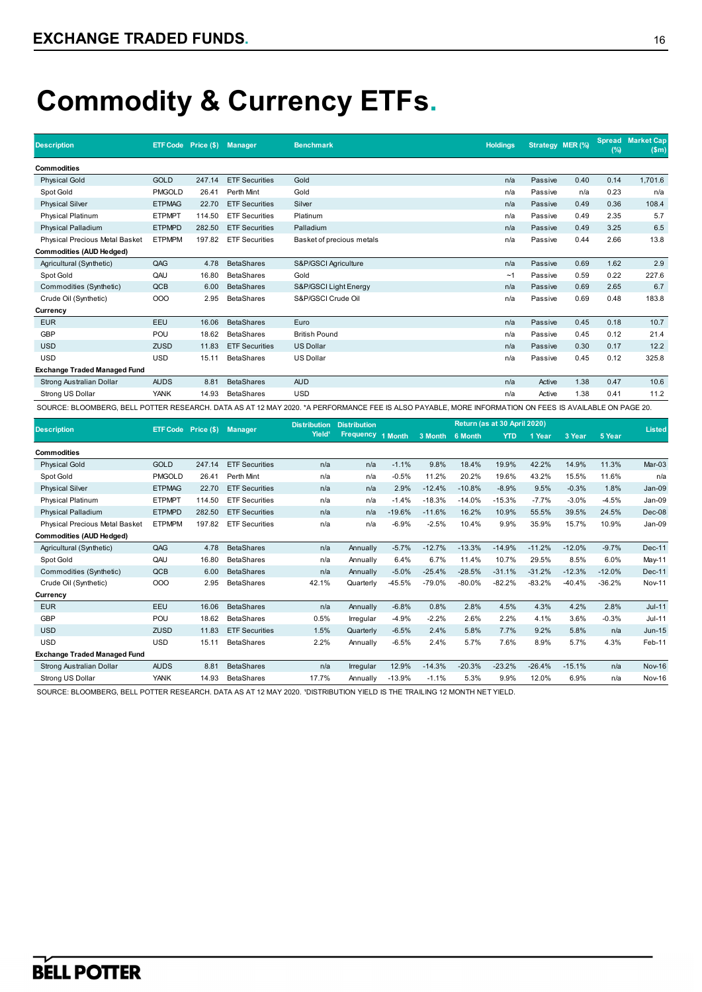# **Commodity & Currency ETFs.**

| <b>Description</b>                  |               | ETF Code Price (\$) | <b>Manager</b>        | <b>Benchmark</b>                                                                                                                                       | <b>Holdings</b> |         | Strategy MER (%) | $(\%)$ | <b>Spread Market Cap</b><br>(Sm) |
|-------------------------------------|---------------|---------------------|-----------------------|--------------------------------------------------------------------------------------------------------------------------------------------------------|-----------------|---------|------------------|--------|----------------------------------|
| <b>Commodities</b>                  |               |                     |                       |                                                                                                                                                        |                 |         |                  |        |                                  |
| <b>Physical Gold</b>                | <b>GOLD</b>   | 247.14              | <b>ETF Securities</b> | Gold                                                                                                                                                   | n/a             | Passive | 0.40             | 0.14   | 1,701.6                          |
| Spot Gold                           | <b>PMGOLD</b> | 26.41               | Perth Mint            | Gold                                                                                                                                                   | n/a             | Passive | n/a              | 0.23   | n/a                              |
| <b>Physical Silver</b>              | <b>ETPMAG</b> | 22.70               | <b>ETF Securities</b> | Silver                                                                                                                                                 | n/a             | Passive | 0.49             | 0.36   | 108.4                            |
| Physical Platinum                   | <b>ETPMPT</b> | 114.50              | <b>ETF Securities</b> | Platinum                                                                                                                                               | n/a             | Passive | 0.49             | 2.35   | 5.7                              |
| Physical Palladium                  | <b>ETPMPD</b> | 282.50              | <b>ETF Securities</b> | Palladium                                                                                                                                              | n/a             | Passive | 0.49             | 3.25   | 6.5                              |
| Physical Precious Metal Basket      | <b>ETPMPM</b> | 197.82              | <b>ETF Securities</b> | Basket of precious metals                                                                                                                              | n/a             | Passive | 0.44             | 2.66   | 13.8                             |
| <b>Commodities (AUD Hedged)</b>     |               |                     |                       |                                                                                                                                                        |                 |         |                  |        |                                  |
| Agricultural (Synthetic)            | QAG           | 4.78                | <b>BetaShares</b>     | S&P/GSCI Agriculture                                                                                                                                   | n/a             | Passive | 0.69             | 1.62   | 2.9                              |
| Spot Gold                           | QAU           | 16.80               | <b>BetaShares</b>     | Gold                                                                                                                                                   | ~1              | Passive | 0.59             | 0.22   | 227.6                            |
| Commodities (Synthetic)             | QCB           | 6.00                | <b>BetaShares</b>     | S&P/GSCI Light Energy                                                                                                                                  | n/a             | Passive | 0.69             | 2.65   | 6.7                              |
| Crude Oil (Synthetic)               | 000           | 2.95                | <b>BetaShares</b>     | S&P/GSCI Crude Oil                                                                                                                                     | n/a             | Passive | 0.69             | 0.48   | 183.8                            |
| Currency                            |               |                     |                       |                                                                                                                                                        |                 |         |                  |        |                                  |
| <b>EUR</b>                          | EEU           | 16.06               | <b>BetaShares</b>     | Euro                                                                                                                                                   | n/a             | Passive | 0.45             | 0.18   | 10.7                             |
| <b>GBP</b>                          | POU           | 18.62               | <b>BetaShares</b>     | <b>British Pound</b>                                                                                                                                   | n/a             | Passive | 0.45             | 0.12   | 21.4                             |
| <b>USD</b>                          | <b>ZUSD</b>   | 11.83               | <b>ETF Securities</b> | <b>US Dollar</b>                                                                                                                                       | n/a             | Passive | 0.30             | 0.17   | 12.2                             |
| <b>USD</b>                          | <b>USD</b>    | 15.11               | <b>BetaShares</b>     | <b>US Dollar</b>                                                                                                                                       | n/a             | Passive | 0.45             | 0.12   | 325.8                            |
| <b>Exchange Traded Managed Fund</b> |               |                     |                       |                                                                                                                                                        |                 |         |                  |        |                                  |
| Strong Australian Dollar            | <b>AUDS</b>   | 8.81                | <b>BetaShares</b>     | <b>AUD</b>                                                                                                                                             | n/a             | Active  | 1.38             | 0.47   | 10.6                             |
| Strong US Dollar                    | <b>YANK</b>   | 14.93               | <b>BetaShares</b>     | <b>USD</b>                                                                                                                                             | n/a             | Active  | 1.38             | 0.41   | 11.2                             |
|                                     |               |                     |                       | SOURCE: BLOOMBERG. BELL POTTER RESEARCH. DATA AS AT 12 MAY 2020. *A PERFORMANCE FEE IS ALSO PAYABLE. MORE INFORMATION ON FEES IS AVAILABLE ON PAGE 20. |                 |         |                  |        |                                  |

|                                     | <b>ETF Code</b> | Price $(§)$ | <b>Manager</b>        | <b>Distribution</b><br>Yield <sup>1</sup> | <b>Distribution</b> |          | Return (as at 30 April 2020) |                 |            |          |          |          | <b>Listed</b> |
|-------------------------------------|-----------------|-------------|-----------------------|-------------------------------------------|---------------------|----------|------------------------------|-----------------|------------|----------|----------|----------|---------------|
| <b>Description</b>                  |                 |             |                       |                                           | <b>Frequency</b>    | 1 Month  |                              | 3 Month 6 Month | <b>YTD</b> | 1 Year   | 3 Year   | 5 Year   |               |
| <b>Commodities</b>                  |                 |             |                       |                                           |                     |          |                              |                 |            |          |          |          |               |
| <b>Physical Gold</b>                | <b>GOLD</b>     | 247.14      | <b>ETF Securities</b> | n/a                                       | n/a                 | $-1.1%$  | 9.8%                         | 18.4%           | 19.9%      | 42.2%    | 14.9%    | 11.3%    | Mar-03        |
| Spot Gold                           | <b>PMGOLD</b>   | 26.41       | Perth Mint            | n/a                                       | n/a                 | $-0.5%$  | 11.2%                        | 20.2%           | 19.6%      | 43.2%    | 15.5%    | 11.6%    | n/a           |
| <b>Physical Silver</b>              | <b>ETPMAG</b>   | 22.70       | <b>ETF Securities</b> | n/a                                       | n/a                 | 2.9%     | $-12.4%$                     | $-10.8%$        | $-8.9%$    | 9.5%     | $-0.3%$  | 1.8%     | Jan-09        |
| <b>Physical Platinum</b>            | <b>ETPMPT</b>   | 114.50      | <b>ETF Securities</b> | n/a                                       | n/a                 | $-1.4%$  | $-18.3%$                     | $-14.0%$        | $-15.3%$   | $-7.7%$  | $-3.0%$  | $-4.5%$  | Jan-09        |
| <b>Physical Palladium</b>           | <b>ETPMPD</b>   | 282.50      | <b>ETF Securities</b> | n/a                                       | n/a                 | $-19.6%$ | $-11.6%$                     | 16.2%           | 10.9%      | 55.5%    | 39.5%    | 24.5%    | $Dec-08$      |
| Physical Precious Metal Basket      | <b>ETPMPM</b>   | 197.82      | <b>ETF Securities</b> | n/a                                       | n/a                 | $-6.9%$  | $-2.5%$                      | 10.4%           | 9.9%       | 35.9%    | 15.7%    | 10.9%    | Jan-09        |
| <b>Commodities (AUD Hedged)</b>     |                 |             |                       |                                           |                     |          |                              |                 |            |          |          |          |               |
| Agricultural (Synthetic)            | QAG             | 4.78        | <b>BetaShares</b>     | n/a                                       | Annually            | $-5.7%$  | $-12.7%$                     | $-13.3%$        | $-14.9%$   | $-11.2%$ | $-12.0%$ | $-9.7%$  | <b>Dec-11</b> |
| Spot Gold                           | QAU             | 16.80       | <b>BetaShares</b>     | n/a                                       | Annually            | 6.4%     | 6.7%                         | 11.4%           | 10.7%      | 29.5%    | 8.5%     | 6.0%     | May-11        |
| Commodities (Synthetic)             | QCB             | 6.00        | <b>BetaShares</b>     | n/a                                       | Annually            | $-5.0%$  | $-25.4%$                     | $-28.5%$        | $-31.1%$   | $-31.2%$ | $-12.3%$ | $-12.0%$ | <b>Dec-11</b> |
| Crude Oil (Synthetic)               | 000             | 2.95        | <b>BetaShares</b>     | 42.1%                                     | Quarterly           | $-45.5%$ | $-79.0%$                     | $-80.0%$        | $-82.2%$   | $-83.2%$ | $-40.4%$ | $-36.2%$ | <b>Nov-11</b> |
| Currency                            |                 |             |                       |                                           |                     |          |                              |                 |            |          |          |          |               |
| <b>EUR</b>                          | EEU             | 16.06       | <b>BetaShares</b>     | n/a                                       | Annually            | $-6.8%$  | 0.8%                         | 2.8%            | 4.5%       | 4.3%     | 4.2%     | 2.8%     | $Jul-11$      |
| <b>GBP</b>                          | POU             | 18.62       | <b>BetaShares</b>     | 0.5%                                      | Irregular           | $-4.9%$  | $-2.2%$                      | 2.6%            | 2.2%       | 4.1%     | 3.6%     | $-0.3%$  | $Jul-11$      |
| <b>USD</b>                          | <b>ZUSD</b>     | 11.83       | <b>ETF Securities</b> | 1.5%                                      | Quarterly           | $-6.5%$  | 2.4%                         | 5.8%            | 7.7%       | 9.2%     | 5.8%     | n/a      | <b>Jun-15</b> |
| <b>USD</b>                          | <b>USD</b>      | 15.11       | <b>BetaShares</b>     | 2.2%                                      | Annually            | $-6.5%$  | 2.4%                         | 5.7%            | 7.6%       | 8.9%     | 5.7%     | 4.3%     | Feb-11        |
| <b>Exchange Traded Managed Fund</b> |                 |             |                       |                                           |                     |          |                              |                 |            |          |          |          |               |
| Strong Australian Dollar            | <b>AUDS</b>     | 8.81        | <b>BetaShares</b>     | n/a                                       | Irregular           | 12.9%    | $-14.3%$                     | $-20.3%$        | $-23.2%$   | $-26.4%$ | $-15.1%$ | n/a      | <b>Nov-16</b> |
| Strong US Dollar                    | <b>YANK</b>     | 14.93       | <b>BetaShares</b>     | 17.7%                                     | Annually            | $-13.9%$ | $-1.1%$                      | 5.3%            | 9.9%       | 12.0%    | 6.9%     | n/a      | <b>Nov-16</b> |

SOURCE: BLOOMBERG, BELL POTTER RESEARCH. DATA AS AT 12 MAY 2020. ¹DISTRIBUTION YIELD IS THE TRAILING 12 MONTH NET YIELD.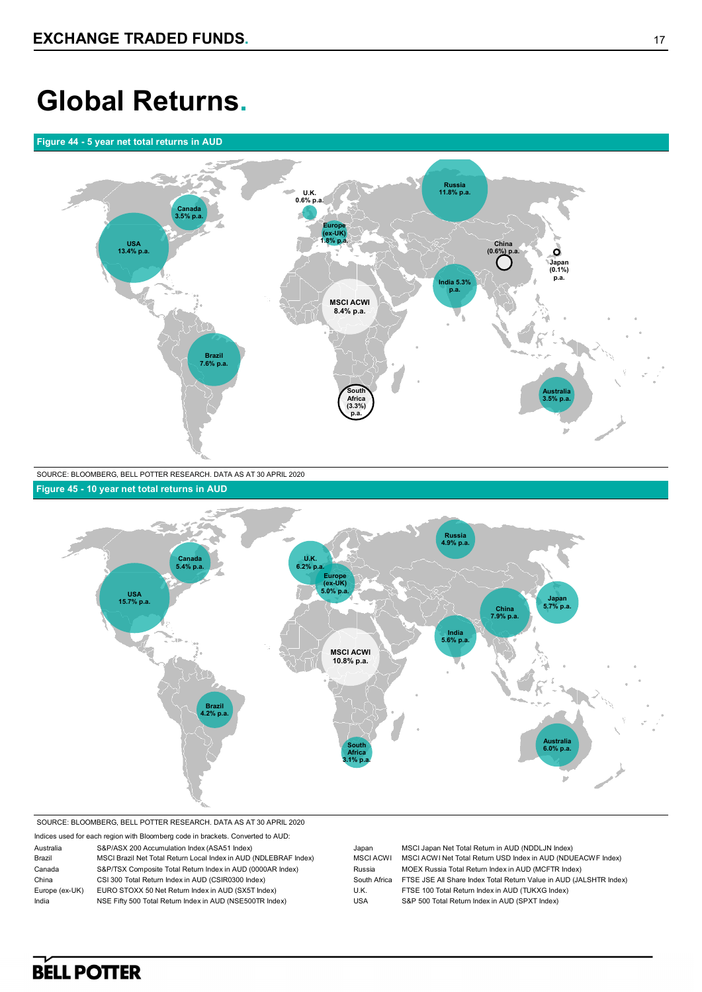## **Global Returns.**

### **Figure 44 - 5 year net total returns in AUD**



SOURCE: BLOOMBERG, BELL POTTER RESEARCH. DATA AS AT 30 APRIL 2020 **Figure 45 - 10 year net total returns in AUD**



SOURCE: BLOOMBERG, BELL POTTER RESEARCH. DATA AS AT 30 APRIL 2020

| Indices used for each region with Bloomberg code in brackets. Converted to AUD: |                                                                  |              |                                                                    |  |  |  |  |
|---------------------------------------------------------------------------------|------------------------------------------------------------------|--------------|--------------------------------------------------------------------|--|--|--|--|
| Australia                                                                       | S&P/ASX 200 Accumulation Index (ASA51 Index)                     | Japan        | MSCI Japan Net Total Return in AUD (NDDLJN Index)                  |  |  |  |  |
| Brazil                                                                          | MSCI Brazil Net Total Return Local Index in AUD (NDLEBRAF Index) | MSCI ACWI    | MSCI ACWI Net Total Return USD Index in AUD (NDUEACWF Index)       |  |  |  |  |
| Canada                                                                          | S&P/TSX Composite Total Return Index in AUD (0000AR Index)       | Russia       | MOEX Russia Total Return Index in AUD (MCFTR Index)                |  |  |  |  |
| China                                                                           | CSI 300 Total Return Index in AUD (CSIR0300 Index)               | South Africa | FTSE JSE All Share Index Total Return Value in AUD (JALSHTR Index) |  |  |  |  |
| Europe (ex-UK)                                                                  | EURO STOXX 50 Net Return Index in AUD (SX5T Index)               | U.K.         | FTSE 100 Total Return Index in AUD (TUKXG Index)                   |  |  |  |  |
| India                                                                           | NSE Fifty 500 Total Return Index in AUD (NSE500TR Index)         | USA          | S&P 500 Total Return Index in AUD (SPXT Index)                     |  |  |  |  |
|                                                                                 |                                                                  |              |                                                                    |  |  |  |  |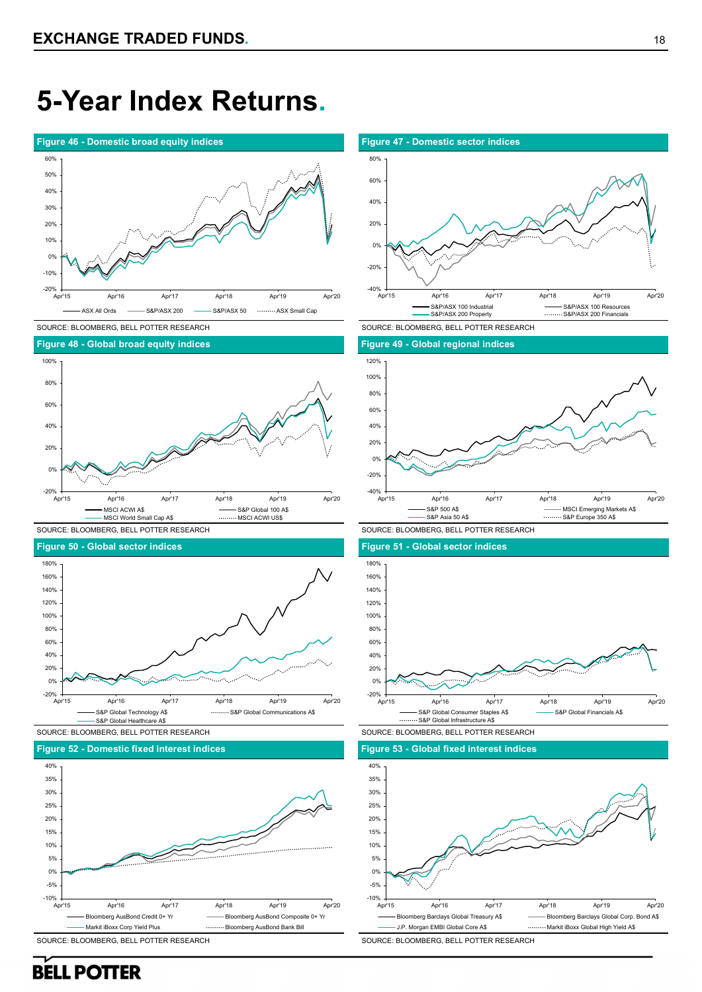## **5-Year Index Returns.**



SOURCE: BLOOMBERG, BELL POTTER RESEARCH SOURCE: BLOOMBERG, BELL POTTER RESEARCH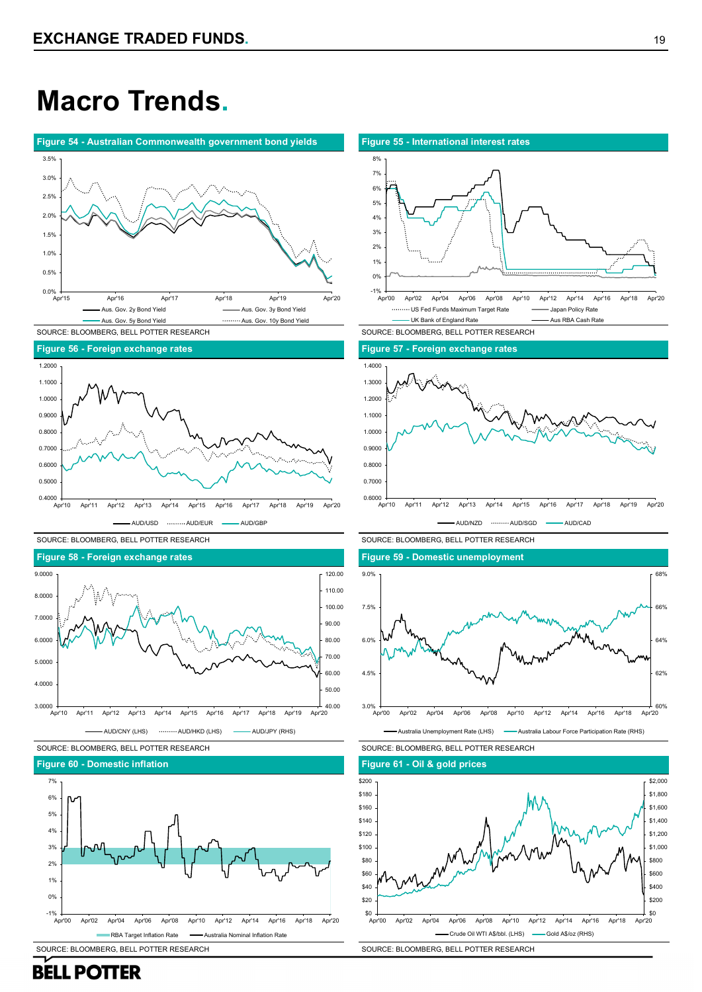## **Macro Trends.**















SOURCE: BLOOMBERG, BELL POTTER RESEARCH

**Figure 60 - Domestic inflation**







SOURCE: BLOOMBERG, BELL POTTER RESEARCH



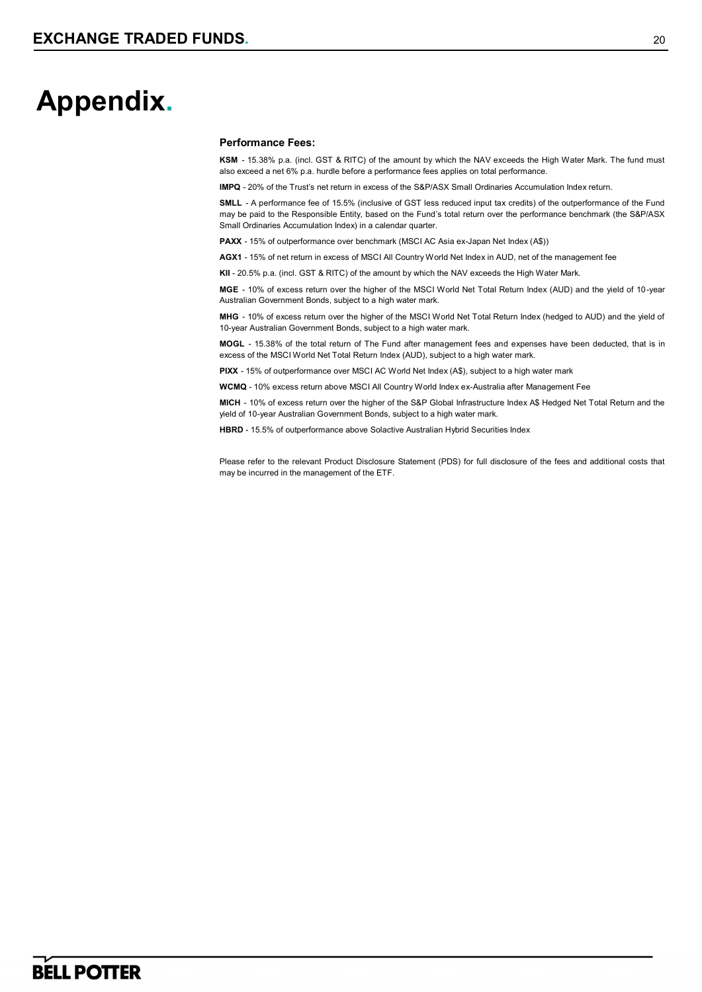## **Appendix.**

### **Performance Fees:**

**KSM** - 15.38% p.a. (incl. GST & RITC) of the amount by which the NAV exceeds the High Water Mark. The fund must also exceed a net 6% p.a. hurdle before a performance fees applies on total performance.

**IMPQ** - 20% of the Trust's net return in excess of the S&P/ASX Small Ordinaries Accumulation Index return.

**SMLL** - A performance fee of 15.5% (inclusive of GST less reduced input tax credits) of the outperformance of the Fund may be paid to the Responsible Entity, based on the Fund's total return over the performance benchmark (the S&P/ASX Small Ordinaries Accumulation Index) in a calendar quarter.

**PAXX** - 15% of outperformance over benchmark (MSCI AC Asia ex-Japan Net Index (A\$))

**AGX1** - 15% of net return in excess of MSCI All Country World Net Index in AUD, net of the management fee

**KII** - 20.5% p.a. (incl. GST & RITC) of the amount by which the NAV exceeds the High Water Mark.

**MGE** - 10% of excess return over the higher of the MSCI World Net Total Return Index (AUD) and the yield of 10-year Australian Government Bonds, subject to a high water mark.

**MHG** - 10% of excess return over the higher of the MSCI World Net Total Return Index (hedged to AUD) and the yield of 10-year Australian Government Bonds, subject to a high water mark.

**MOGL** - 15.38% of the total return of The Fund after management fees and expenses have been deducted, that is in excess of the MSCI World Net Total Return Index (AUD), subject to a high water mark.

**PIXX** - 15% of outperformance over MSCI AC World Net Index (A\$), subject to a high water mark

**WCMQ** - 10% excess return above MSCI All Country World Index ex-Australia after Management Fee

**MICH** - 10% of excess return over the higher of the S&P Global Infrastructure Index A\$ Hedged Net Total Return and the yield of 10-year Australian Government Bonds, subject to a high water mark.

**HBRD** - 15.5% of outperformance above Solactive Australian Hybrid Securities Index

Please refer to the relevant Product Disclosure Statement (PDS) for full disclosure of the fees and additional costs that may be incurred in the management of the ETF.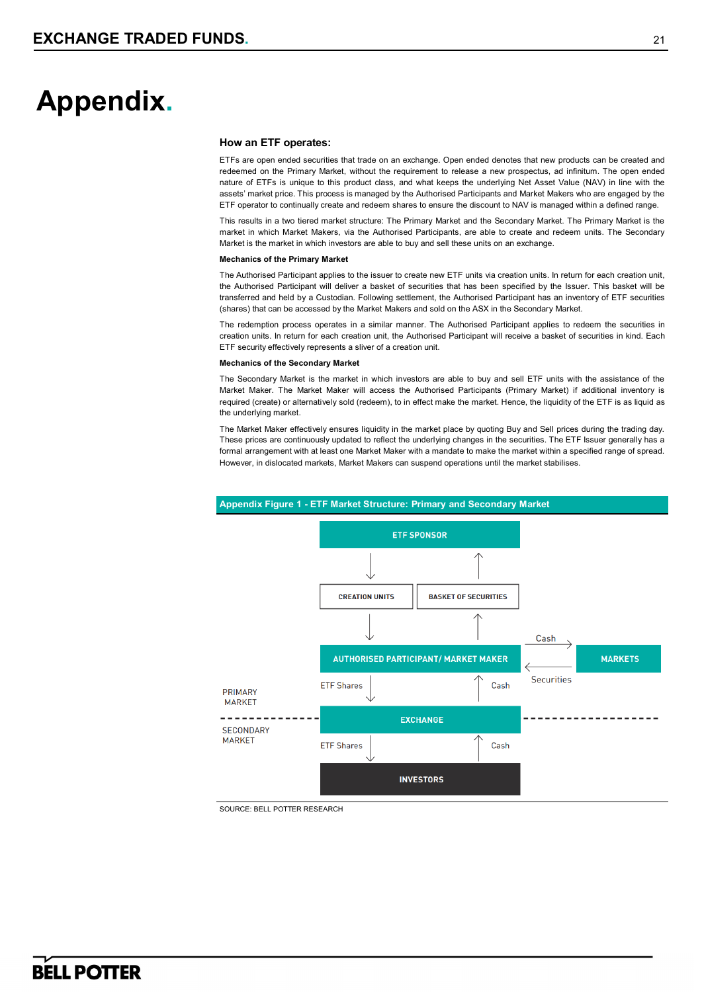## **Appendix.**

#### **How an ETF operates:**

ETFs are open ended securities that trade on an exchange. Open ended denotes that new products can be created and redeemed on the Primary Market, without the requirement to release a new prospectus, ad infinitum. The open ended nature of ETFs is unique to this product class, and what keeps the underlying Net Asset Value (NAV) in line with the assets' market price. This process is managed by the Authorised Participants and Market Makers who are engaged by the ETF operator to continually create and redeem shares to ensure the discount to NAV is managed within a defined range.

This results in a two tiered market structure: The Primary Market and the Secondary Market. The Primary Market is the market in which Market Makers, via the Authorised Participants, are able to create and redeem units. The Secondary Market is the market in which investors are able to buy and sell these units on an exchange.

#### **Mechanics of the Primary Market**

The Authorised Participant applies to the issuer to create new ETF units via creation units. In return for each creation unit, the Authorised Participant will deliver a basket of securities that has been specified by the Issuer. This basket will be transferred and held by a Custodian. Following settlement, the Authorised Participant has an inventory of ETF securities (shares) that can be accessed by the Market Makers and sold on the ASX in the Secondary Market.

The redemption process operates in a similar manner. The Authorised Participant applies to redeem the securities in creation units. In return for each creation unit, the Authorised Participant will receive a basket of securities in kind. Each ETF security effectively represents a sliver of a creation unit.

#### **Mechanics of the Secondary Market**

The Secondary Market is the market in which investors are able to buy and sell ETF units with the assistance of the Market Maker. The Market Maker will access the Authorised Participants (Primary Market) if additional inventory is required (create) or alternatively sold (redeem), to in effect make the market. Hence, the liquidity of the ETF is as liquid as the underlying market.

The Market Maker effectively ensures liquidity in the market place by quoting Buy and Sell prices during the trading day. These prices are continuously updated to reflect the underlying changes in the securities. The ETF Issuer generally has a formal arrangement with at least one Market Maker with a mandate to make the market within a specified range of spread. However, in dislocated markets, Market Makers can suspend operations until the market stabilises.



### **Appendix Figure 1 - ETF Market Structure: Primary and Secondary Market**

SOURCE: BELL POTTER RESEARCH